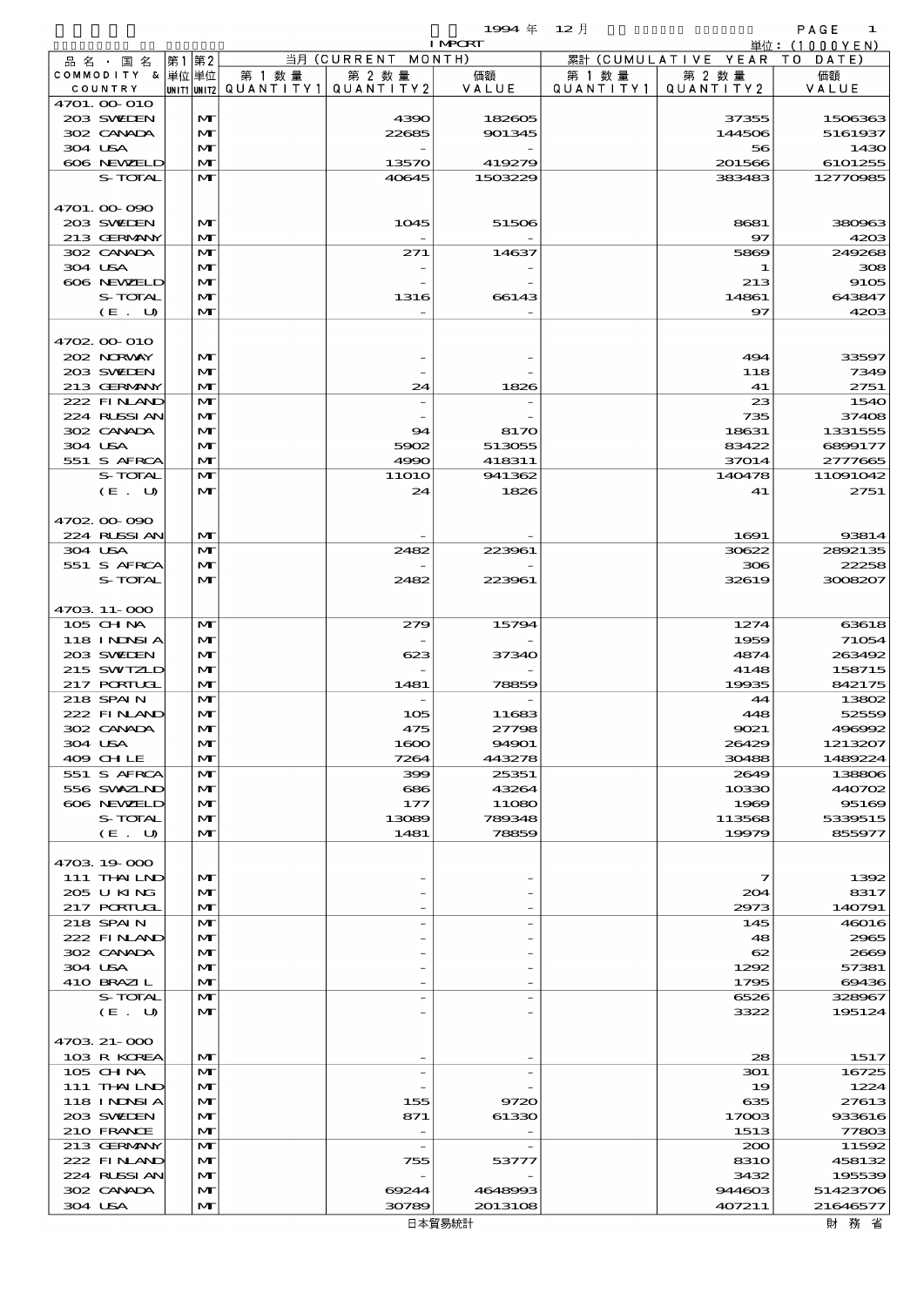$1$   $\mathbf{304} \notin 12 \mathcal{H}$   $\mathbf{412} \times \mathbf{56}$   $\mathbf{56} \times \mathbf{67}$   $\mathbf{68} \times \mathbf{67}$   $\mathbf{76} \times \mathbf{76}$   $\mathbf{87} \times \mathbf{76}$   $\mathbf{88} \times \mathbf{76}$   $\mathbf{89} \times \mathbf{87}$   $\mathbf{89} \times \mathbf{76}$   $\mathbf{89} \times \mathbf{87}$   $\mathbf{89} \times \mathbf{89}$   $\mathbf$ 

|                                |                              |                                       |                          | <b>I MPCRT</b> |           |                              | 単位: $(1000YEN)$ |
|--------------------------------|------------------------------|---------------------------------------|--------------------------|----------------|-----------|------------------------------|-----------------|
| 品名・国名                          | 第1第2                         |                                       | 当月 (CURRENT MONTH)       |                |           | 累計 (CUMULATIVE YEAR TO DATE) |                 |
| COMMODITY & 単位単位               |                              | 第 1 数量                                | 第 2 数量                   | 価額             | 第 1 数 量   | 第 2 数量                       | 価額              |
| COUNTRY                        |                              | UNIT1 UNIT2  QUANT   TY1  QUANT   TY2 |                          | VALUE          | QUANTITY1 | QUANTITY 2                   | VALUE           |
| 4701. 00-010<br>203 SWIEN      | $\mathbf{M}$                 |                                       | 4390                     | 182605         |           | 37355                        | 1506363         |
| 302 CANADA                     | $\mathbf{M}$                 |                                       | 22685                    | 901345         |           | 144506                       | 5161937         |
| 304 USA                        | $\mathbf{M}$                 |                                       |                          |                |           | 56                           | 1430            |
| 606 NEWELD                     | $\mathbf{M}$                 |                                       | 13570                    | 419279         |           | 201566                       | 6101255         |
| S-TOTAL                        | $\mathbf{M}$                 |                                       | 40645                    | 1503229        |           | 383483                       | 12770985        |
|                                |                              |                                       |                          |                |           |                              |                 |
| 4701.00-090<br>203 SWIEN       | $\mathbf{M}$                 |                                       | 1045                     | 51506          |           | 8681                         | 380963          |
| 213 GERMANY                    | $\mathbf{M}$                 |                                       |                          |                |           | $\mathbf{97}$                | 4203            |
| 302 CANADA                     | $\mathbf{M}$                 |                                       | 271                      | 14637          |           | 5869                         | 249268          |
| 304 USA                        | $\mathbf{M}$                 |                                       |                          |                |           | -1                           | 308             |
| 606 NEWELD                     | $\mathbf{M}$                 |                                       |                          |                |           | 213                          | 9105            |
| S-TOTAL                        | $\mathbf{M}$                 |                                       | 1316                     | 66143          |           | 14861                        | 643847          |
| (E. U)                         | $\mathbf{M}$                 |                                       |                          |                |           | 97                           | 4203            |
|                                |                              |                                       |                          |                |           |                              |                 |
| 4702 00 010<br>202 NORWAY      | $\mathbf{M}$                 |                                       |                          |                |           | 494                          | 33597           |
| 203 SWIEN                      | $\mathbf{M}$                 |                                       |                          |                |           | 118                          | 7349            |
| 213 GERMANY                    | $\mathbf{M}$                 |                                       | 24                       | 1826           |           | 41                           | 2751            |
| 222 FINAND                     | $\mathbf{M}$                 |                                       |                          |                |           | 23                           | 1540            |
| 224 RLSSIAN                    | $\mathbf{M}$                 |                                       |                          |                |           | 735                          | 37408           |
| 302 CANADA                     | $\mathbf{M}$                 |                                       | 94                       | 8170           |           | 18631                        | 1331555         |
| 304 USA                        | $\mathbf{M}$                 |                                       | 5902                     | 513055         |           | 83422                        | 6899177         |
| 551 S AFRCA                    | $\mathbf{M}$                 |                                       | 4990                     | 418311         |           | 37014                        | 2777665         |
| S-TOTAL                        | $\mathbf{M}$                 |                                       | <b>11O1O</b>             | 941362         |           | 140478                       | 11091042        |
| (E. U)                         | $\mathbf{M}$                 |                                       | 24                       | 1826           |           | 41                           | 2751            |
| 4702.00.090                    |                              |                                       |                          |                |           |                              |                 |
| 224 RUSSI AN                   | $\mathbf{M}$                 |                                       |                          |                |           | 1691                         | 93814           |
| 304 USA                        | $\mathbf{M}$                 |                                       | 2482                     | 223961         |           | 30622                        | 2892135         |
| 551 S AFRCA                    | $\mathbf{M}$                 |                                       |                          |                |           | 306                          | 22258           |
| S-TOTAL                        | $\mathbf{M}$                 |                                       | 2482                     | 223961         |           | 32619                        | 3008207         |
|                                |                              |                                       |                          |                |           |                              |                 |
| 4703 11-000                    |                              |                                       |                          |                |           |                              |                 |
| 105 CH NA                      | $\mathbf{M}$                 |                                       | 279                      | 15794          |           | 1274                         | 63618           |
| <b>118 INNSIA</b><br>203 SWIEN | $\mathbf{M}$<br>$\mathbf{M}$ |                                       | 623                      | 37340          |           | 1959<br>4874                 | 71054<br>263492 |
| 215 SWIZLD                     | $\mathbf{M}$                 |                                       |                          |                |           | 4148                         | 158715          |
| 217 PORTUGL                    | $\mathbf{M}$                 |                                       | 1481                     | 78859          |           | 19935                        | 842175          |
| 218 SPAIN                      | $\mathbf{M}$                 |                                       |                          |                |           | 44                           | 13802           |
| 222 FINAND                     | $\mathbf{M}$                 |                                       | 105                      | 11683          |           | 448                          | 52559           |
| 302 CANADA                     | M                            |                                       | 475                      | 27798          |           | 9021                         | 496992          |
| 304 USA                        | $\mathbf{M}$                 |                                       | 1600                     | 94901          |           | 26429                        | 1213207         |
| 409 CHLE                       | M                            |                                       | 7264                     | 443278         |           | 30488                        | 1489224         |
| 551 S AFRCA<br>556 SWXZLND     | $\mathbf{M}$                 |                                       | 399                      | 25351          |           | 2649                         | 138806          |
| 606 NEWELD                     | $\mathbf{M}$<br>$\mathbf{M}$ |                                       | 686<br>177               | 43264<br>11080 |           | 10330<br>1969                | 440702<br>95169 |
| S-TOTAL                        | $\mathbf{M}$                 |                                       | 13089                    | 789348         |           | 113568                       | 5339515         |
| (E. U)                         | $\mathbf{M}$                 |                                       | 1481                     | 78859          |           | 19979                        | 855977          |
|                                |                              |                                       |                          |                |           |                              |                 |
| 4703 19 000                    |                              |                                       |                          |                |           |                              |                 |
| 111 THAILND                    | $\mathbf{M}$                 |                                       |                          |                |           | 7                            | 1392            |
| 205 U KING                     | MГ                           |                                       |                          |                |           | 204                          | 8317            |
| $217$ PORTUGL                  | $\mathbf{M}$                 |                                       |                          |                |           | 2973                         | 140791          |
| 218 SPAIN<br>222 FINAND        | $\mathbf{M}$<br>$\mathbf{M}$ |                                       |                          |                |           | 145<br>48                    | 46016<br>2965   |
| 302 CANADA                     | $\mathbf{M}$                 |                                       |                          |                |           | 62                           | 2669            |
| 304 USA                        | $\mathbf{M}$                 |                                       |                          |                |           | 1292                         | 57381           |
| 410 BRAZIL                     | M                            |                                       |                          |                |           | 1795                         | 69436           |
| S-TOTAL                        | $\mathbf{M}$                 |                                       |                          |                |           | 6526                         | 328967          |
| (E. U)                         | $\mathbf{M}$                 |                                       |                          |                |           | 3322                         | 195124          |
|                                |                              |                                       |                          |                |           |                              |                 |
| 4703 21-000                    |                              |                                       |                          |                |           |                              |                 |
| 103 R KOREA                    | $\mathbf{M}$                 |                                       |                          |                |           | 28                           | 1517            |
| 105 CH NA                      | M<br>$\mathbf{M}$            |                                       |                          |                |           | 301                          | 16725<br>1224   |
| 111 THAILND<br>118 INNSI A     | M                            |                                       | 155                      | 9720           |           | 19<br>635                    | 27613           |
| 203 SWIDEN                     | $\mathbf{M}$                 |                                       | 871                      | 61330          |           | 17003                        | 933616          |
| 210 FRANCE                     | $\mathbf{M}$                 |                                       |                          |                |           | 1513                         | 77803           |
| 213 GERMANY                    | M                            |                                       | $\overline{\phantom{a}}$ |                |           | 200                          | 11592           |
| 222 FINAND                     | $\mathbf{M}$                 |                                       | 755                      | 53777          |           | 831O                         | 458132          |
| 224 RUSSIAN                    | M                            |                                       |                          |                |           | 3432                         | 195539          |
| 302 CANADA                     | M                            |                                       | 69244                    | 4648993        |           | 944603                       | 51423706        |

 $304 \text{ USA}$   $|\mathbf{M}|$   $30789$   $2013108$   $407211$   $21646577$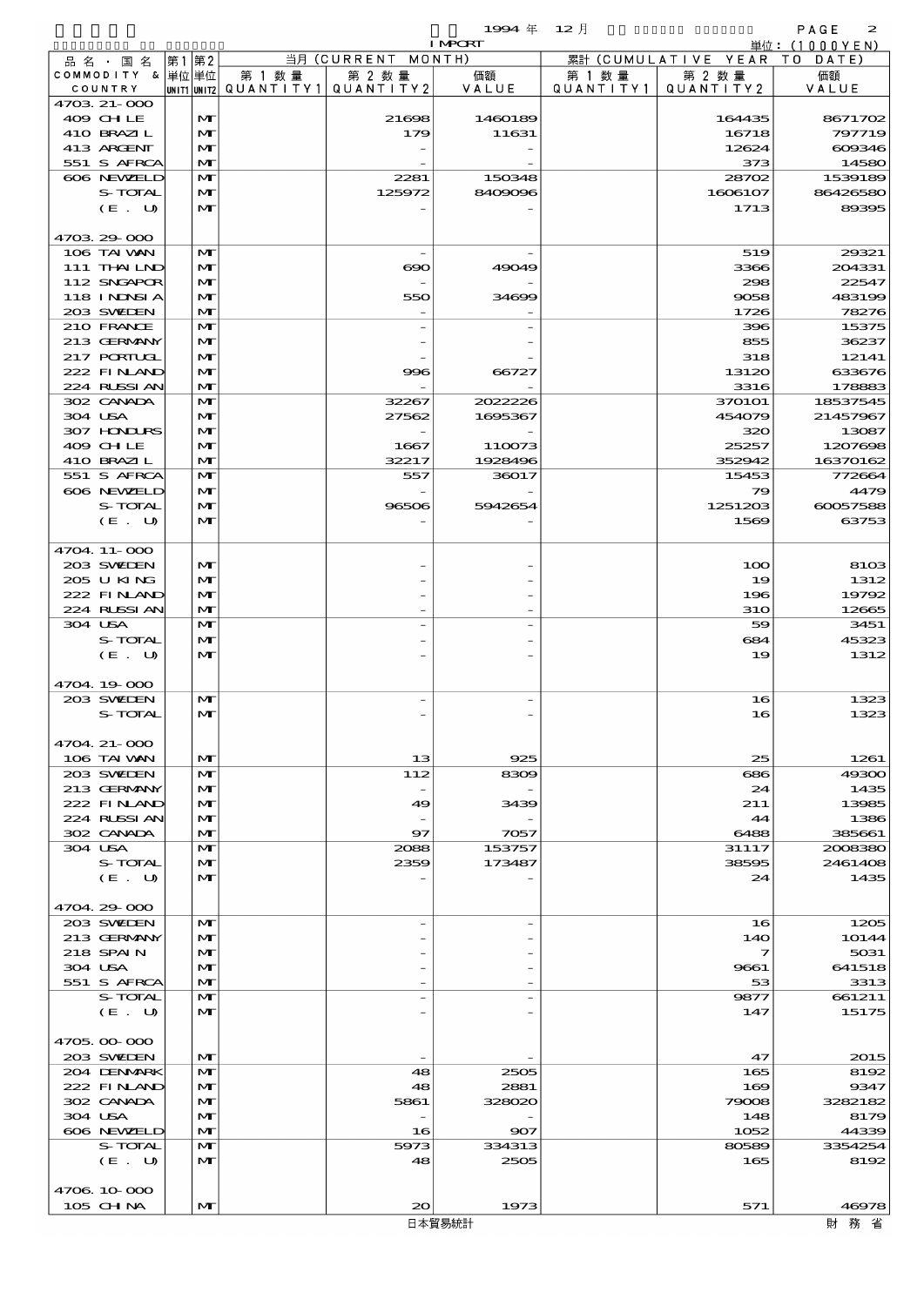品別国別表 輸 入 1994 12 確定 (Fixed Annual) 2

|                   |                   |        |                                       | <b>I MPORT</b> |           |                              | 単位: (1000YEN)   |
|-------------------|-------------------|--------|---------------------------------------|----------------|-----------|------------------------------|-----------------|
| 品名・国名             | 第1 第2             |        | 当月 (CURRENT MONTH)                    |                |           | 累計 (CUMULATIVE YEAR TO DATE) |                 |
| COMMODITY & 単位単位  |                   | 第 1 数量 | 第 2 数量                                | 価額             | 第 1 数量    | 第 2 数量                       | 価額              |
| COUNTRY           |                   |        | UNIT1 UNIT2  QUANT   TY1  QUANT   TY2 | VALUE          | QUANTITY1 | QUANTITY 2                   | VALUE           |
| 4703 21-000       |                   |        |                                       |                |           |                              |                 |
| 409 CHLE          | M                 |        | 21698                                 | 1460189        |           | 164435                       | 8671702         |
| 410 BRAZIL        | M                 |        | 179                                   | 11631          |           | 16718                        | 797719          |
| 413 ARCENT        | M                 |        |                                       |                |           | 12624                        | 609346          |
| 551 S AFRCA       | M                 |        |                                       |                |           | 373                          | 14580           |
| 606 NEWELD        | M                 |        | 2281                                  | 150348         |           | 28702                        | 1539189         |
| S-TOTAL<br>(E. U) | M<br>$\mathbf{M}$ |        | 125972                                | 8409096        |           | 1606107                      | 86426580        |
|                   |                   |        |                                       |                |           | 1713                         | 89395           |
| 4703 29 000       |                   |        |                                       |                |           |                              |                 |
| 106 TAI VAN       | M                 |        |                                       |                |           | 519                          | 29321           |
| 111 THALND        | M                 |        | $\boldsymbol{\infty}$                 | 49049          |           | 3366                         | 204331          |
| 112 SNGAPOR       | M                 |        |                                       |                |           | 298                          | 22547           |
| 118 INNSI A       | M                 |        | 550                                   | 34699          |           | 9058                         | 483199          |
| 203 SWIEN         | M                 |        |                                       |                |           | 1726                         | 78276           |
| 210 FRANCE        | $\mathbf{M}$      |        |                                       |                |           | 396                          | 15375           |
| 213 GERMANY       | M                 |        |                                       |                |           | 855                          | 36237           |
| 217 PORTUGL       | M                 |        |                                       |                |           | 318                          | 12141           |
| 222 FINAND        | M                 |        | 996                                   | 66727          |           | 13120                        | 633676          |
| 224 RUSSI AN      | M                 |        |                                       |                |           | 3316                         | 178883          |
| 302 CANADA        | $\mathbf{M}$      |        | 32267                                 | 2022226        |           | 370101                       | 18537545        |
| 304 USA           | M                 |        | 27562                                 | 1695367        |           | 454079                       | 21457967        |
| 307 HONDURS       | M                 |        |                                       |                |           | 320                          | 13087           |
| 409 CHLE          | M                 |        | 1667                                  | 110073         |           | 25257                        | 1207698         |
| 410 BRAZIL        | M                 |        | 32217                                 | 1928496        |           | 352942                       | 16370162        |
| 551 S AFRCA       | $\mathbf{M}$      |        | 557                                   | 36017          |           | 15453                        | 772664          |
| 606 NEWELD        | M                 |        |                                       |                |           | 79                           | 4479            |
| S-TOTAL           | M                 |        | 96506                                 | 5942654        |           | 1251203                      | 60057588        |
| (E. U)            | M                 |        |                                       |                |           | 1569                         | 63753           |
| 4704.11-000       |                   |        |                                       |                |           |                              |                 |
| 203 SWIEN         | M                 |        |                                       |                |           | 100                          | 8103            |
| 205 U KING        | M                 |        |                                       |                |           | 19                           | 1312            |
| 222 FINAND        | M                 |        |                                       |                |           | 196                          | 19792           |
| 224 RUSSIAN       | M                 |        |                                       |                |           | <b>31O</b>                   | 12665           |
| 304 USA           | $\mathbf{M}$      |        |                                       |                |           | 59                           | 3451            |
| S-TOTAL           | M                 |        |                                       |                |           | 684                          | 45323           |
| (E. U)            | M                 |        |                                       |                |           | 19                           | 1312            |
|                   |                   |        |                                       |                |           |                              |                 |
| 4704.19-000       |                   |        |                                       |                |           |                              |                 |
| 203 SWIEN         | M                 |        |                                       |                |           | 16                           | 1323            |
| S-TOTAL           | M                 |        |                                       |                |           | 16                           | 1323            |
|                   |                   |        |                                       |                |           |                              |                 |
| 4704 21-000       |                   |        |                                       |                |           |                              |                 |
| 106 TAI VAN       | M                 |        | 13                                    | 925            |           | 25                           | 1261            |
| 203 SWIDEN        | M                 |        | 112                                   | 8309           |           | 686                          | 49300           |
| 213 GERMANY       | M                 |        |                                       |                |           | 24                           | 1435            |
| 222 FINAND        | M                 |        | 49                                    | 3439           |           | 211                          | 13985           |
| 224 RUSSI AN      | M                 |        |                                       |                |           | 44                           | 1386            |
| 302 CANADA        | $\mathbf{M}$      |        | 97                                    | 7057           |           | 6488                         | 385661          |
| 304 USA           | M                 |        | 2088                                  | 153757         |           | 31117                        | 2008380         |
| S-TOTAL<br>(E. U) | M<br>M            |        | 2359                                  | 173487         |           | 38595<br>24                  | 2461408<br>1435 |
|                   |                   |        |                                       |                |           |                              |                 |
| 4704.29-000       |                   |        |                                       |                |           |                              |                 |
| 203 SWIDEN        | M                 |        |                                       |                |           | 16                           | 1205            |
| 213 GERMANY       | M                 |        |                                       |                |           | 14O                          | 10144           |
| 218 SPAIN         | M                 |        |                                       |                |           | 7                            | 5031            |
| 304 USA           | M                 |        |                                       |                |           | 9661                         | 641518          |
| 551 S AFRCA       | M                 |        |                                       |                |           | 53                           | 3313            |
| S-TOTAL           | M                 |        |                                       |                |           | 9877                         | 661211          |
| (E. U)            | M                 |        |                                       |                |           | 147                          | 15175           |
|                   |                   |        |                                       |                |           |                              |                 |
| 4705.00-000       |                   |        |                                       |                |           |                              |                 |
| 203 SWIDEN        | M                 |        |                                       |                |           | 47                           | 2015            |
| 204 DENMARK       | M                 |        | 48                                    | 2505           |           | 165                          | 8192            |
| 222 FINAND        | M                 |        | 48                                    | 2881           |           | 169                          | 9347            |
| 302 CANADA        | M                 |        | 5861                                  | 328020         |           | 79008                        | 3282182         |
| 304 USA           | M                 |        |                                       |                |           | 148                          | 8179            |
| 606 NEWELD        | M                 |        | 16                                    | 907            |           | 1052                         | 44339           |
| S-TOTAL           | M                 |        | 5973                                  | 334313         |           | 80589                        | 3354254         |
| (E. U)            | M                 |        | 48                                    | 2505           |           | 165                          | 8192            |
|                   |                   |        |                                       |                |           |                              |                 |
| 4706 10 000       |                   |        |                                       |                |           |                              |                 |
| 105 CH NA         | M                 |        | 20 <sub>o</sub>                       | 1973           |           | 571                          | 46978           |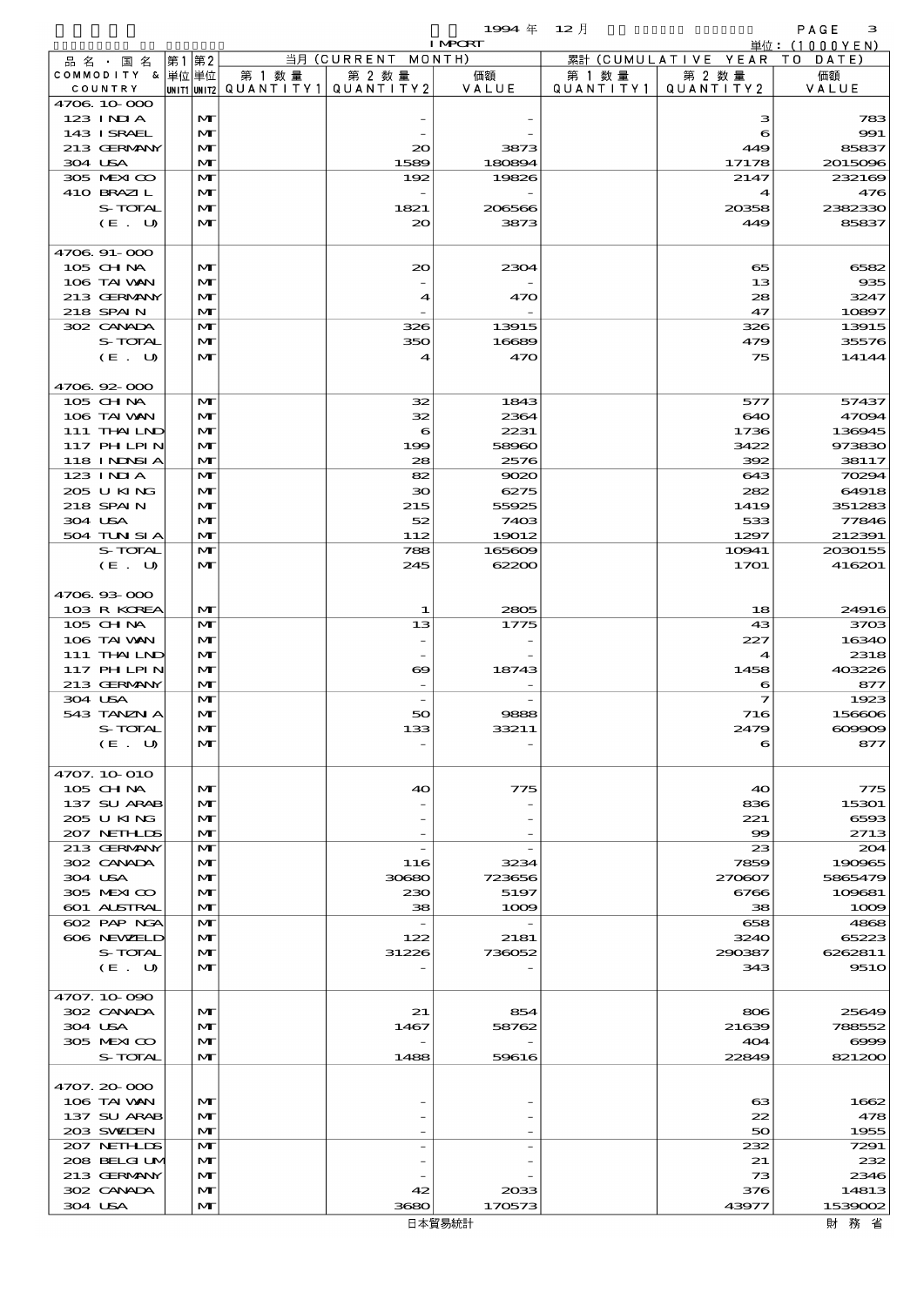$\begin{array}{cccc}\n 1994 & \# & 12 \end{array}$ 

|                             |      |                              |        |                                                  | <b>I MPORT</b>  |                     |                              | 単位: (1000YEN)     |
|-----------------------------|------|------------------------------|--------|--------------------------------------------------|-----------------|---------------------|------------------------------|-------------------|
| 品名・国名                       | 第1第2 |                              |        | 当月 (CURRENT MONTH)                               |                 |                     | 累計 (CUMULATIVE YEAR TO DATE) |                   |
| COMMODITY & 単位単位<br>COUNTRY |      |                              | 第 1 数量 | 第 2 数量<br> UNIT1 UNIT2  QUANT   TY1  QUANT   TY2 | 価額<br>VALUE     | 第 1 数量<br>QUANTITY1 | 第 2 数量<br>QUANTITY 2         | 価額<br>VALUE       |
| 4706 10 000                 |      |                              |        |                                                  |                 |                     |                              |                   |
| $123$ INIA                  |      | $\mathbf{M}$                 |        |                                                  |                 |                     | з                            | 783               |
| 143 I SRAEL                 |      | $\mathbf{M}$                 |        |                                                  |                 |                     | 6                            | 991               |
| 213 GERMANY                 |      | M                            |        | $\infty$                                         | 3873            |                     | 449                          | 85837             |
| 304 USA<br>305 MEXICO       |      | $\mathbf{M}$<br>$\mathbf{M}$ |        | 1589<br>192                                      | 180894<br>19826 |                     | 17178<br>2147                | 2015096<br>232169 |
| 410 BRAZIL                  |      | M                            |        |                                                  |                 |                     | 4                            | 476               |
| S-TOTAL                     |      | M                            |        | 1821                                             | 206566          |                     | 20358                        | 2382330           |
| (E. U)                      |      | $\mathbf{M}$                 |        | 20                                               | 3873            |                     | 449                          | 85837             |
|                             |      |                              |        |                                                  |                 |                     |                              |                   |
| 4706 91-000                 |      |                              |        |                                                  |                 |                     |                              |                   |
| 105 CH NA<br>106 TAI VAN    |      | $\mathbf{M}$<br>$\mathbf{M}$ |        | 20                                               | 2304            |                     | 65<br>13                     | 6582<br>935       |
| 213 GERMANY                 |      | M                            |        | 4                                                | 470             |                     | 28                           | 3247              |
| 218 SPAIN                   |      | $\mathbf{M}$                 |        |                                                  |                 |                     | 47                           | 10897             |
| 302 CANADA                  |      | $\mathbf{M}$                 |        | 326                                              | 13915           |                     | 326                          | 13915             |
| S-TOTAL                     |      | M                            |        | 350                                              | 16689           |                     | 479                          | 3557 <sub>C</sub> |
| (E. U)                      |      | $\mathbf{M}$                 |        | $\boldsymbol{A}$                                 | 470             |                     | 75                           | 14144             |
| 4706.92-000                 |      |                              |        |                                                  |                 |                     |                              |                   |
| 105 CH NA                   |      | $\mathbf{M}$                 |        | 32                                               | 1843            |                     | 577                          | 57437             |
| 106 TAI VAN                 |      | $\mathbf{M}$                 |        | 32                                               | 2364            |                     | 640                          | 47094             |
| 111 THAILND                 |      | $\mathbf{M}$                 |        | 6                                                | 2231            |                     | 1736                         | 136945            |
| 117 PHLPIN                  |      | $\mathbf{M}$                 |        | 199                                              | 58960           |                     | 3422                         | 973830            |
| <b>118 INNSIA</b>           |      | $\mathbf{M}$                 |        | 28                                               | 2576            |                     | 392                          | 38117             |
| 123 INIA<br>205 U KING      |      | $\mathbf{M}$<br>M            |        | 82<br>30                                         | 9020<br>6275    |                     | 643<br>282                   | 70294<br>64918    |
| 218 SPAIN                   |      | $\mathbf{M}$                 |        | 215                                              | 55925           |                     | 1419                         | 351283            |
| 304 USA                     |      | $\mathbf{M}$                 |        | 52                                               | 7403            |                     | 533                          | 77846             |
| 504 TUN SI A                |      | $\mathbf{M}$                 |        | 112                                              | 19012           |                     | 1297                         | 212391            |
| S-TOTAL                     |      | $\mathbf{M}$                 |        | 788                                              | 165609          |                     | 10941                        | 2030155           |
| (E. U)                      |      | $\mathbf{M}$                 |        | 245                                              | 62200           |                     | 1701                         | 416201            |
| 4706 93 000                 |      |                              |        |                                                  |                 |                     |                              |                   |
| 103 R KOREA                 |      | $\mathbf{M}$                 |        | 1                                                | 2805            |                     | 18                           | 2491€             |
| 105 CH NA                   |      | $\mathbf{M}$                 |        | 13                                               | 1775            |                     | 43                           | 3703              |
| 106 TAI VAN                 |      | M                            |        |                                                  |                 |                     | 227                          | 16340             |
| 111 THAILND                 |      | $\mathbf{M}$                 |        |                                                  |                 |                     | 4                            | 2318              |
| 117 PHLPIN                  |      | $\mathbf{M}$                 |        | ѳ                                                | 18743           |                     | 1458                         | 403226            |
| 213 GERMANY<br>304 USA      |      | $\mathbf{M}$<br>$\mathbf{M}$ |        |                                                  |                 |                     | 6<br>$\overline{\mathbf{z}}$ | 877<br>1923       |
| 543 TANZN A                 |      | $\mathbf{M}$                 |        | 50                                               | 9888            |                     | 716                          | 156606            |
| S-TOTAL                     |      | $\mathbf{M}$                 |        | 133                                              | 33211           |                     | 2479                         | $\infty$ $\infty$ |
| (E. U)                      |      | M                            |        |                                                  |                 |                     | 6                            | 877               |
|                             |      |                              |        |                                                  |                 |                     |                              |                   |
| 4707. 10 O10                |      |                              |        |                                                  |                 |                     |                              |                   |
| 105 CH NA<br>137 SU ARAB    |      | $\mathbf{M}$<br>$\mathbf{M}$ |        | 40                                               | 775             |                     | 40<br>836                    | 775<br>15301      |
| 205 U KING                  |      | M                            |        |                                                  |                 |                     | 221                          | 6593              |
| 207 NETHLIS                 |      | $\mathbf{M}$                 |        |                                                  |                 |                     | $\infty$                     | 2713              |
| 213 GERMANY                 |      | M                            |        |                                                  |                 |                     | 23                           | 204               |
| 302 CANADA                  |      | $\mathbf{M}$                 |        | 116                                              | 3234            |                     | 7859                         | 190965            |
| 304 USA                     |      | $\mathbf{M}$                 |        | 30680                                            | 723656          |                     | 270807                       | 5865479           |
| 305 MEXICO<br>601 ALSTRAL   |      | M<br>M                       |        | 230<br>38                                        | 5197<br>1009    |                     | 6766<br>38                   | 109681<br>1000    |
| 602 PAP NGA                 |      | M                            |        | $\hspace{0.1mm}-\hspace{0.1mm}$                  |                 |                     | 658                          | 4865              |
| 606 NEWELD                  |      | M                            |        | 122                                              | 2181            |                     | 3240                         | 65223             |
| S-TOTAL                     |      | $\mathbf{M}$                 |        | 31226                                            | 736052          |                     | 290387                       | 6262811           |
| (E. U)                      |      | $\mathbf{M}$                 |        |                                                  |                 |                     | 343                          | 951C              |
|                             |      |                              |        |                                                  |                 |                     |                              |                   |
| 4707.10-090<br>302 CANADA   |      | $\mathbf{M}$                 |        |                                                  |                 |                     |                              | 25649             |
| 304 USA                     |      | M                            |        | 21<br>1467                                       | 854<br>58762    |                     | 806<br>21639                 | 788552            |
| 305 MEXICO                  |      | M                            |        |                                                  |                 |                     | 404                          | $\infty$          |
| S-TOTAL                     |      | $\mathbf{M}$                 |        | 1488                                             | 59616           |                     | 22849                        | 821200            |
|                             |      |                              |        |                                                  |                 |                     |                              |                   |
| 4707.20-000                 |      |                              |        |                                                  |                 |                     |                              |                   |
| 106 TAI VAN                 |      | $\mathbf{M}$                 |        |                                                  |                 |                     | 63                           | 1662              |
| 137 SU ARAB<br>203 SWIEN    |      | M<br>$\mathbf{M}$            |        |                                                  |                 |                     | 22<br>50                     | 478<br>1955       |
| 207 NETHLIS                 |      | M                            |        |                                                  |                 |                     | 232                          | 7291              |
| 208 BELGI UM                |      | M                            |        |                                                  |                 |                     | 21                           | 232               |
| 213 GERMANY                 |      | $\mathbf{M}$                 |        |                                                  |                 |                     | 73                           | 2346              |
| 302 CANADA                  |      | M                            |        | 42                                               | 2033            |                     | 376                          | 14813             |
| 304 USA                     |      | M                            |        | 3680                                             | 170573          |                     | 43977                        | 1539002           |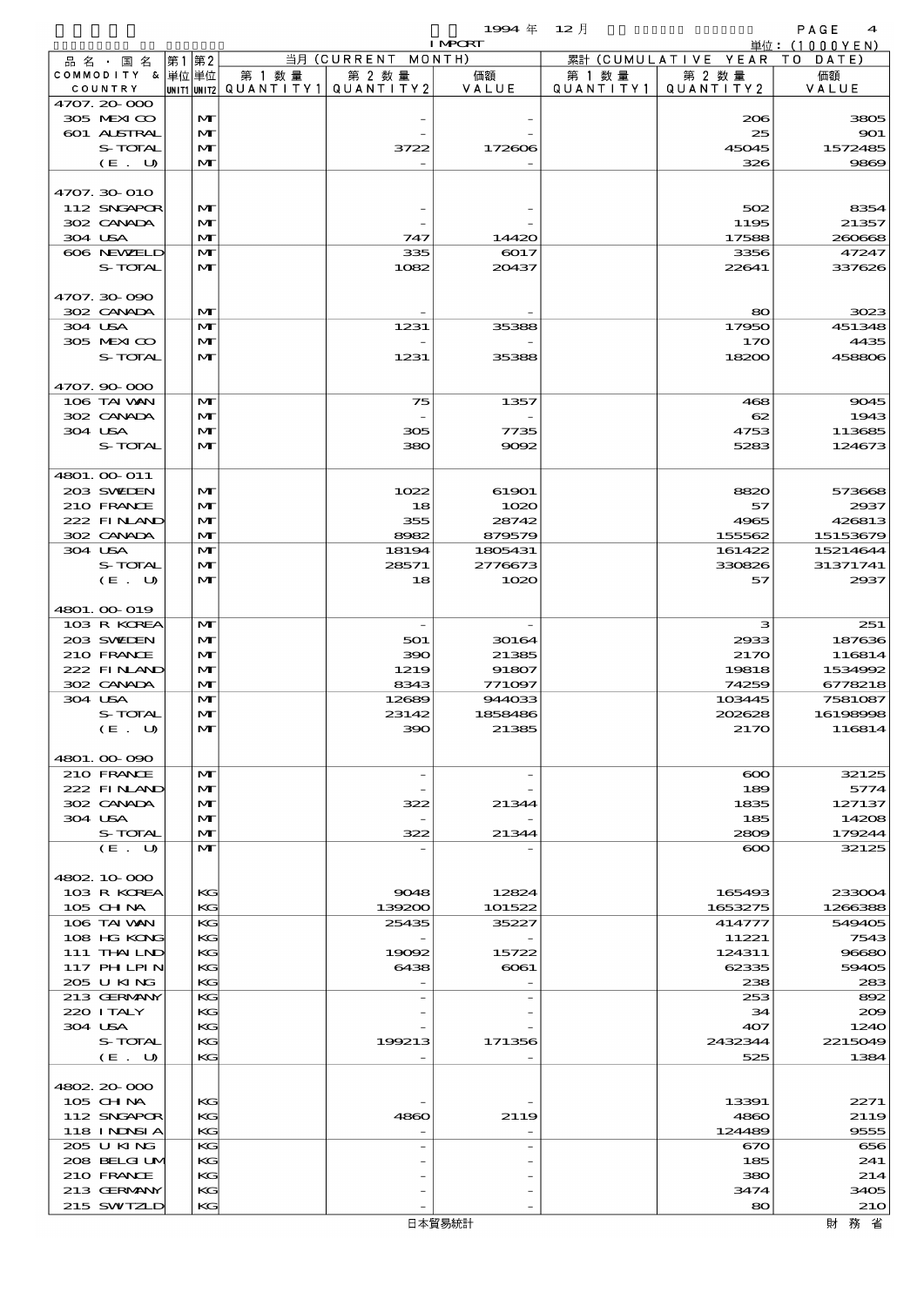$\begin{array}{cccc}\n 1994 & \# & 12 \end{array}$ 

|                             |    |                              |                                                  |                          | <b>I MPCRT</b>  |                      |                              | 単位: (1000 Y E N ) |
|-----------------------------|----|------------------------------|--------------------------------------------------|--------------------------|-----------------|----------------------|------------------------------|-------------------|
| 品名・国名                       | 第1 | 第2                           |                                                  | 当月 (CURRENT MONTH)       |                 |                      | 累計 (CUMULATIVE YEAR TO DATE) |                   |
| COMMODITY & 単位単位<br>COUNTRY |    |                              | 第 1 数量<br> UNIT1 UNIT2  QUANT I TY1  QUANT I TY2 | 第 2 数量                   | 価額<br>VALUE     | 第 1 数 量<br>QUANTITY1 | 第 2 数量<br>QUANTITY 2         | 価額<br>VALUE       |
| 4707.20-000                 |    |                              |                                                  |                          |                 |                      |                              |                   |
| 305 MEXICO                  |    | M                            |                                                  |                          |                 |                      | 206                          | 3805              |
| 601 ALSTRAL                 |    | M                            |                                                  |                          |                 |                      | 25                           | 901               |
| S-TOTAL                     |    | M                            |                                                  | 3722                     | 172606          |                      | 45045                        | 1572485           |
| (E. U)                      |    | $\mathbf{M}$                 |                                                  |                          |                 |                      | 326                          | 9869              |
| 4707.30-010                 |    |                              |                                                  |                          |                 |                      |                              |                   |
| 112 SNGAPOR                 |    | M                            |                                                  |                          |                 |                      | 502                          | 8354              |
| 302 CANADA                  |    | M                            |                                                  |                          |                 |                      | 1195                         | 21357             |
| 304 USA                     |    | M                            |                                                  | 747                      | 14420           |                      | 17588                        | 260668            |
| 606 NEWELD                  |    | $\mathbf{M}$                 |                                                  | 335                      | 6017            |                      | 3356                         | 47247             |
| S-TOTAL                     |    | M                            |                                                  | 1082                     | 20437           |                      | 22641                        | 337626            |
| 4707.30-090                 |    |                              |                                                  |                          |                 |                      |                              |                   |
| 302 CANADA                  |    | M                            |                                                  |                          |                 |                      | 80                           | 3023              |
| 304 USA                     |    | $\mathbf{M}$                 |                                                  | 1231                     | 35388           |                      | 17950                        | 451348            |
| 305 MEXICO                  |    | M                            |                                                  |                          |                 |                      | 170                          | 4435              |
| S-TOTAL                     |    | $\mathbf{M}$                 |                                                  | 1231                     | 35388           |                      | 18200                        | 458806            |
| 4707.90-000                 |    |                              |                                                  |                          |                 |                      |                              |                   |
| 106 TAI VAN                 |    | M                            |                                                  | 75                       | 1357            |                      | 468                          | 9045              |
| 302 CANADA                  |    | $\mathbf{M}$                 |                                                  |                          |                 |                      | 62                           | 1943              |
| 304 USA                     |    | M                            |                                                  | 305                      | 7735            |                      | 4753                         | 113685            |
| S-TOTAL                     |    | $\mathbf{M}$                 |                                                  | 380                      | 9092            |                      | 5283                         | 124673            |
|                             |    |                              |                                                  |                          |                 |                      |                              |                   |
| 4801. 00 011                |    |                              |                                                  |                          |                 |                      |                              |                   |
| 203 SWIEN<br>210 FRANCE     |    | M                            |                                                  | 1022                     | 61901           |                      | 8820                         | 573668            |
| 222 FINLAND                 |    | $\mathbf{M}$<br>$\mathbf{M}$ |                                                  | 18<br>355                | 1020<br>28742   |                      | 57<br>4965                   | 2937<br>426813    |
| 302 CANADA                  |    | $\mathbf{M}$                 |                                                  | 8982                     | 879579          |                      | 155562                       | 15153679          |
| 304 USA                     |    | $\mathbf{M}$                 |                                                  | 18194                    | 1805431         |                      | 161422                       | 15214644          |
| S-TOTAL                     |    | M                            |                                                  | 28571                    | 2776673         |                      | 330826                       | 31371741          |
| (E. U)                      |    | $\mathbf{M}$                 |                                                  | 18                       | 1020            |                      | 57                           | 2937              |
|                             |    |                              |                                                  |                          |                 |                      |                              |                   |
| 4801. 00-019                |    |                              |                                                  |                          |                 |                      |                              |                   |
| 103 R KOREA<br>203 SWIDEN   |    | M<br>M                       |                                                  | $\overline{\phantom{a}}$ |                 |                      | з                            | 251               |
| 210 FRANCE                  |    | M                            |                                                  | 501<br>390               | 30164<br>21385  |                      | 2933<br>2170                 | 187636<br>116814  |
| 222 FINAND                  |    | $\mathbf{M}$                 |                                                  | 1219                     | 91807           |                      | 19818                        | 1534992           |
| 302 CANADA                  |    | M                            |                                                  | 8343                     | 771097          |                      | 74259                        | 6778218           |
| 304 USA                     |    | $\mathbf{M}$                 |                                                  | 12689                    | 944033          |                      | 103445                       | 7581087           |
| S-TOTAL                     |    | M                            |                                                  | 23142                    | 1858486         |                      | 202628                       | 16198998          |
| (E. U)                      |    | $\mathbf{M}$                 |                                                  | 390                      | 21385           |                      | 2170                         | 116814            |
|                             |    |                              |                                                  |                          |                 |                      |                              |                   |
| 4801.00-090                 |    | M                            |                                                  | $\overline{\phantom{a}}$ |                 |                      |                              |                   |
| 210 FRANCE<br>222 FINAND    |    | M                            |                                                  |                          |                 |                      | $\infty$<br>189              | 32125<br>5774     |
| 302 CANADA                  |    | M                            |                                                  | 322                      | 21344           |                      | 1835                         | 127137            |
| 304 USA                     |    | $\mathbf{M}$                 |                                                  |                          |                 |                      | 185                          | 14208             |
| S-TOTAL                     |    | M                            |                                                  | 322                      | 21344           |                      | 2809                         | 179244            |
| (E. U)                      |    | $\mathbf{M}$                 |                                                  |                          |                 |                      | $\infty$                     | 32125             |
|                             |    |                              |                                                  |                          |                 |                      |                              |                   |
| 4802.10.000                 |    |                              |                                                  |                          |                 |                      |                              |                   |
| 103 R KOREA<br>105 CH NA    |    | КG<br>KG                     |                                                  | 9048<br>139200           | 12824<br>101522 |                      | 165493<br>1653275            | 233004<br>1266388 |
| 106 TAI VAN                 |    | KG                           |                                                  | 25435                    | 35227           |                      | 414777                       | 549405            |
| 108 HG KONG                 |    | KG                           |                                                  |                          |                 |                      | 11221                        | 7543              |
| $111$ THAILND               |    | KG                           |                                                  | 19092                    | 15722           |                      | 124311                       | 96680             |
| $117$ PH LPIN               |    | KG                           |                                                  | 6438                     | $\infty$ 61     |                      | 62335                        | 59405             |
| 205 U KING                  |    | KG                           |                                                  |                          |                 |                      | 238                          | 283               |
| 213 GERMANY                 |    | KG                           |                                                  |                          |                 |                      | 253                          | 892               |
| 220 I TALY                  |    | KG                           |                                                  |                          |                 |                      | 34                           | 200               |
| 304 USA<br>S-TOTAL          |    | KG<br>KG                     |                                                  | 199213                   | 171356          |                      | 407<br>2432344               | 1240<br>2215049   |
| (E. U)                      |    | KG                           |                                                  |                          |                 |                      | 525                          | 1384              |
|                             |    |                              |                                                  |                          |                 |                      |                              |                   |
| 4802 20 000                 |    |                              |                                                  |                          |                 |                      |                              |                   |
| 105 CHNA                    |    | KG                           |                                                  |                          |                 |                      | 13391                        | 2271              |
| 112 SNGAPOR                 |    | KG                           |                                                  | 4860                     | 2119            |                      | 4860                         | 2119              |
| 118 INNSI A<br>205 U KING   |    | KG<br>KG                     |                                                  |                          |                 |                      | 124489                       | 9555<br>656       |
| 208 BELGI UM                |    | KG                           |                                                  |                          |                 |                      | 670<br>185                   | 241               |
| 210 FRANCE                  |    | KG                           |                                                  |                          |                 |                      | 380                          | 214               |
| 213 GERMANY                 |    | KG                           |                                                  |                          |                 |                      | 3474                         | 3405              |
| 215 SWIZLD                  |    | KG                           |                                                  |                          |                 |                      | 80                           | <b>210</b>        |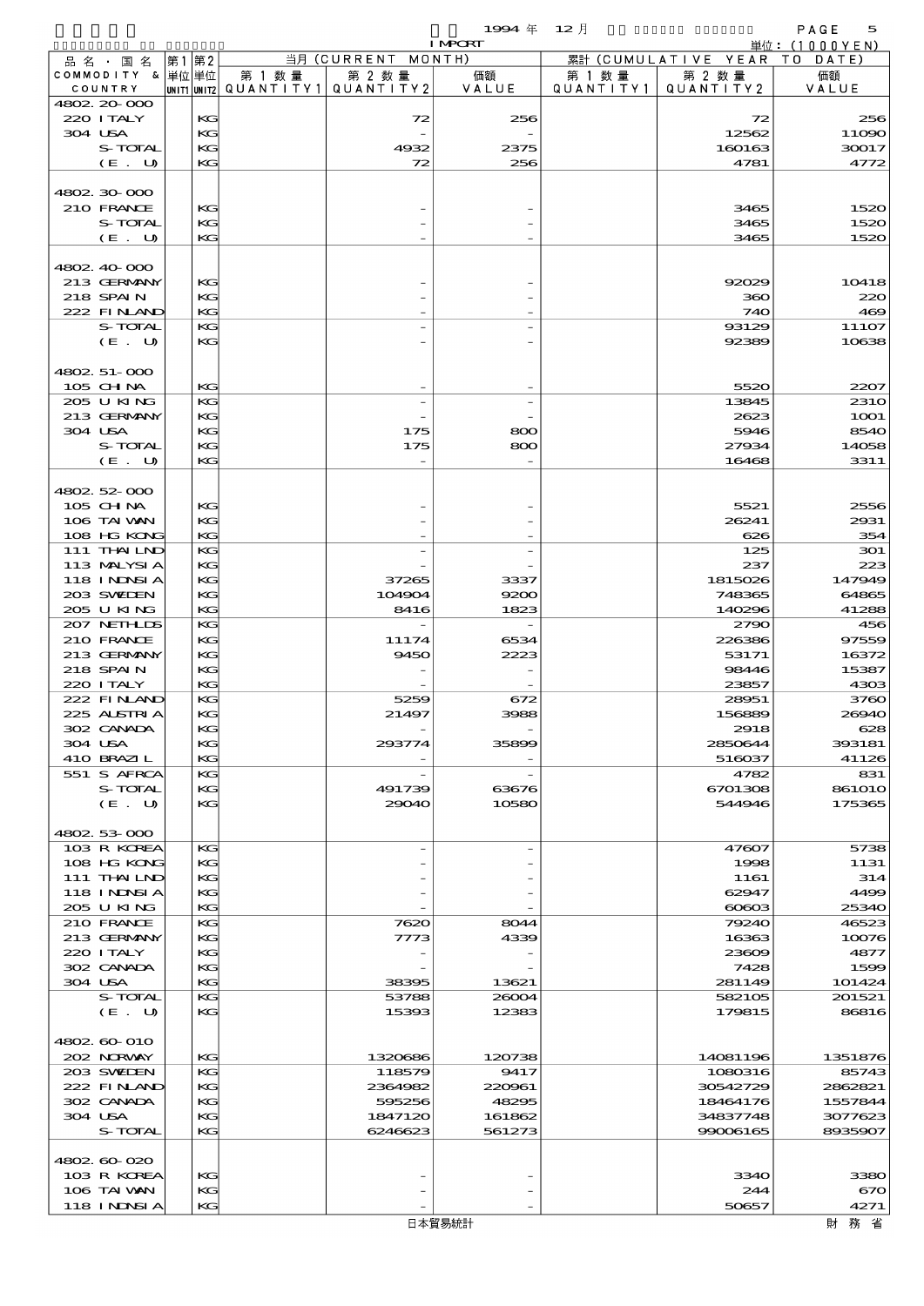$1994 \quad \oplus \quad 12 \quad \uparrow$  PAGE 5

|                              |          |                                                  |                    | <b>I MPCRT</b>   |                      |                              | 単位: (1000 Y E N)    |
|------------------------------|----------|--------------------------------------------------|--------------------|------------------|----------------------|------------------------------|---------------------|
| 品名・国名                        | 第1 第2    |                                                  | 当月 (CURRENT MONTH) |                  |                      | 累計 (CUMULATIVE YEAR TO DATE) |                     |
| COMMODITY & 単位単位<br>COUNTRY  |          | 第 1 数量<br> UNIT1 UNIT2  QUANT I TY1  QUANT I TY2 | 第 2 数量             | 価額<br>VALUE      | 第 1 数 量<br>QUANTITY1 | 第 2 数量<br>QUANTITY 2         | 価額<br>VALUE         |
| 4802.20-000                  |          |                                                  |                    |                  |                      |                              |                     |
| 220 I TALY                   | KС       |                                                  | 72                 | 256              |                      | 72                           | 256                 |
| 304 USA                      | KG       |                                                  |                    |                  |                      | 12562                        | 11090               |
| S-TOTAL                      | KG       |                                                  | 4932               | 2375             |                      | 160163                       | 30017               |
| (E. U)                       | KС       |                                                  | 72                 | 256              |                      | 4781                         | 4772                |
| 4802.30.000                  |          |                                                  |                    |                  |                      |                              |                     |
| 210 FRANCE                   | KG       |                                                  |                    |                  |                      | 3465                         | 1520                |
| S-TOTAL                      | KG       |                                                  |                    |                  |                      | 3465                         | 1520                |
| (E. U)                       | KG       |                                                  |                    |                  |                      | 3465                         | 1520                |
|                              |          |                                                  |                    |                  |                      |                              |                     |
| 4802.40.000                  |          |                                                  |                    |                  |                      |                              |                     |
| 213 GERMANY<br>218 SPAIN     | KG<br>KG |                                                  |                    |                  |                      | 92029<br>360                 | 10418<br>220        |
| 222 FINAND                   | KG       |                                                  |                    |                  |                      | 740                          | 469                 |
| S-TOTAL                      | KG       |                                                  |                    |                  |                      | 93129                        | 11107               |
| (E. U)                       | KG       |                                                  |                    |                  |                      | 92389                        | 10638               |
|                              |          |                                                  |                    |                  |                      |                              |                     |
| 4802. 51-000<br>105 CH NA    | KG       |                                                  |                    |                  |                      | 5520                         |                     |
| 205 U KING                   | KG       |                                                  |                    |                  |                      | 13845                        | 2207<br><b>2310</b> |
| 213 GERMANY                  | KG       |                                                  |                    |                  |                      | 2623                         | <b>1001</b>         |
| 304 USA                      | KC       |                                                  | 175                | 800              |                      | 5946                         | 8540                |
| S-TOTAL                      | KG       |                                                  | 175                | 800              |                      | 27934                        | 14058               |
| (E. U)                       | KG       |                                                  |                    |                  |                      | 16468                        | 3311                |
|                              |          |                                                  |                    |                  |                      |                              |                     |
| 4802.52-000                  |          |                                                  |                    |                  |                      |                              |                     |
| $105$ CHNA<br>106 TAI WAN    | KG<br>KG |                                                  |                    |                  |                      | 5521<br>26241                | 2556<br>2931        |
| 108 HG KONG                  | KG       |                                                  |                    |                  |                      | 626                          | 354                 |
| 111 THAILND                  | KG       |                                                  |                    |                  |                      | 125                          | 301                 |
| 113 MALYSIA                  | KG       |                                                  |                    |                  |                      | 237                          | 223                 |
| 118 INNSI A                  | KC       |                                                  | 37265              | 3337             |                      | 1815026                      | 147949              |
| 203 SWIDEN                   | KG       |                                                  | 104904             | 9200             |                      | 748365                       | 64865               |
| 205 U KING                   | KG       |                                                  | 8416               | 1823             |                      | 140296                       | 41288               |
| 207 NETHLIS                  | KG       |                                                  |                    |                  |                      | 2790                         | 456                 |
| 210 FRANCE<br>213 GERMANY    | KG<br>KC |                                                  | 11174<br>9450      | 6534<br>2223     |                      | 226386<br>53171              | 97559<br>16372      |
| 218 SPAIN                    | KG       |                                                  |                    |                  |                      | 98446                        | 15387               |
| 220 I TALY                   | KG       |                                                  |                    |                  |                      | 23857                        | 4303                |
| 222 FINAND                   | KG       |                                                  | 5259               | 672              |                      | 28951                        | 3760                |
| 225 ALSTRIA                  | KG       |                                                  | 21497              | 3988             |                      | 156889                       | 26940               |
| 302 CANADA                   | KG       |                                                  |                    |                  |                      | 2918                         | 628                 |
| 304 USA                      | KG       |                                                  | 293774             | 35899            |                      | 2850644                      | 393181              |
| 410 BRAZIL<br>551 S AFRCA    | KC       |                                                  |                    |                  |                      | 516037<br>4782               | 41126<br>831        |
| S-TOTAL                      | KС<br>KG |                                                  | 491739             | 63676            |                      | 6701308                      | <b>861010</b>       |
| (E. U)                       | KC       |                                                  | 29040              | 10580            |                      | 544946                       | 175365              |
|                              |          |                                                  |                    |                  |                      |                              |                     |
| 4802.53-000                  |          |                                                  |                    |                  |                      |                              |                     |
| 103 R KOREA                  | KG       |                                                  |                    |                  |                      | 47607                        | 5738                |
| 108 HG KONG                  | КC       |                                                  |                    |                  |                      | 1998                         | 1131                |
| 111 THAILND<br>118 I NINSI A | KC<br>KG |                                                  |                    |                  |                      | 1161<br>62947                | 314<br>4499         |
| 205 U KING                   | KG       |                                                  |                    |                  |                      | $\alpha$                     | 25340               |
| 210 FRANCE                   | KС       |                                                  | 7620               | 8044             |                      | 79240                        | 46523               |
| 213 GERMANY                  | KG       |                                                  | 7773               | 4339             |                      | 16363                        | 10076               |
| 220 I TALY                   | KC       |                                                  |                    |                  |                      | 23609                        | 4877                |
| 302 CANADA                   | KG       |                                                  |                    |                  |                      | 7428                         | 1599                |
| 304 USA                      | KG       |                                                  | 38395              | 13621            |                      | 281149                       | 101424              |
| S-TOTAL<br>(E. U)            | KС<br>КC |                                                  | 53788<br>15393     | 26004<br>12383   |                      | 582105<br>179815             | 201521<br>86816     |
|                              |          |                                                  |                    |                  |                      |                              |                     |
| 4802 60 010                  |          |                                                  |                    |                  |                      |                              |                     |
| 202 NORWAY                   | KG       |                                                  | 1320686            | 120738           |                      | 14081196                     | 1351876             |
| 203 SWIDEN                   | KG       |                                                  | 118579             | 9417             |                      | 1080316                      | 85743               |
| 222 FINAND                   | KG       |                                                  | 2364982            | 220961           |                      | 30542729                     | 2862821             |
| 302 CANADA                   | KC       |                                                  | 595256             | 48295            |                      | 18464176                     | 1557844             |
| 304 USA<br>S-TOTAL           | KG<br>KG |                                                  | 1847120<br>6246623 | 161862<br>561273 |                      | 34837748<br>99006165         | 3077623<br>8935907  |
|                              |          |                                                  |                    |                  |                      |                              |                     |
| 4802 60 020                  |          |                                                  |                    |                  |                      |                              |                     |
| 103 R KOREA                  | KG       |                                                  |                    |                  |                      | 3340                         | 3380                |
| 106 TAI VAN                  | KC       |                                                  |                    |                  |                      | 244                          | 670                 |
| 118 I NDSI A                 | KC       |                                                  |                    |                  |                      | 50657                        | 4271                |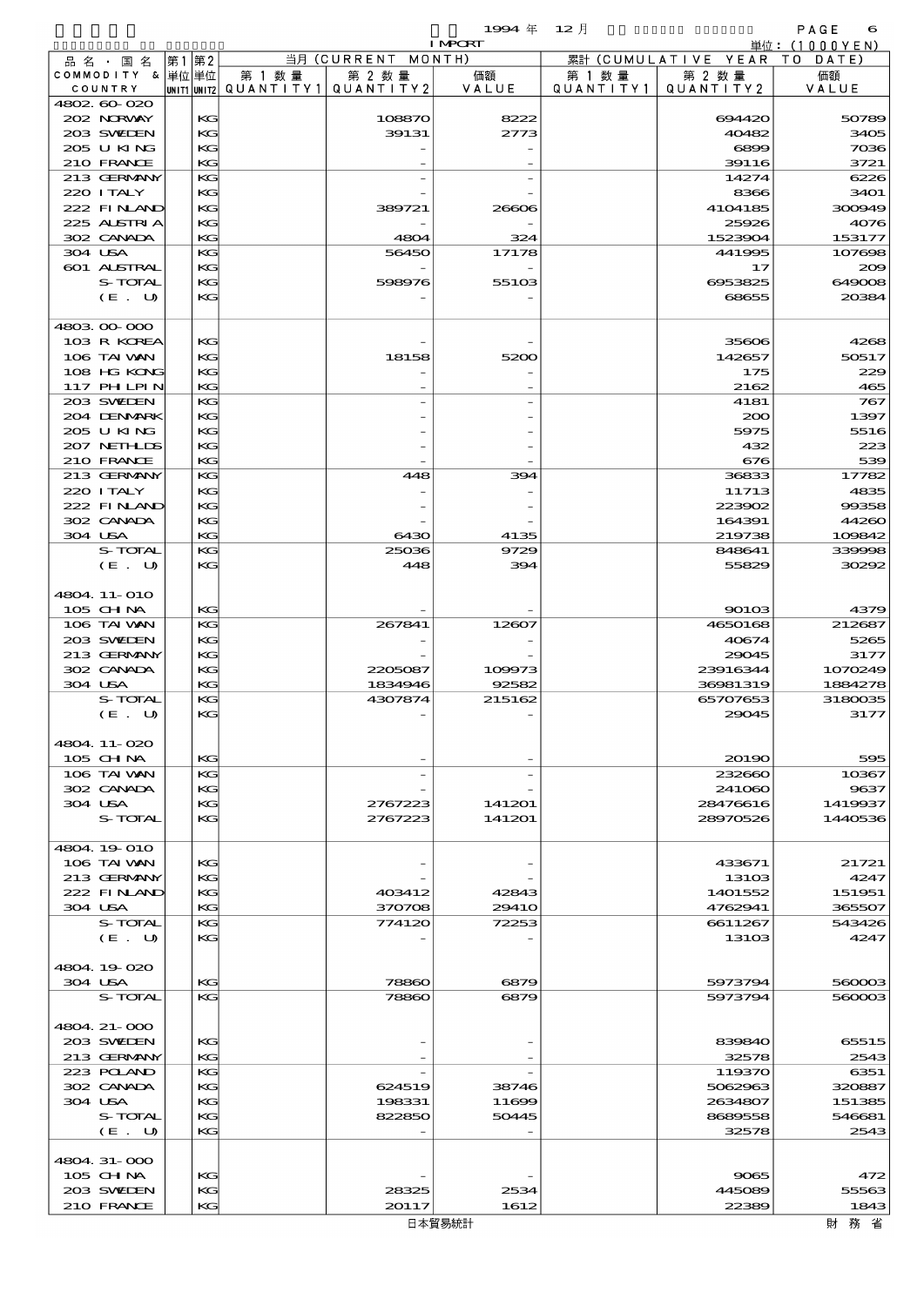$1994 \quad \oplus \quad 12 \quad \beta$  PAGE 6

|   | $100 +$ | $\sim$ 1 |  |
|---|---------|----------|--|
| . |         |          |  |
|   |         |          |  |

|                    |       |        |                                           | <b>I MPORT</b> |           |                              | 単位: (1000YEN) |
|--------------------|-------|--------|-------------------------------------------|----------------|-----------|------------------------------|---------------|
| 品名・国名              | 第1 第2 |        | 当月 (CURRENT MONTH)                        |                |           | 累計 (CUMULATIVE YEAR TO DATE) |               |
| COMMODITY & 単位単位   |       | 第 1 数量 | 第 2 数量                                    | 価額             | 第 1 数量    | 第 2 数量                       | 価額            |
| COUNTRY            |       |        | UNIT1 UNIT2   QUANT I TY 1   QUANT I TY 2 | VALUE          | QUANTITY1 | QUANTITY2                    | VALUE         |
| 4802.60-020        |       |        |                                           |                |           |                              |               |
| 202 NORWAY         | KG    |        | 108870                                    | 8222           |           | 694420                       | 50789         |
| 203 SWIEN          | KG    |        | 39131                                     | 2773           |           | 40482                        | 3405          |
| 205 U KING         | KG    |        |                                           |                |           | 6899                         | 7036          |
| 210 FRANCE         | KG    |        |                                           |                |           | 39116                        | 3721          |
| 213 GERMANY        | KG    |        |                                           |                |           | 14274                        | 6226          |
| 220 I TALY         | KG    |        |                                           |                |           | 8366                         | 3401          |
| 222 FINAND         | KG    |        | 389721                                    | 26606          |           | 4104185                      | 300949        |
| 225 ALSTRIA        | KG    |        |                                           |                |           | 25926                        | 4076          |
| 302 CANADA         | KG    |        | 4804                                      | 324            |           | 1523904                      | 153177        |
| 304 USA            | KG    |        | 56450                                     | 17178          |           | 441995                       | 107698        |
| <b>601 ALSTRAL</b> | KG    |        |                                           |                |           | 17                           | 200           |
| S-TOTAL            | KG    |        | 598976                                    | 55103          |           | 6953825                      | 649008        |
| (E. U)             | KG    |        |                                           |                |           | 68655                        | 20384         |
| 4803 00 000        |       |        |                                           |                |           |                              |               |
| 103 R KOREA        | KG    |        |                                           |                |           | 35606                        | 4268          |
| 106 TAI VAN        |       |        |                                           |                |           |                              |               |
|                    | KG    |        | 18158                                     | 5200           |           | 142657                       | 50517         |
| 108 HG KONG        | KG    |        |                                           |                |           | 175                          | 229           |
| 117 PHLPIN         | KG    |        |                                           |                |           | 2162                         | 465           |
| 203 SWIDEN         | KG    |        |                                           |                |           | 4181                         | 767           |
| 204 DENMARK        | KG    |        |                                           |                |           | 200                          | 1397          |
| 205 U KING         | KG    |        |                                           |                |           | 5975                         | 5516          |
| 207 NETHLIS        | KG    |        |                                           |                |           | 432                          | 223           |
| 210 FRANCE         | KG    |        |                                           |                |           | 676                          | 539           |
| 213 GERMANY        | KG    |        | 448                                       | 394            |           | 36833                        | 17782         |
| 220 I TALY         | KG    |        |                                           |                |           | 11713                        | 4835          |
| 222 FINAND         | KG    |        |                                           |                |           | 223902                       | 99358         |
| 302 CANADA         | KG    |        |                                           |                |           | 164391                       | 44260         |
| 304 USA            | KG    |        | 6430                                      | 4135           |           | 219738                       | 109842        |
| S-TOTAL            | KG    |        | 25036                                     | 9729           |           | 848641                       | 339998        |
| (E. U)             | KG    |        | 448                                       | 394            |           | 55829                        | 30292         |
|                    |       |        |                                           |                |           |                              |               |
| 4804 11-010        |       |        |                                           |                |           |                              |               |
| 105 CHNA           | KG    |        |                                           |                |           | 90103                        | 4379          |
| 106 TAI VAN        | KG    |        | 267841                                    | 12607          |           | 4650168                      | 212687        |
| 203 SWIDEN         | KG    |        |                                           |                |           | 40674                        | 5265          |
| 213 GERMANY        | KG    |        |                                           |                |           | 29045                        | 3177          |
| 302 CANADA         | KG    |        | 2205087                                   | 109973         |           | 23916344                     | 1070249       |
| 304 USA            | KG    |        | 1834946                                   | 92582          |           | 36981319                     | 1884278       |
| S-TOTAL            | KG    |        | 4307874                                   | 215162         |           | 65707653                     | 3180035       |
| (E. U)             | KG    |        |                                           |                |           | 29045                        | 3177          |
|                    |       |        |                                           |                |           |                              |               |
| 4804.11-020        |       |        |                                           |                |           |                              |               |
| 105 CHNA           | KG    |        |                                           |                |           | 20190                        | 595           |
| 106 TAI VAN        | КG    |        |                                           |                |           | 232660                       | 10367         |
| 302 CANADA         | KG    |        |                                           |                |           | 241060                       | 9637          |
| 304 USA            | KG    |        | 2767223                                   | 141201         |           | 28476616                     | 1419937       |
| S-TOTAL            | KG    |        | 2767223                                   | 141201         |           | 28970526                     | 1440536       |
| 4804.19-010        |       |        |                                           |                |           |                              |               |
| 106 TAI VAN        | KG    |        |                                           |                |           | 433671                       | 21721         |
| 213 GERMANY        | KG    |        |                                           |                |           | 13103                        | 4247          |
| 222 FINLAND        | KG    |        | 403412                                    | 42843          |           | 1401552                      | 151951        |
| 304 USA            | KG    |        | 370708                                    | 2941O          |           | 4762941                      | 365507        |
| S-TOTAL            | KG    |        | 774120                                    | 72253          |           | 6611267                      | 543426        |
| (E. U)             | KG    |        |                                           |                |           | 13103                        | 4247          |
|                    |       |        |                                           |                |           |                              |               |
| 4804.19.020        |       |        |                                           |                |           |                              |               |
| 304 USA            | KG    |        | 78860                                     | 6879           |           | 5973794                      | 560003        |
| S-TOTAL            | KG    |        | 78860                                     | 6879           |           | 5973794                      | 560003        |
|                    |       |        |                                           |                |           |                              |               |
| 4804. 21-000       |       |        |                                           |                |           |                              |               |
| 203 SWEDEN         | КG    |        |                                           |                |           | 839840                       | 65515         |
| 213 GERMANY        | KG    |        |                                           |                |           | 32578                        | 2543          |
| 223 POLAND         | KG    |        |                                           |                |           | 119370                       | 6351          |
| 302 CANADA         | KG    |        | 624519                                    | 38746          |           | 5062963                      | 320887        |
| 304 USA            | KG    |        | 198331                                    | 11699          |           | 2634807                      | 151385        |
| S-TOTAL            | KG    |        | 822850                                    | 50445          |           | 8689558                      | 546681        |
| (E. U)             | KG    |        |                                           |                |           | 32578                        | 2543          |
|                    |       |        |                                           |                |           |                              |               |
| 4804.31-000        |       |        |                                           |                |           |                              |               |
| $105$ CHNA         | KG    |        |                                           |                |           | 9065                         | 472           |
| 203 SWIDEN         | КG    |        | 28325                                     | 2534           |           | 445089                       | 55563         |
| 210 FRANCE         | KG    |        | 20117                                     | 1612           |           | 22389                        | 1843          |
|                    |       |        |                                           | 口 大留 甲纳非       |           |                              | 8+1 致 少       |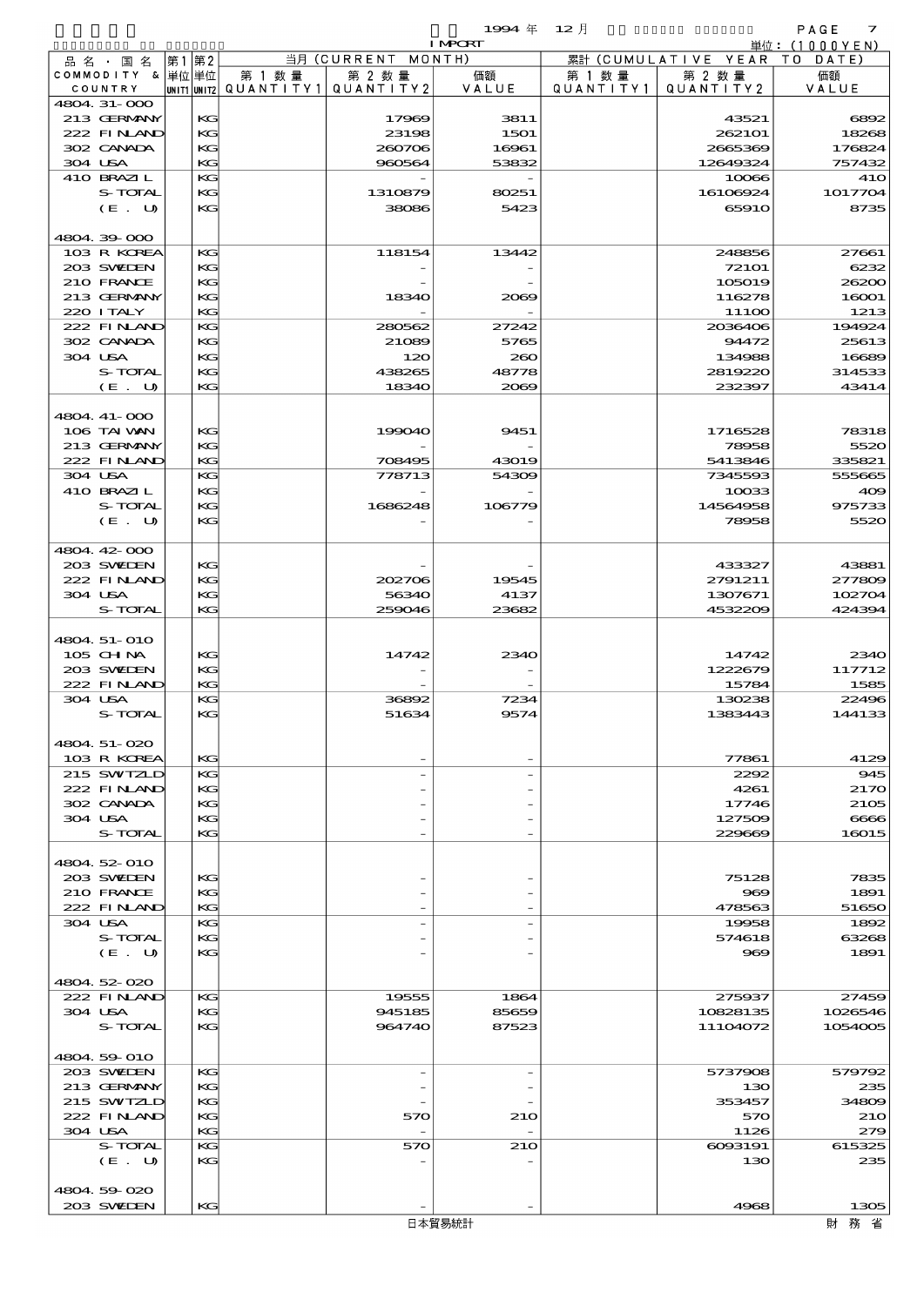$\begin{array}{cccc}\n 1994 & \# & 12 \end{array}$ 

| $- - -$ | ⊥∠ ⁄∃ |  |
|---------|-------|--|
| г<br>.  |       |  |
|         |       |  |

|                  |      |                                       |                    | <b>I MPORT</b> |           |                              | 単位: (1000 Y E N) |
|------------------|------|---------------------------------------|--------------------|----------------|-----------|------------------------------|------------------|
| 品 名 ・ 国 名        | 第1第2 |                                       | 当月 (CURRENT MONTH) |                |           | 累計 (CUMULATIVE YEAR TO DATE) |                  |
| COMMODITY & 単位単位 |      | 第 1 数量                                | 第 2 数量             | 価額             | 第 1 数量    | 第 2 数量                       | 価額               |
| COUNTRY          |      | unit1 unit2  QUANT   TY1  QUANT   TY2 |                    | VALUE          | QUANTITY1 | QUANTITY 2                   | VALUE            |
| 4804.31-000      |      |                                       |                    |                |           |                              |                  |
| 213 GERMANY      | KG   |                                       | 17969              | 3811           |           | 43521                        | 6892             |
| 222 FINAND       | KG   |                                       | 23198              | 1501           |           | 262101                       | 18268            |
| 302 CANADA       | KG   |                                       | 260706             | 16961          |           | 2665369                      | 176824           |
| 304 USA          | KG   |                                       | 960564             | 53832          |           | 12649324                     | 757432           |
| 410 BRAZIL       | KG   |                                       |                    |                |           | 10066                        | <b>41O</b>       |
| S-TOTAL          | KG   |                                       | 1310879            | 80251          |           | 16106924                     | 1017704          |
| (E. U)           | KG   |                                       | 38086              | 5423           |           | 65910                        | 8735             |
|                  |      |                                       |                    |                |           |                              |                  |
| 4804.39.000      |      |                                       |                    |                |           |                              |                  |
| 103 R KOREA      | KG   |                                       | 118154             | 13442          |           | 248856                       | 27661            |
| 203 SWIDEN       | KG   |                                       |                    |                |           | 72101                        | 6232             |
| 210 FRANCE       | KG   |                                       |                    |                |           | 105019                       | 26200            |
| 213 GERMANY      | KG   |                                       | 18340              | 2069           |           | 116278                       | 16001            |
| 220 I TALY       | KG   |                                       |                    |                |           | 111OO                        | 1213             |
| 222 FINAND       | KG   |                                       | 280562             | 27242          |           | 2036406                      | 194924           |
| 302 CANADA       | KG   |                                       | 21089              | 5765           |           | 94472                        | 25613            |
| 304 USA          | KG   |                                       |                    |                |           |                              |                  |
|                  |      |                                       | 120                | 260            |           | 134988                       | 16689            |
| S-TOTAL          | KG   |                                       | 438265             | 48778          |           | 2819220                      | 314533           |
| (E. U)           | KG   |                                       | 18340              | 2000           |           | 232397                       | 43414            |
|                  |      |                                       |                    |                |           |                              |                  |
| 4804 41-000      |      |                                       |                    |                |           |                              |                  |
| 106 TAI VAN      | KG   |                                       | 199040             | 9451           |           | 1716528                      | 78318            |
| 213 GERMANY      | KG   |                                       |                    |                |           | 78958                        | 5520             |
| 222 FINAND       | KG   |                                       | 708495             | 43019          |           | 5413846                      | 335821           |
| 304 USA          | KG   |                                       | 778713             | 54309          |           | 7345593                      | 555665           |
| 410 BRAZIL       | KG   |                                       |                    |                |           | 10033                        | 409              |
| S-TOTAL          | KG   |                                       | 1686248            | 106779         |           | 14564958                     | 975733           |
| (E. U)           | KG   |                                       |                    |                |           | 78958                        | 5520             |
|                  |      |                                       |                    |                |           |                              |                  |
| 4804.42-000      |      |                                       |                    |                |           |                              |                  |
| 203 SWIDEN       | KG   |                                       |                    |                |           | 433327                       | 43881            |
| 222 FINAND       | KG   |                                       | 202706             | 19545          |           | 2791211                      | 277809           |
| 304 USA          | KG   |                                       | 56340              | 4137           |           | 1307671                      | 102704           |
| S-TOTAL          | KG   |                                       | 259046             | 23682          |           | 4532209                      | 424394           |
|                  |      |                                       |                    |                |           |                              |                  |
| 4804 51-010      |      |                                       |                    |                |           |                              |                  |
| 105 CH NA        | KG   |                                       | 14742              | 2340           |           | 14742                        | 2340             |
| 203 SWIDEN       | KG   |                                       |                    |                |           | 1222679                      | 117712           |
| 222 FINAND       | KG   |                                       |                    |                |           | 15784                        | 1585             |
|                  |      |                                       |                    |                |           | 130238                       | 22496            |
| 304 USA          | KG   |                                       | 36892              | 7234           |           |                              |                  |
| S-TOTAL          | KG   |                                       | 51634              | 9574           |           | 1383443                      | 144133           |
|                  |      |                                       |                    |                |           |                              |                  |
| 4804.51-020      |      |                                       |                    |                |           |                              |                  |
| 103 R KOREA      | KG   |                                       |                    |                |           | 77861                        | 4129             |
| 215 SWIZLD       | KG   |                                       |                    |                |           | 2292                         | 945              |
| 222 FINAND       | KG   |                                       |                    |                |           | 4261                         | 2170             |
| 302 CANADA       | KG   |                                       |                    |                |           | 17746                        | 2105             |
| 304 USA          | KG   |                                       |                    |                |           | 127509                       | 6666             |
| S-TOTAL          | KG   |                                       |                    |                |           | 229669                       | 16015            |
|                  |      |                                       |                    |                |           |                              |                  |
| 4804.52-010      |      |                                       |                    |                |           |                              |                  |
| 203 SWIDEN       | KG   |                                       |                    |                |           | 75128                        | 7835             |
| 210 FRANCE       | КG   |                                       |                    |                |           | $\infty$                     | 1891             |
| 222 FINAND       | KG   |                                       |                    |                |           | 478563                       | 51650            |
| 304 USA          | KG   |                                       |                    |                |           | 19958                        | 1892             |
| S-TOTAL          | KG   |                                       |                    |                |           | 574618                       | 63268            |
| (E. U)           | KG   |                                       |                    |                |           | 969                          | 1891             |
|                  |      |                                       |                    |                |           |                              |                  |
| 4804.52-020      |      |                                       |                    |                |           |                              |                  |
| 222 FINAND       | KG   |                                       | 19555              | 1864           |           | 275937                       | 27459            |
| 304 USA          | KG   |                                       | 945185             | 85659          |           | 10828135                     | 1026546          |
| S-TOTAL          | KG   |                                       | 964740             | 87523          |           | 11104072                     | 1054005          |
|                  |      |                                       |                    |                |           |                              |                  |
|                  |      |                                       |                    |                |           |                              |                  |
| 4804.59-010      |      |                                       |                    |                |           |                              |                  |
| 203 SWIDEN       | KG   |                                       |                    |                |           | 5737908                      | 579792           |
| 213 GERMANY      | KG   |                                       |                    |                |           | 130                          | 235              |
| 215 SWIZLD       | KG   |                                       |                    |                |           | 353457                       | 34809            |
| 222 FINAND       | КG   |                                       | 570                | 210            |           | 570                          | 210              |
| 304 USA          | KG   |                                       |                    |                |           | 1126                         | 279              |
| S-TOTAL          | КG   |                                       | 570                | 210            |           | 6093191                      | 615325           |
| (E. U)           | KG   |                                       |                    |                |           | 130                          | 235              |
|                  |      |                                       |                    |                |           |                              |                  |
| 4804.59020       |      |                                       |                    |                |           |                              |                  |
| 203 SWIDEN       | KG   |                                       |                    |                |           | 4968                         | 1305             |
|                  |      |                                       |                    | 日本貿易統計         |           |                              | 財務省              |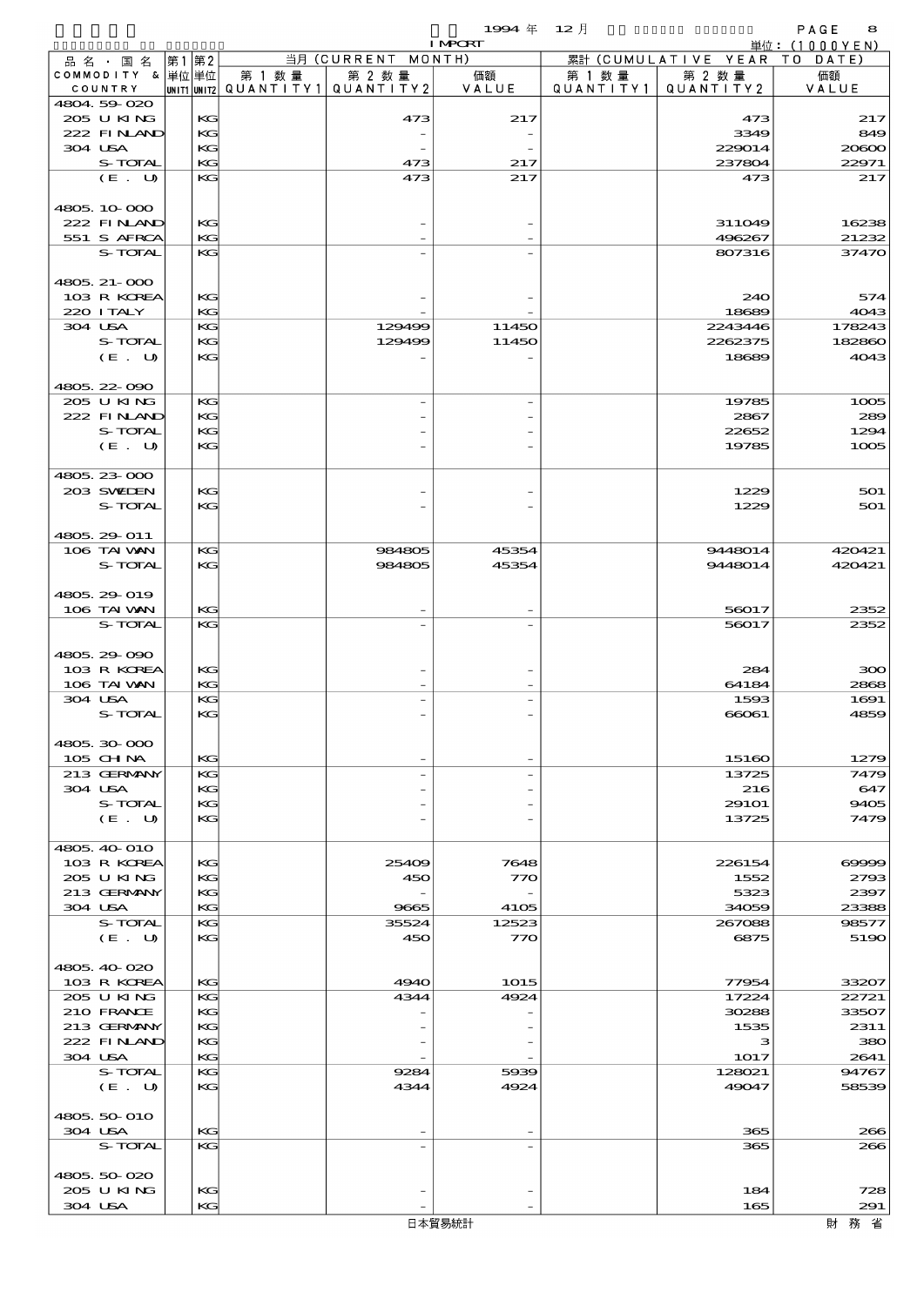|                            |      |          |                                                    |                    | 1994年 12月      |           |                      | PAGE<br>8                |
|----------------------------|------|----------|----------------------------------------------------|--------------------|----------------|-----------|----------------------|--------------------------|
| 品名・国名                      | 第1第2 |          |                                                    | 当月 (CURRENT MONTH) | <b>I MPCRT</b> |           | 累計 (CUMULATIVE YEAR) | 単位:(1000YEN)<br>TO DATE) |
| COMMODITY & 単位単位           |      |          | 第 1 数 量                                            | 第 2 数量             | 価額             | 第 1 数 量   | 第 2 数量               | 価額                       |
| COUNTRY                    |      |          | $ $ UNIT1 $ $ UNIT2 $ $ Q $\cup$ A N T I T Y 1 $ $ | QUANTITY2          | VALUE          | QUANTITY1 | QUANTITY 2           | VALUE                    |
| 4804.59-020<br>205 U KING  |      | KG       |                                                    | 473                | 217            |           | 473                  | 217                      |
| 222 FINAND                 |      | KG       |                                                    |                    |                |           | 3349                 | 849                      |
| 304 USA                    |      | KG       |                                                    |                    |                |           | 229014               | 20800                    |
| S-TOTAL                    |      | KG       |                                                    | 473                | 217            |           | 237804               | 22971                    |
| (E. U)                     |      | KG       |                                                    | 473                | 217            |           | 473                  | 217                      |
| 4805.10.000                |      |          |                                                    |                    |                |           |                      |                          |
| 222 FINAND                 |      | KG       |                                                    |                    |                |           | 311049               | 16238                    |
| 551 S AFRCA                |      | КC       |                                                    |                    |                |           | 496267               | 21232                    |
| S-TOTAL                    |      | KG       |                                                    |                    |                |           | 807316               | 37470                    |
| 4805. 21-000               |      |          |                                                    |                    |                |           |                      |                          |
| 103 R KOREA                |      | KG       |                                                    |                    |                |           | 240                  | 574                      |
| 220 I TALY                 |      | KG       |                                                    |                    |                |           | 18689                | 4043                     |
| 304 USA<br>S-TOTAL         |      | KG<br>KG |                                                    | 129499<br>129499   | 11450<br>11450 |           | 2243446<br>2262375   | 178243<br>182860         |
| (E. U)                     |      | KG       |                                                    |                    |                |           | 18689                | 4043                     |
|                            |      |          |                                                    |                    |                |           |                      |                          |
| 4805.22-090                |      |          |                                                    |                    |                |           |                      |                          |
| 205 U KING                 |      | KG       |                                                    |                    |                |           | 19785                | 1005                     |
| 222 FINAND<br>S-TOTAL      |      | KG<br>KG |                                                    |                    |                |           | 2867<br>22652        | 289<br>1294              |
| (E. U)                     |      | KG       |                                                    |                    |                |           | 19785                | 1005                     |
|                            |      |          |                                                    |                    |                |           |                      |                          |
| 4805 23 000                |      |          |                                                    |                    |                |           |                      |                          |
| 203 SWIEN<br>S-TOTAL       |      | KG<br>KG |                                                    |                    |                |           | 1229<br>1229         | 501<br>501               |
|                            |      |          |                                                    |                    |                |           |                      |                          |
| 4805.29-011                |      |          |                                                    |                    |                |           |                      |                          |
| 106 TAI VAN                |      | KG       |                                                    | 984805             | 45354          |           | 9448014              | 420421                   |
| S-TOTAL                    |      | KG       |                                                    | 984805             | 45354          |           | 9448014              | 420421                   |
| 4805.29-019                |      |          |                                                    |                    |                |           |                      |                          |
| 106 TAI VAN                |      | KG       |                                                    |                    |                |           | 56017                | 2352                     |
| S-TOTAL                    |      | KG       |                                                    |                    |                |           | 56017                | 2352                     |
|                            |      |          |                                                    |                    |                |           |                      |                          |
| 4805.29 090<br>103 R KOREA |      | KG       |                                                    |                    |                |           | 284                  | 300                      |
| 106 TAI VAN                |      | KG       |                                                    |                    |                |           | 64184                | 2868                     |
| 304 USA                    |      | KG       |                                                    |                    |                |           | 1593                 | 1691                     |
| S-TOTAL                    |      | KG       |                                                    |                    |                |           | 66061                | 4859                     |
| 4805.30.000                |      |          |                                                    |                    |                |           |                      |                          |
| 105 CH NA                  |      | KG       |                                                    |                    |                |           | 15160                | 1279                     |
| 213 GERMANY                |      | KG       |                                                    |                    |                |           | 13725                | 7479                     |
| 304 USA                    |      | KG       |                                                    |                    |                |           | 216                  | 647                      |
| S-TOTAL<br>(E. U)          |      | KG<br>KG |                                                    |                    |                |           | 291O1<br>13725       | 9405<br>7479             |
|                            |      |          |                                                    |                    |                |           |                      |                          |
| 4805, 40-010               |      |          |                                                    |                    |                |           |                      |                          |
| 103 R KOREA                |      | KG       |                                                    | 25409              | 7648           |           | 226154               | 69999                    |
| 205 U KING<br>213 GERMANY  |      | KG<br>KG |                                                    | 450                | 770            |           | 1552<br>5323         | 2793<br>2397             |
| 304 USA                    |      | KG       |                                                    | 9665               | 4105           |           | 34059                | 23388                    |
| S-TOTAL                    |      | KG       |                                                    | 35524              | 12523          |           | 267088               | 98577                    |
| (E. U)                     |      | KG       |                                                    | 450                | 770            |           | 6875                 | 5190                     |
|                            |      |          |                                                    |                    |                |           |                      |                          |
| 4805.40-020<br>103 R KOREA |      | KG       |                                                    | 4940               | 1015           |           | 77954                | 33207                    |
| 205 U KING                 |      | KG       |                                                    | 4344               | 4924           |           | 17224                | 22721                    |
| 210 FRANCE                 |      | KG       |                                                    |                    |                |           | 30288                | 33507                    |
| 213 GERMANY                |      | KC       |                                                    |                    |                |           | 1535                 | 2311                     |
| 222 FINAND<br>304 USA      |      | KG<br>KG |                                                    |                    |                |           | з<br>1017            | 380<br>2641              |
| S-TOTAL                    |      | KG       |                                                    | 9284               | 5939           |           | 128021               | 94767                    |
| (E. U)                     |      | KG       |                                                    | 4344               | 4924           |           | 49047                | 58539                    |
|                            |      |          |                                                    |                    |                |           |                      |                          |
| 4805, 50-010<br>304 USA    |      | KG       |                                                    |                    |                |           | 365                  | 266                      |
| S-TOTAL                    |      | KG       |                                                    |                    |                |           | 365                  | 266                      |
|                            |      |          |                                                    |                    |                |           |                      |                          |
| 4805.50-020                |      |          |                                                    |                    |                |           |                      |                          |
| 205 U KING<br>304 USA      |      | KG<br>KG |                                                    |                    |                |           | 184<br>165           | 728<br>291               |
|                            |      |          |                                                    |                    |                |           |                      |                          |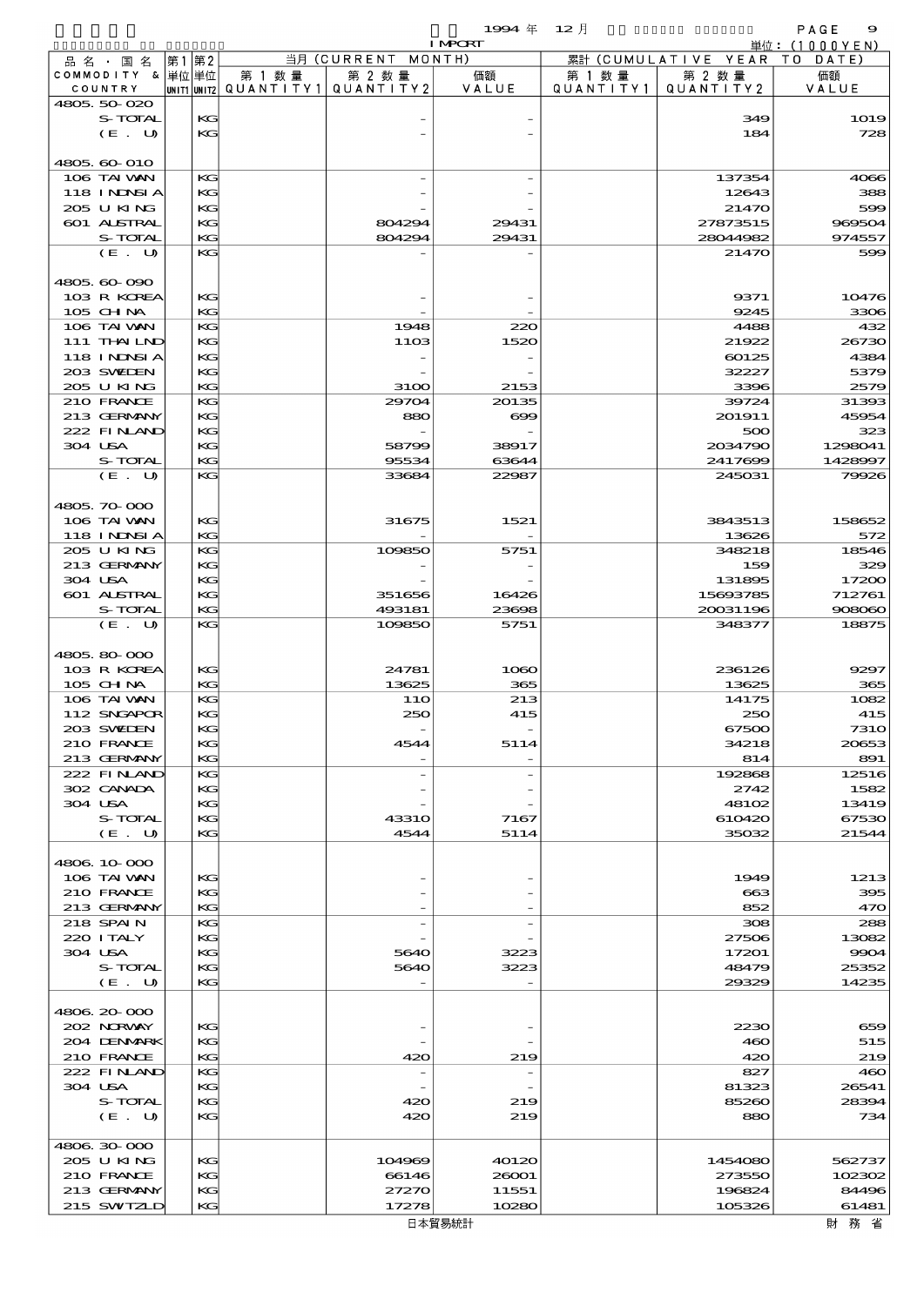|                        |                           | 19994年 12月     |            |                     | PAGE<br>9     |
|------------------------|---------------------------|----------------|------------|---------------------|---------------|
|                        |                           | <b>I MPORT</b> |            |                     | 単位: (1000YEN) |
| 国 名 第1第21<br>品名        | 当月 (CURRENT MONTH)        |                |            | 累計 (CUMULATIVE YEAR | DATE)<br>TQ   |
| &  単位 単位 <br>СОММОРІТҮ | 第 1 数量<br>第 2 数量          | 価額<br>第        | 1 数量       | 第 2 数 量             | 価額            |
| COUNTRY<br>UNIT1 UNIT2 | IQUANTITY)<br>QUANTITY 21 | VALUE          | QUANTITY . | QUANTITY 2          | VALUE         |
|                        |                           |                |            |                     |               |

|                   | .  |              |          |          |                |
|-------------------|----|--------------|----------|----------|----------------|
| 4805.50-020       |    |              |          |          |                |
| S-TOTAL           | KG |              |          | 349      | <b>1O19</b>    |
| (E. U)            | KG |              |          | 184      | 728            |
|                   |    |              |          |          |                |
| 4805.60-010       |    |              |          |          |                |
| 106 TAI VAN       | KG |              |          | 137354   | 4066           |
| 118 I NDSI A      | KG |              |          | 12643    | 388            |
| 205 U KING        | KG |              |          | 21470    | 599            |
| 601 ALSTRAL       |    |              |          |          |                |
|                   | KG | 804294       | 29431    | 27873515 | 969504         |
| S-TOTAL           | KG | 804294       | 29431    | 28044982 | 974557         |
| (E. U)            | KG |              |          | 21470    | 500            |
|                   |    |              |          |          |                |
| 4805.60-090       |    |              |          |          |                |
| 103 R KOREA       | KC |              |          | 9371     | 10476          |
| 105 CHNA          | KG |              |          | 9245     | 3306           |
| 106 TAI VAN       | KG | 1948         | 220      | 4488     | 432            |
| 111 THAILND       | KG | 1103         | 1520     | 21922    | 26730          |
| 118 I NDSI A      | KG |              |          | 60125    | 4384           |
| 203 SWIDEN        | KG |              |          | 32227    | 5379           |
| 205 U KING        | KG | 31OO         | 2153     | 3396     | 2579           |
|                   |    |              |          |          |                |
| 210 FRANCE        | KG | 29704        | 20135    | 39724    | 31393          |
| 213 GERMANY       | KG | 880          | $\infty$ | 201911   | 45954          |
| 222 FINAND        | КG |              |          | 500      | 32.            |
| 304 USA           | KG | 58799        | 38917    | 2034790  | 1298041        |
| S-TOTAL           | KG | 95534        | 63644    | 2417699  | 1428997        |
| (E. U)            | KG | 33684        | 22987    | 245031   | 79926          |
|                   |    |              |          |          |                |
| 4805.70-000       |    |              |          |          |                |
| 106 TAI VAN       | KG | 31675        | 1521     | 3843513  | 158652         |
| <b>118 INNSIA</b> | KG |              |          | 13626    | 572            |
| 205 U KING        | KG | 109850       | 5751     | 348218   | 18546          |
| 213 GERMANY       | KG |              |          | 159      | 329            |
|                   |    |              |          |          |                |
| 304 USA           | KG |              |          | 131895   | 17200          |
| 601 ALSTRAL       | KG | 351656       | 16426    | 15693785 | 712761         |
| S-TOTAL           | KG | 493181       | 23698    | 20031196 | 908060         |
| (E. U)            | KG | 109850       | 5751     | 348377   | 18875          |
|                   |    |              |          |          |                |
| 4805.80-000       |    |              |          |          |                |
| 103 R KOREA       | KC | 24781        | 1060     | 236126   | 9297           |
| 105 CHNA          | KG | 13625        | 365      | 13625    | 365            |
| 106 TAI VAN       | KG | 11O          | 213      | 14175    | 1082           |
| 112 SNGAPOR       | KG | 250          | 415      | 250      | 415            |
| 203 SWIDEN        | КG |              |          | 67500    | <b>7310</b>    |
| 210 FRANCE        |    |              |          |          |                |
|                   | KG | 4544         | 5114     | 34218    | 20653          |
| 213 GERMANY       | КG |              |          | 814      | 891            |
| 222 FINAND        | KG |              |          | 192868   | 12516          |
| 302 CANADA        | KG |              |          | 2742     | 1582           |
| 304 USA           | KG |              |          | 48102    | 13419          |
| S-TOTAL           | KG | <b>43310</b> | 7167     | 610420   | 67530          |
| (E. U)            | KG | 4544         | 5114     | 35032    | 21544          |
|                   |    |              |          |          |                |
| 4806.10-000       |    |              |          |          |                |
| 106 TAI VAN       | KG |              |          | 1949     | 1213           |
| 210 FRANCE        | KG |              |          | 663      | 300            |
| 213 GERMANY       | KG |              |          | 852      | 47C            |
|                   |    |              |          |          |                |
| 218 SPAIN         | KG |              |          | 308      | 288            |
| 220 I TALY        | KG |              |          | 27506    | 13082          |
| 304 USA           | KG | 5640         | 3223     | 17201    | 9904           |
| S-TOTAL           | KG | 5640         | 3223     | 48479    | 25352          |
| (E. U)            | KG |              |          | 29329    | 14235          |
|                   |    |              |          |          |                |
| 4806.20-000       |    |              |          |          |                |
| 202 NORWAY        | KG |              |          | 2230     | 656            |
| 204 DENMARK       | KG |              |          | 460      | 515            |
| 210 FRANCE        | KG | 420          | 219      | 420      | 219            |
| 222 FINAND        | KG |              |          | 827      | 4 <sup>o</sup> |
|                   |    |              |          |          |                |
| 304 USA           | KG |              |          | 81323    | 26541          |
| S-TOTAL           | KG | 420          | 219      | 85260    | 28394          |
| (E. U)            | KG | 420          | 219      | 880      | 734            |
|                   |    |              |          |          |                |
| 4806.30.000       |    |              |          |          |                |
| 205 U KING        | KG | 104969       | 40120    | 1454080  | 562737         |
| 210 FRANCE        | KG | 66146        | 26001    | 273550   | 102302         |
| 213 GERMANY       | KG | 27270        | 11551    | 196824   | 84496          |
| 215 SWIZLD        | KG | 17278        | 10280    | 105326   | 61481          |
|                   |    |              | 日本貿易統計   |          | 財務省            |
|                   |    |              |          |          |                |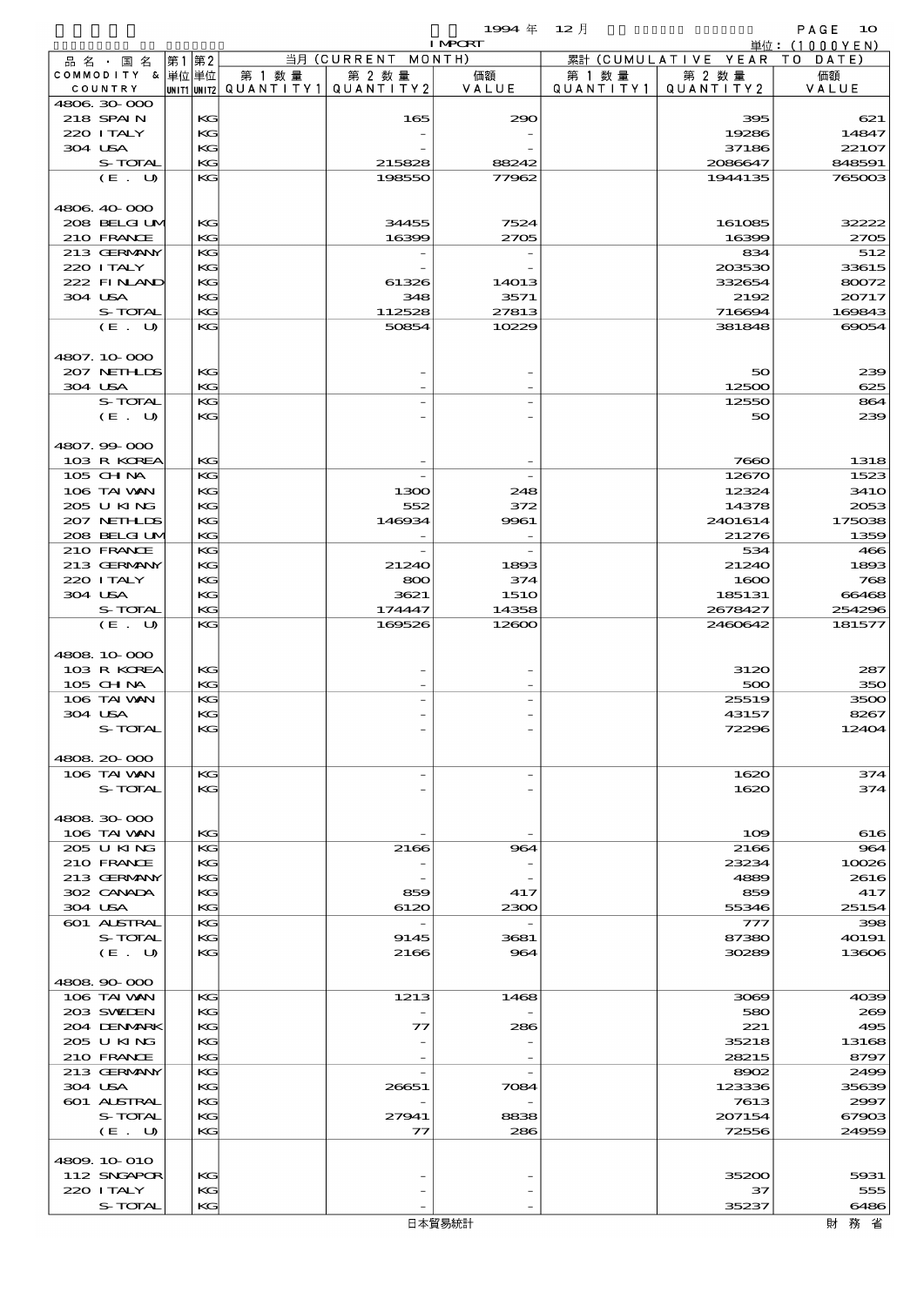$1994 \& 12 \&$ 

|                            |          |                                                  |                                   | <b>I MPORT</b>     |                      |                              | 単位: (1000YEN)   |
|----------------------------|----------|--------------------------------------------------|-----------------------------------|--------------------|----------------------|------------------------------|-----------------|
| 品名・国名                      | 第1第2     |                                                  | 当月 (CURRENT MONTH)                |                    |                      | 累計 (CUMULATIVE YEAR TO DATE) |                 |
| COMMODITY & 単位単位           |          | 第 1 数量<br> unit1 unit2  QUANT   TY1  QUANT   TY2 | 第 2 数量                            | 価額<br>VALUE        | 第 1 数 量<br>QUANTITY1 | 第 2 数量                       | 価額              |
| COUNTRY<br>4806.30-000     |          |                                                  |                                   |                    |                      | QUANTITY 2                   | VALUE           |
| 218 SPAIN                  | KG       |                                                  | 165                               | 290                |                      | 395                          | 621             |
| 220 I TALY                 | KG       |                                                  |                                   |                    |                      | 19286                        | 14847           |
| 304 USA                    | KG       |                                                  |                                   |                    |                      | 37186                        | 22107           |
| S-TOTAL                    | KG       |                                                  | 215828                            | 88242              |                      | 2086647                      | 848591          |
| (E. U)                     | KG       |                                                  | 198550                            | 77962              |                      | 1944135                      | 765003          |
| 4806.40-000                |          |                                                  |                                   |                    |                      |                              |                 |
| 208 BELGI UM               | KG       |                                                  | 34455                             | 7524               |                      | 161085                       | 32222           |
| 210 FRANCE                 | KG       |                                                  | 16399                             | 2705               |                      | 16399                        | 2705            |
| 213 GERMANY                | KG       |                                                  |                                   |                    |                      | 834                          | 512             |
| 220 I TALY                 | KG       |                                                  |                                   |                    |                      | 203530                       | 33615           |
| 222 FINAND                 | KG       |                                                  | 61326                             | 14013              |                      | 332654                       | 80072           |
| 304 USA                    | KG       |                                                  | 348                               | 3571               |                      | 2192                         | 20717           |
| S-TOTAL<br>(E. U)          | KG<br>KG |                                                  | 112528<br>50854                   | 27813<br>10229     |                      | 716694<br>381848             | 169843<br>69054 |
|                            |          |                                                  |                                   |                    |                      |                              |                 |
| 4807.10.000                |          |                                                  |                                   |                    |                      |                              |                 |
| 207 NETHLIS                | KG       |                                                  |                                   |                    |                      | 50                           | 239             |
| 304 USA                    | KG       |                                                  |                                   |                    |                      | 12500                        | 625             |
| S-TOTAL                    | KG       |                                                  |                                   |                    |                      | 12550                        | 864             |
| (E. U)                     | KG       |                                                  |                                   |                    |                      | 50                           | 239             |
|                            |          |                                                  |                                   |                    |                      |                              |                 |
| 4807.99 000<br>103 R KOREA | KG       |                                                  |                                   |                    |                      | 7660                         | 1318            |
| 105 CH NA                  | KG       |                                                  |                                   |                    |                      | 12670                        | 1523            |
| 106 TAI VAN                | KG       |                                                  | 1300                              | 248                |                      | 12324                        | <b>3410</b>     |
| 205 U KING                 | KG       |                                                  | 552                               | 372                |                      | 14378                        | 2053            |
| 207 NETHLIS                | KG       |                                                  | 146934                            | 9961               |                      | 2401614                      | 175038          |
| 208 BELGI UM               | KG       |                                                  |                                   |                    |                      | 21276                        | 1359            |
| 210 FRANCE                 | KG       |                                                  |                                   |                    |                      | 534                          | 466             |
| 213 GERMANY                | KG       |                                                  | 21240                             | 1893               |                      | 21240                        | 1893            |
| 220 I TALY<br>304 USA      | KG<br>KG |                                                  | 800<br>3621                       | 374<br><b>1510</b> |                      | 1600<br>185131               | 768<br>66468    |
| S-TOTAL                    | KG       |                                                  | 174447                            | 14358              |                      | 2678427                      | 254296          |
| (E. U)                     | KG       |                                                  | 169526                            | 12600              |                      | 2460642                      | 181577          |
|                            |          |                                                  |                                   |                    |                      |                              |                 |
| 4808 10 000                |          |                                                  |                                   |                    |                      |                              |                 |
| 103 R KOREA                | KG       |                                                  |                                   |                    |                      | 3120                         | 287             |
| 105 CHNA                   | KG       |                                                  |                                   |                    |                      | 500                          | 350             |
| 106 TAI VAN<br>304 USA     | KG       |                                                  |                                   |                    |                      | 25519                        | 3500<br>8267    |
| S-TOTAL                    | KG<br>KG |                                                  |                                   |                    |                      | 43157<br>72296               | 12404           |
|                            |          |                                                  |                                   |                    |                      |                              |                 |
| 4808.20-000                |          |                                                  |                                   |                    |                      |                              |                 |
| 106 TAI VAN                | KG       |                                                  | $\overline{\phantom{a}}$          |                    |                      | 1620                         | 374             |
| S-TOTAL                    | KG       |                                                  |                                   |                    |                      | 1620                         | 374             |
|                            |          |                                                  |                                   |                    |                      |                              |                 |
| 4808.30-000                |          |                                                  |                                   |                    |                      |                              |                 |
| 106 TAI VAN<br>205 U KING  | KG<br>KG |                                                  | 2166                              | 964                |                      | 109<br>2166                  | 616<br>964      |
| 210 FRANCE                 | KG       |                                                  |                                   |                    |                      | 23234                        | 10026           |
| 213 GERMANY                | KG       |                                                  |                                   |                    |                      | 4889                         | 2616            |
| 302 CANADA                 | KG       |                                                  | 859                               | 417                |                      | 859                          | 417             |
| 304 USA                    | KG       |                                                  | 6120                              | 2300               |                      | 55346                        | 25154           |
| <b>601 ALSTRAL</b>         | KG       |                                                  | $\overline{\phantom{a}}$          |                    |                      | 777                          | 398             |
| S-TOTAL                    | KG       |                                                  | 9145                              | 3681               |                      | 87380                        | 40191           |
| (E. U)                     | KG       |                                                  | 2166                              | 964                |                      | 30289                        | 13606           |
| 4808.90-000                |          |                                                  |                                   |                    |                      |                              |                 |
| 106 TAI VAN                | KG       |                                                  | 1213                              | 1468               |                      | 3069                         | 4039            |
| 203 SWIDEN                 | KG       |                                                  |                                   |                    |                      | 580                          | 200             |
| 204 DENMARK                | KG       |                                                  | $\mathcal{T}$                     | 286                |                      | 221                          | 495             |
| 205 U KING                 | KG       |                                                  |                                   |                    |                      | 35218                        | 13168           |
| 210 FRANCE                 | KG       |                                                  |                                   |                    |                      | 28215                        | 8797            |
| 213 GERMANY<br>304 USA     | KG<br>KG |                                                  | $\overline{\phantom{a}}$<br>26651 | 7084               |                      | 8902<br>123336               | 2499<br>35639   |
| 601 ALSTRAL                | KG       |                                                  |                                   |                    |                      | 7613                         | 2997            |
| S-TOTAL                    | KG       |                                                  | 27941                             | 8838               |                      | 207154                       | 67903           |
| (E. U)                     | KG       |                                                  | $\tau$                            | 286                |                      | 72556                        | 24959           |
|                            |          |                                                  |                                   |                    |                      |                              |                 |
| 4809.10.010                |          |                                                  |                                   |                    |                      |                              |                 |
|                            |          |                                                  |                                   |                    |                      |                              |                 |
| 112 SNGAPOR<br>220 I TALY  | KG<br>KG |                                                  |                                   |                    |                      | 35200<br>37                  | 5931<br>555     |

S-TOTAL KG - - 35237 6486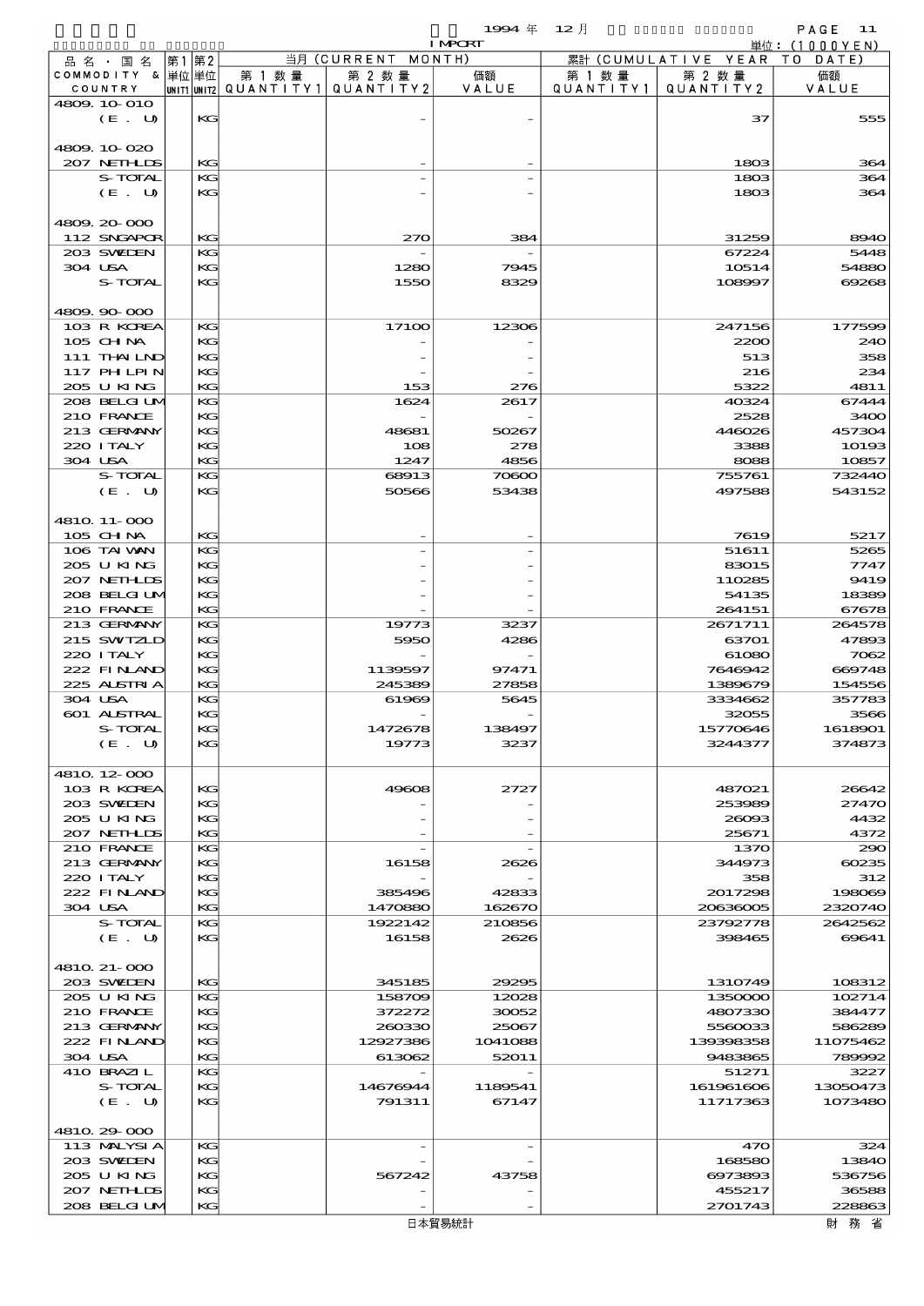|         |                             |      |          |         |                                           | 19994年 12月     |                      |                        | PAGE<br>11        |
|---------|-----------------------------|------|----------|---------|-------------------------------------------|----------------|----------------------|------------------------|-------------------|
|         |                             |      |          |         |                                           | <b>I MPCRT</b> |                      |                        | 単位:(1000YEN)      |
|         | 品 名 ・ 国 名                   | 第1第2 |          |         | 当月 (CURRENT                               | MONTH)         |                      | 累計 (CUMULATIVE YEAR TO | DATE              |
|         | COMMODITY & 単位単位<br>COUNTRY |      |          | 第 1 数 量 | 第 2 数量<br>UNIT1 UNIT2 QUANTITY1 QUANTITY2 | 価額<br>VALUE    | 第 1 数 量<br>QUANTITY1 | 第 2 数量<br>QUANTITY 2   | 価額<br>VALUE       |
|         | 4809.10.010                 |      |          |         |                                           |                |                      |                        |                   |
|         | (E. U)                      |      | KG       |         |                                           |                |                      | 37                     | 555               |
|         |                             |      |          |         |                                           |                |                      |                        |                   |
|         | 4809.10-020                 |      |          |         |                                           |                |                      |                        |                   |
|         | 207 NETHLIS                 |      | KС       |         |                                           |                |                      | 1803                   | 364               |
|         | S-TOTAL<br>(E. U)           |      | KG<br>KG |         |                                           |                |                      | 1803                   | 364               |
|         |                             |      |          |         |                                           |                |                      | 1803                   | 364               |
|         | 4809.20-000                 |      |          |         |                                           |                |                      |                        |                   |
|         | 112 SNGAPOR                 |      | KС       |         | 270                                       | 384            |                      | 31259                  | 8940              |
|         | 203 SWIEN                   |      | KG       |         |                                           |                |                      | 67224                  | 5448              |
| 304 USA |                             |      | KG       |         | 1280                                      | 7945           |                      | 10514                  | 54880             |
|         | S-TOTAL                     |      | KG       |         | 1550                                      | 8329           |                      | 108997                 | 69268             |
|         |                             |      |          |         |                                           |                |                      |                        |                   |
|         | 4809.90-000<br>103 R KOREA  |      | KG       |         | 17100                                     | 12306          |                      | 247156                 | 177599            |
|         | 105 CH NA                   |      | KG       |         |                                           |                |                      | 2200                   | 240               |
|         | 111 THAILND                 |      | KG       |         |                                           |                |                      | 513                    | 358               |
|         | <b>117 PHLPIN</b>           |      | KG       |         |                                           |                |                      | 216                    | 234               |
|         | 205 U KING                  |      | KG       |         | 153                                       | 276            |                      | 5322                   | 4811              |
|         | 208 BELGI UM                |      | KG       |         | 1624                                      | 2617           |                      | 40324                  | 67444             |
|         | 210 FRANCE                  |      | KG       |         |                                           |                |                      | 2528                   | 3400              |
|         | 213 GERMANY                 |      | KG       |         | 48681                                     | 50267          |                      | 446026                 | 457304            |
| 304 USA | 220 I TALY                  |      | KG<br>KG |         | 108<br>1247                               | 278<br>4856    |                      | 3388<br>8088           | 10193<br>10857    |
|         | S-TOTAL                     |      | KG       |         | 68913                                     | 70800          |                      | 755761                 | 732440            |
|         | (E. U)                      |      | KG       |         | 50566                                     | 53438          |                      | 497588                 | 543152            |
|         |                             |      |          |         |                                           |                |                      |                        |                   |
|         | 4810 11-000                 |      |          |         |                                           |                |                      |                        |                   |
|         | 105 CH NA                   |      | KС       |         |                                           |                |                      | 7619                   | 5217              |
|         | 106 TAI VAN                 |      | KG       |         |                                           |                |                      | 51611                  | 5265              |
|         | 205 U KING                  |      | KС       |         |                                           |                |                      | 83015                  | 7747              |
|         | 207 NETHLIS                 |      | KG       |         |                                           |                |                      | 110285                 | 9419              |
|         | 208 BELGI UM<br>210 FRANCE  |      | KG<br>KG |         |                                           |                |                      | 54135<br>264151        | 18389<br>67678    |
|         | 213 GERMANY                 |      | KG       |         | 19773                                     | 3237           |                      | 2671711                | 264578            |
|         | 215 SWIZLD                  |      | KС       |         | 5950                                      | 4286           |                      | 63701                  | 47893             |
|         | 220 I TALY                  |      | KG       |         |                                           |                |                      | 61080                  | 7062              |
|         | 222 FINAND                  |      | KG       |         | 1139597                                   | 97471          |                      | 7646942                | 669748            |
|         | 225 ALSTRIA                 |      | KG       |         | 245389                                    | 27858          |                      | 1389679                | 154556            |
| 304 USA |                             |      | KG       |         | 61969                                     | 5645           |                      | 3334662                | 357783            |
|         | 601 ALSTRAI                 |      | KG       |         |                                           |                |                      | 32055                  | 3566              |
|         | S-TOTAL<br>(E. U)           |      | KG<br>KG |         | 1472678<br>19773                          | 138497<br>3237 |                      | 15770646<br>3244377    | 1618901<br>374873 |
|         |                             |      |          |         |                                           |                |                      |                        |                   |
|         | 4810 12 000                 |      |          |         |                                           |                |                      |                        |                   |
|         | 103 R KOREA                 |      | KG       |         | 49608                                     | 2727           |                      | 487021                 | 26642             |
|         | 203 SWIEN                   |      | KG       |         |                                           |                |                      | 253989                 | 27470             |
|         | 205 U KING                  |      | KG       |         |                                           |                |                      | 26093                  | 4432              |
|         | 207 NETHLIS                 |      | KG       |         |                                           |                |                      | 25671                  | 4372              |
|         | 210 FRANCE<br>213 GERMANY   |      | KG       |         | 16158                                     | 2626           |                      | 1370<br>344973         | 290<br>60235      |
|         | 220 I TALY                  |      | KG<br>KG |         |                                           |                |                      | 358                    | 312               |
|         | 222 FINAND                  |      | KG       |         | 385496                                    | 42833          |                      | 2017298                | 198069            |
| 304 USA |                             |      | KG       |         | 1470880                                   | 162670         |                      | 20636005               | 2320740           |
|         | S-TOTAL                     |      | KG       |         | 1922142                                   | 210856         |                      | 23792778               | 2642562           |
|         | (E. U)                      |      | КG       |         | 16158                                     | 2626           |                      | 398465                 | 69641             |
|         |                             |      |          |         |                                           |                |                      |                        |                   |
|         | 4810 21-000                 |      |          |         |                                           |                |                      |                        |                   |
|         | 203 SVELEN<br>205 U KING    |      | KG<br>KG |         | 345185<br>158709                          | 29295          |                      | 1310749                | 108312<br>102714  |
|         | 210 FRANCE                  |      | KG       |         | 372272                                    | 12028<br>30052 |                      | 1350000<br>4807330     | 384477            |
|         | 213 GERMANY                 |      | KG       |         | 260330                                    | 25067          |                      | 5560033                | 586289            |
|         | 222 FINAND                  |      | KG       |         | 12927386                                  | 1041088        |                      | 139398358              | 11075462          |
| 304 USA |                             |      | KG       |         | 613062                                    | 52011          |                      | 9483865                | 789992            |
|         | 410 BRAZIL                  |      | KG       |         |                                           |                |                      | 51271                  | 3227              |
|         | S-TOTAL                     |      | KG       |         | 14676944                                  | 1189541        |                      | 161961606              | 13050473          |
|         | (E. U)                      |      | KG       |         | 791311                                    | 67147          |                      | 11717363               | 1073480           |
|         |                             |      |          |         |                                           |                |                      |                        |                   |
|         | 4810 29 000<br>113 MALYSIA  |      | KG       |         |                                           |                |                      | 470                    | 324               |
|         | 203 SWIDEN                  |      | KG       |         |                                           |                |                      | 168580                 | 13840             |
|         | 205 U KING                  |      | KG       |         | 567242                                    | 43758          |                      | 6973893                | 536756            |
|         | 207 NETHLIS                 |      | KG       |         |                                           |                |                      | 455217                 | 36588             |
|         | 208 BELGI UM                |      | KG       |         |                                           |                |                      | 2701743                | 228863            |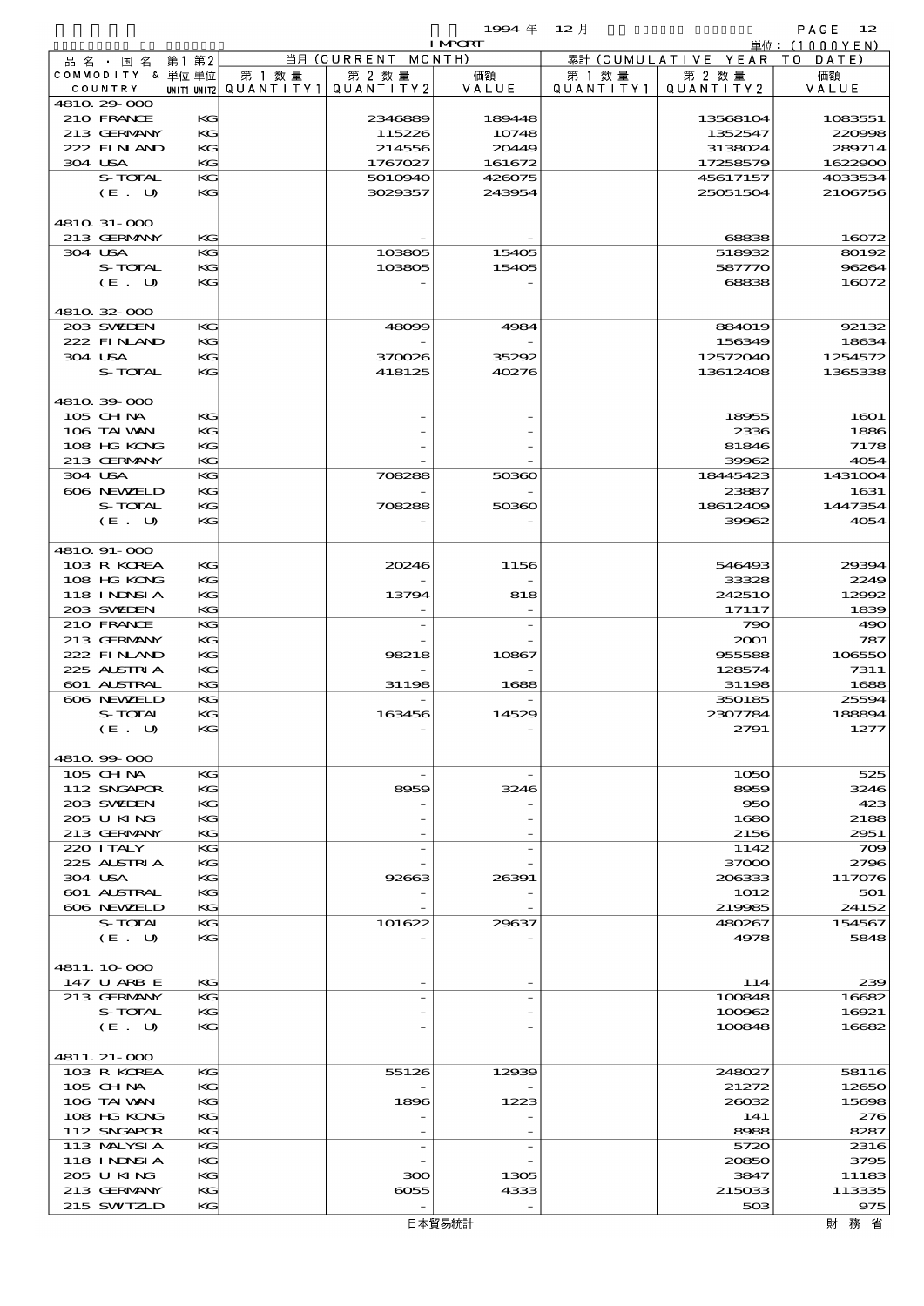|                           |      |    |        |                                       | 1994 $#$       | $12$ 月    |                     | PAGE<br>- 12    |
|---------------------------|------|----|--------|---------------------------------------|----------------|-----------|---------------------|-----------------|
|                           |      |    |        |                                       | <b>I MPORT</b> |           |                     | 単位: $(1000YEN)$ |
| 品 名 ・ 国 名                 | 第1第2 |    |        | 当月 (CURRENT MONTH)                    |                |           | 累計 (CUMULATIVE YEAR | TO DATE)        |
| COMMODITY & 単位単位          |      |    | 第 1 数量 | 第 2 数量                                | 価額             | 第 1 数 量   | 第 2 数量              | 価額              |
| COUNTRY                   |      |    |        | unit1 unit2  QUANT   TY1  QUANT   TY2 | VALUE          | QUANTITY1 | QUANTITY2           | VALUE           |
| 4810.29-000<br>210 FRANCE |      | KG |        | 2346889                               | 189448         |           | 13568104            | 1083551         |
| 213 GERMANY               |      | KG |        | 115226                                | 10748          |           | 1352547             | 220008          |
| 222 FINAND                |      | KG |        | 214556                                | 20449          |           | 3138024             | 289714          |
| 304 USA                   |      | KG |        | 1767027                               | 161672         |           | 17258579            | 1622900         |
| S-TOTAL                   |      | KG |        | 5010940                               | 426075         |           | 45617157            | 4033534         |
| (E. U)                    |      | KG |        | 3029357                               | 243954         |           | 25051504            | 2106756         |
|                           |      |    |        |                                       |                |           |                     |                 |
| 4810 31-000               |      |    |        |                                       |                |           |                     |                 |
| 213 GERMANY               |      | KG |        |                                       |                |           | 68838               | 16072           |
| 304 USA                   |      | KG |        | 103805                                | 15405          |           | 518932              | 80192           |
| S-TOTAL                   |      | KG |        | 103805                                | 15405          |           | 587770              | 96264           |
| (E. U)                    |      | KG |        |                                       |                |           | 68838               | 16072           |
|                           |      |    |        |                                       |                |           |                     |                 |
| 4810.32-000               |      |    |        |                                       |                |           |                     |                 |
| 203 SWIDEN                |      | KG |        | 48099                                 | 4984           |           | 884019              | 92132           |
| 222 FINAND                |      | KG |        |                                       |                |           | 156349              | 18634           |
| 304 USA                   |      | KG |        | 370026                                | 35292          |           | 12572040            | 1254572         |
| S-TOTAL                   |      | KG |        | 418125                                | 40276          |           | 13612408            | 1365338         |
|                           |      |    |        |                                       |                |           |                     |                 |
| 4810.39-000               |      |    |        |                                       |                |           |                     |                 |
| 105 CH NA                 |      | KG |        |                                       |                |           | 18955               | 1601            |
| 106 TAI VAN               |      | KG |        |                                       |                |           | 2336                | 1886            |
| 108 HG KONG               |      | KG |        |                                       |                |           | 81846               | 7178            |
| 213 GERMANY               |      | KG |        |                                       |                |           | 39962               | 4054            |
| 304 USA                   |      | KG |        | 708288                                | 50360          |           | 18445423            | 1431004         |
| 606 NEWELD                |      | KG |        |                                       |                |           | 23887               | 1631            |
| S-TOTAL                   |      | KG |        | 708288                                | 50360          |           | 18612409            | 1447354         |
| (E. U)                    |      | KG |        |                                       |                |           | 39962               | 4054            |
|                           |      |    |        |                                       |                |           |                     |                 |
| 4810. 91-000              |      |    |        |                                       |                |           |                     |                 |
| 103 R KOREA               |      | KG |        | 20246                                 | 1156           |           | 546493              | 29394           |
| 108 HG KONG               |      | KG |        |                                       |                |           | 33328               | 2249            |
| <b>118 INNSIA</b>         |      | KG |        | 13794                                 | 818            |           | 242510              | 12992           |
| 203 SWIDEN                |      | KG |        |                                       |                |           | 17117               | 1839            |
| 210 FRANCE                |      | КG |        |                                       |                |           | 790                 | 490             |
| 213 GERMANY               |      | KG |        |                                       |                |           | 2001                | 787             |
| 222 FINAND                |      | KG |        | 98218                                 | 10867          |           | 955588              | 106550          |
| 225 ALSTRIA               |      | KG |        |                                       |                |           | 128574              | 7311            |
| 601 ALSTRAL               |      | KG |        | 31198                                 | 1688           |           | 31198               | 1688            |
| 606 NEWELD                |      | KG |        |                                       |                |           | 350185              | 25594           |
| S-TOTAL                   |      | KG |        | 163456                                | 14529          |           | 2307784             | 188894          |
| (E. U)                    |      | KG |        |                                       |                |           | 2791                | 1277            |
|                           |      |    |        |                                       |                |           |                     |                 |
| 4810.99-000               |      |    |        |                                       |                |           |                     |                 |
| 105 CH NA                 |      | КG |        |                                       |                |           | 1050                | 525             |
| 112 SNGAPOR               |      | KG |        | 8959                                  | 3246           |           | 8959                | 3246            |
| 203 SWIDEN                |      | KG |        |                                       |                |           | 950                 | 423             |
| 205 U KING                |      | KG |        |                                       |                |           | 1680                | 2188            |
| 213 GERMANY               |      | KG |        |                                       |                |           | 2156                | 2951            |
| 220 I TALY                |      | КG |        |                                       |                |           | 1142                | 709             |
| 225 ALSTRIA               |      | KG |        |                                       |                |           | 37000               | 2796            |
| 304 USA                   |      | KG |        | 92663                                 | 26391          |           | 206333              | 117076          |
| 601 ALSTRAL               |      | KG |        |                                       |                |           | 1012                | 501             |
| 606 NEWELD                |      | KG |        |                                       |                |           | 219985              | 24152           |
| S-TOTAL                   |      | КG |        | 101622                                | 29637          |           | 480267              | 154567          |
| (E. U)                    |      | KG |        |                                       |                |           | 4978                | 5848            |
|                           |      |    |        |                                       |                |           |                     |                 |
| 4811.10-000               |      |    |        |                                       |                |           |                     |                 |
| 147 U ARB E               |      | KG |        |                                       |                |           | 114                 | 239             |
| 213 GERMANY               |      | КG |        |                                       |                |           | 100848              | 16682           |
| S-TOTAL                   |      | KG |        |                                       |                |           | 100962              | 16921           |
| (E. U)                    |      | KG |        |                                       |                |           | 100848              | 16682           |
|                           |      |    |        |                                       |                |           |                     |                 |
| 4811. 21-000              |      |    |        |                                       |                |           |                     |                 |
| 103 R KOREA               |      | KG |        | 55126                                 | 12939          |           | 248027              | 58116           |
| $105$ CHNA                |      | KG |        |                                       |                |           | 21272               | 12650           |
| 106 TAI WAN               |      | KG |        | 1896                                  | 1223           |           | 26032               | 15698           |
| 108 HG KONG               |      | KG |        |                                       |                |           | 141                 | 276             |
| 112 SNGAPOR               |      | KG |        |                                       |                |           | 8988                | 8287            |
| 113 MALYSIA               |      | КG |        |                                       |                |           | 5720                | 2316            |
| <b>118 INNSIA</b>         |      | KG |        |                                       |                |           | 20850               | 3795            |
| 2005 U KING               |      | KG |        | 300                                   | 1305           |           | 3847                | 11183           |
| 213 GERMANY               |      | KG |        | 6055                                  | 4333           |           | 215033              | 113335          |
| 215 SWIZLD                |      | KG |        |                                       |                |           | 503                 | 975             |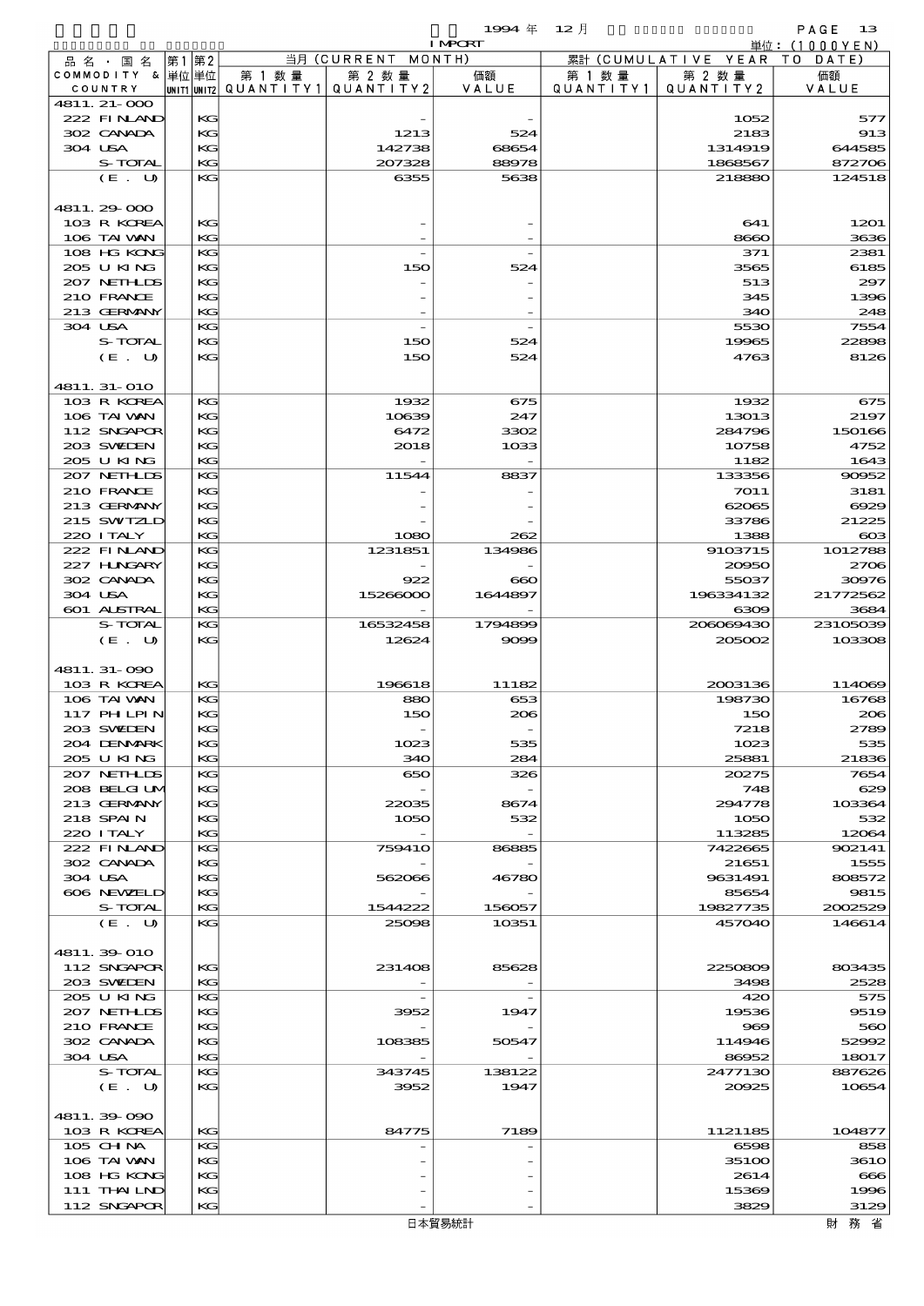$1994 \quad \text{#} \quad 12 \quad \text{#}$  PAGE 13

|                            |    |          |        |                                       | <b>I MPORT</b> |           |                              | 単位:(1000YEN)     |
|----------------------------|----|----------|--------|---------------------------------------|----------------|-----------|------------------------------|------------------|
| 品名・国名                      | 第1 | 第2       |        | 当月(CURRENT                            | MONTH)         |           | 累計 (CUMULATIVE YEAR TO DATE) |                  |
| COMMODITY & 単位単位           |    |          | 第 1 数量 | 第 2 数量                                | 価額             | 第 1 数 量   | 第 2 数量                       | 価額               |
| COUNTRY                    |    |          |        | unit1 unit2  QUANT   TY1  QUANT   TY2 | VALUE          | QUANTITY1 | QUANTITY 2                   | VALUE            |
| 4811. 21-000<br>222 FINAND |    | KG       |        |                                       |                |           | 1052                         | 577              |
| 302 CANADA                 |    | KG       |        | 1213                                  | 524            |           | 2183                         | 913              |
| 304 USA                    |    | KG       |        | 142738                                | 68654          |           | 1314919                      | 644585           |
| S-TOTAL                    |    | KG       |        | 207328                                | 88978          |           | 1868567                      | 872706           |
| (E. U)                     |    | KG       |        | 6355                                  | 5638           |           | 218880                       | 124518           |
|                            |    |          |        |                                       |                |           |                              |                  |
| 4811.29-000                |    |          |        |                                       |                |           |                              |                  |
| 103 R KOREA                |    | KG       |        |                                       |                |           | 641                          | 1201             |
| 106 TAI VAN                |    | KG       |        |                                       |                |           | 8660                         | 3636             |
| 108 HG KONG<br>205 U KING  |    | KG<br>KG |        | 150                                   | 524            |           | 371<br>3565                  | 2381<br>6185     |
| 207 NETHLIS                |    | KG       |        |                                       |                |           | 513                          | 297              |
| 210 FRANCE                 |    | KG       |        |                                       |                |           | 345                          | 1396             |
| 213 GERMANY                |    | KG       |        |                                       |                |           | 340                          | 248              |
| 304 USA                    |    | KG       |        |                                       |                |           | 5530                         | 7554             |
| S-TOTAL                    |    | KG       |        | 150                                   | 524            |           | 19965                        | 22898            |
| (E. U)                     |    | KG       |        | 150                                   | 524            |           | 4763                         | 8126             |
|                            |    |          |        |                                       |                |           |                              |                  |
| 4811.31-010                |    |          |        |                                       |                |           |                              |                  |
| 103 R KOREA                |    | KG       |        | 1932                                  | 675            |           | 1932                         | 675              |
| 106 TAI VAN<br>112 SNGAPOR |    | KG<br>KG |        | 10639<br>6472                         | 247<br>3302    |           | 13013<br>284796              | 2197<br>150166   |
| 203 SWIDEN                 |    | KG       |        | 2018                                  | 1033           |           | 10758                        | 4752             |
| 205 U KING                 |    | KG       |        |                                       |                |           | 1182                         | 1643             |
| 207 NETHLIS                |    | KG       |        | 11544                                 | 8837           |           | 133356                       | 90952            |
| 210 FRANCE                 |    | KG       |        |                                       |                |           | 7011                         | 3181             |
| 213 GERMANY                |    | KG       |        |                                       |                |           | 62065                        | 6929             |
| 215 SWIZLD                 |    | KG       |        |                                       |                |           | 33786                        | 21225            |
| 220 I TALY                 |    | KG       |        | 1080                                  | 262            |           | 1388                         | $\infty$         |
| 222 FINAND                 |    | KG       |        | 1231851                               | 134986         |           | 9103715                      | 1012788          |
| 227 H.NGARY                |    | KG       |        |                                       |                |           | 20950                        | 2706             |
| 302 CANADA                 |    | KG       |        | 922                                   | ൈ              |           | 55037                        | 30976            |
| 304 USA<br>601 ALSTRAL     |    | KG<br>KG |        | 15266000                              | 1644897        |           | 196334132<br>6309            | 21772562<br>3684 |
| S-TOTAL                    |    | KG       |        | 16532458                              | 1794899        |           | 208089430                    | 23105039         |
| (E. U)                     |    | KG       |        | 12624                                 | 9099           |           | 205002                       | 103308           |
|                            |    |          |        |                                       |                |           |                              |                  |
| 4811.31-090                |    |          |        |                                       |                |           |                              |                  |
| 103 R KOREA                |    | KG       |        | 196618                                | 11182          |           | 2003136                      | 114069           |
| 106 TAI VAN                |    | KG       |        | 880                                   | 653            |           | 198730                       | 16768            |
| 117 PH LPIN                |    | KG       |        | 150                                   | 206            |           | 150                          | 206              |
| 203 SVELEN                 |    | KG       |        |                                       |                |           | 7218                         | 2789             |
| 204 DENMARK                |    | KG       |        | 1023                                  | 535            |           | 1023                         | 535              |
| 205 U KING<br>207 NETHLIS  |    | KG<br>KG |        | 340<br>650                            | 284<br>326     |           | 25881<br>20275               | 21836<br>7654    |
| 208 BELGI UM               |    | KG       |        |                                       |                |           | 748                          | 629              |
| 213 GERMANY                |    | KG       |        | 22035                                 | 8674           |           | 294778                       | 103364           |
| 218 SPAIN                  |    | KG       |        | 1050                                  | 532            |           | 1050                         | 532              |
| 220 ITALY                  |    | KG       |        |                                       |                |           | 113285                       | 12064            |
| 222 FINAND                 |    | KG       |        | <b>759410</b>                         | 86885          |           | 7422665                      | 902141           |
| 302 CANADA                 |    | KG       |        |                                       |                |           | 21651                        | 1555             |
| 304 USA                    |    | KG       |        | 562066                                | 46780          |           | 9631491                      | 808572           |
| 606 NEWELD                 |    | KG       |        |                                       |                |           | 85654                        | 9815             |
| S-TOTAL<br>(E. U)          |    | KG       |        | 1544222                               | 156057         |           | 19827735                     | 2002529          |
|                            |    | KG       |        | 25098                                 | 10351          |           | 457040                       | 146614           |
| 4811.39-010                |    |          |        |                                       |                |           |                              |                  |
| 112 SNGAPOR                |    | KG       |        | 231408                                | 85628          |           | 2250809                      | 803435           |
| 203 SWIEN                  |    | KG       |        |                                       |                |           | 3498                         | 2528             |
| 205 U KING                 |    | KG       |        |                                       |                |           | 420                          | 575              |
| 207 NETHLIS                |    | KG       |        | 3952                                  | 1947           |           | 19536                        | 9519             |
| 210 FRANCE                 |    | KG       |        |                                       |                |           | 969                          | 560              |
| 302 CANADA                 |    | KG       |        | 108385                                | 50547          |           | 114946                       | 52992            |
| 304 USA                    |    | KG       |        |                                       |                |           | 86952                        | 18017            |
| S-TOTAL                    |    | KG       |        | 343745                                | 138122         |           | 2477130                      | 887626           |
| (E. U)                     |    | KG       |        | 3952                                  | 1947           |           | 20025                        | 10654            |
| 4811.39-090                |    |          |        |                                       |                |           |                              |                  |
| 103 R KOREA                |    | KG       |        | 84775                                 | 7189           |           | 1121185                      | 104877           |
| 105 CHNA                   |    | KG       |        |                                       |                |           | 6598                         | 858              |
| 106 TAI VAN                |    | KG       |        |                                       |                |           | 351 <sub>00</sub>            | <b>3610</b>      |
| 108 HG KONG                |    | KG       |        |                                       |                |           | 2614                         | 666              |
| 111 THAILND                |    | KG       |        |                                       |                |           | 15369                        | 1996             |
| 112 SNGAPOR                |    | KG       |        |                                       |                |           | 3829                         | 3129             |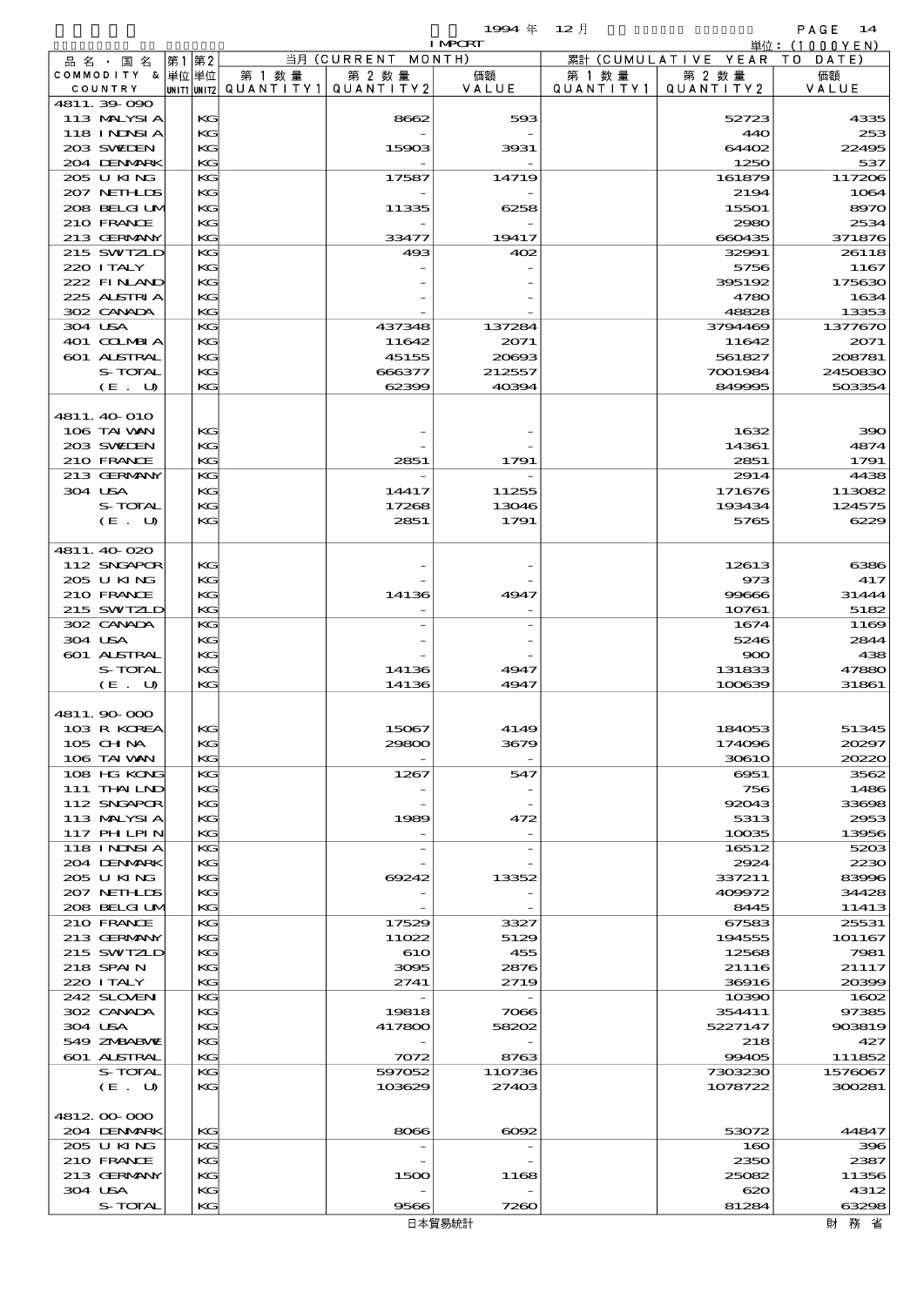|                             |              |       |          |                                     |                       | 1994年          | $12$ 月               |                     | PAGE 14          |
|-----------------------------|--------------|-------|----------|-------------------------------------|-----------------------|----------------|----------------------|---------------------|------------------|
|                             |              |       |          |                                     |                       | <b>I MPORT</b> |                      |                     | 単位:(1000YEN)     |
| 品名・国名                       |              | 第1 第2 |          |                                     | 当月 (CURRENT MONTH)    |                |                      | 累計 (CUMULATIVE YEAR | T O<br>DATE)     |
| COMMODITY & 単位単位<br>COUNTRY |              |       |          | 第 1 数量<br> unit1 unit2  Q∪ANT   TY1 | 第 2 数 量<br>QUANTITY 2 | 価額<br>VALUE    | 第 1 数 量<br>QUANTITY1 | 第 2 数量<br>QUANTITY2 | 価額<br>VALUE      |
| 4811.39-090                 |              |       |          |                                     |                       |                |                      |                     |                  |
| 113 MALYSIA                 |              |       | KG       |                                     | 8662                  | 593            |                      | 52723               | 4335             |
| 118 I NJNSI A               |              |       | KG       |                                     |                       |                |                      | 440                 | 253              |
| 203 SWIDEN                  |              |       | KG       |                                     | 15903                 | 3931           |                      | 64402               | 22495            |
| 204 DENMRK                  |              |       | KG       |                                     |                       |                |                      | 1250                | 537              |
| 205 U KING                  |              |       | KG       |                                     | 17587                 | 14719          |                      | 161879              | 117206           |
| 207 NETHLIS                 |              |       | KG       |                                     |                       |                |                      | 2194                | 1064             |
|                             | 208 BELGI UM |       | KG       |                                     | 11335                 | 6258           |                      | 15501               | 8970             |
| 210 FRANCE                  |              |       | KG       |                                     |                       |                |                      | 2980                | 2534             |
| 213 GERMANY                 |              |       | KG       |                                     | 33477                 | 19417          |                      | 660435              | 371876           |
| 215 SWIZLD<br>220 I TALY    |              |       | KG<br>KG |                                     | 493                   | 402            |                      | 32991<br>5756       | 26118<br>1167    |
| 222 FINAND                  |              |       | KG       |                                     |                       |                |                      | 395192              | 175630           |
| 225 ALSTRIA                 |              |       | KG       |                                     |                       |                |                      | 4780                | 1634             |
| 302 CANADA                  |              |       | KG       |                                     |                       |                |                      | 48828               | 13353            |
| 304 USA                     |              |       | KG       |                                     | 437348                | 137284         |                      | 3794469             | 1377670          |
| 401 COLMBIA                 |              |       | KG       |                                     | 11642                 | 2071           |                      | 11642               | 2071             |
| 601 ALSTRAL                 |              |       | KG       |                                     | 45155                 | 20693          |                      | 561827              | 208781           |
|                             | S-TOTAL      |       | KG       |                                     | 666377                | 212557         |                      | 7001984             | 2450830          |
|                             | (E. U)       |       | KG       |                                     | 62399                 | 40394          |                      | 849995              | 503354           |
|                             |              |       |          |                                     |                       |                |                      |                     |                  |
| 4811. 40 O10                |              |       |          |                                     |                       |                |                      |                     |                  |
| 106 TAI VAN                 |              |       | KG       |                                     |                       |                |                      | 1632                | 390              |
| 203 SWIEN                   |              |       | KG       |                                     |                       |                |                      | 14361               | 4874             |
| 210 FRANCE                  |              |       | KG       |                                     | 2851                  | 1791           |                      | 2851                | 1791             |
| 213 GERMANY<br>304 USA      |              |       | KG<br>KG |                                     |                       |                |                      | 2914                | 4438             |
|                             | S-TOTAL      |       | KG       |                                     | 14417<br>17268        | 11255<br>13046 |                      | 171676<br>193434    | 113082<br>124575 |
|                             | (E. U)       |       | KG       |                                     | 2851                  | 1791           |                      | 5765                | 6229             |
|                             |              |       |          |                                     |                       |                |                      |                     |                  |
| 4811.40020                  |              |       |          |                                     |                       |                |                      |                     |                  |
| 112 SNGAPOR                 |              |       | KG       |                                     |                       |                |                      | 12613               | 6386             |
| 205 U KING                  |              |       | KG       |                                     |                       |                |                      | 973                 | 417              |
| 210 FRANCE                  |              |       | KG       |                                     | 14136                 | 4947           |                      | 99666               | 31444            |
| 215 SWIZLD                  |              |       | KG       |                                     |                       |                |                      | 10761               | 5182             |
| 302 CANADA                  |              |       | KG       |                                     |                       |                |                      | 1674                | 1169             |
| 304 USA                     |              |       | KG       |                                     |                       |                |                      | 5246                | 2844             |
| 601 ALSTRAL                 |              |       | KG       |                                     |                       |                |                      | 900                 | 438              |
|                             | S-TOTAL      |       | KG       |                                     | 14136                 | 4947           |                      | 131833              | 47880            |
|                             | (E. U)       |       | KG       |                                     | 14136                 | 4947           |                      | 100639              | 31861            |
| 4811.90000                  |              |       |          |                                     |                       |                |                      |                     |                  |
| 103 R KOREA                 |              |       | KG       |                                     | 15067                 | 4149           |                      | 184053              | 51345            |
| 105 CHNA                    |              |       | KG       |                                     | 29800                 | 3679           |                      | 174096              | 20297            |
| 106 TAI VAN                 |              |       | KG       |                                     |                       |                |                      | <b>30610</b>        | 20220            |
| 108 HG KONG                 |              |       | KG       |                                     | 1267                  | 547            |                      | 6951                | 3562             |
| 111 THAILND                 |              |       | KG       |                                     |                       |                |                      | 756                 | 1486             |
| 112 SNGAPOR                 |              |       | KG       |                                     |                       |                |                      | 92043               | 33608            |
| 113 MALYSIA                 |              |       | KG       |                                     | 1989                  | 472            |                      | 5313                | 2953             |
| 117 PHLPIN                  |              |       | KG       |                                     |                       |                |                      | 10035               | 13956            |
| <b>118 INNSIA</b>           |              |       | KG       |                                     |                       |                |                      | 16512               | 5203             |
| 204 DENMARK                 |              |       | KG       |                                     |                       |                |                      | 2924                | 2230             |
| 205 U KING<br>207 NETHLIS   |              |       | KG<br>KG |                                     | 69242                 | 13352          |                      | 337211<br>409972    | 83996<br>34428   |
|                             | 208 BELGI UM |       | KG       |                                     |                       |                |                      | 8445                | 11413            |
| 210 FRANCE                  |              |       | KG       |                                     | 17529                 | 3327           |                      | 67583               | 25531            |
| 213 GERMANY                 |              |       | KG       |                                     | 11022                 | 5129           |                      | 194555              | 101167           |
| 215 SWIZLD                  |              |       | KG       |                                     | 610                   | 455            |                      | 12568               | 7981             |
| 218 SPAIN                   |              |       | KG       |                                     | 3095                  | 2876           |                      | 21116               | 21117            |
| 220 I TALY                  |              |       | KG       |                                     | 2741                  | 2719           |                      | 36916               | 20399            |
| 242 SLOVEN                  |              |       | KС       |                                     |                       |                |                      | 10390               | 1602             |
| 302 CANADA                  |              |       | KG       |                                     | 19818                 | 7066           |                      | 354411              | 97385            |
| 304 USA                     |              |       | KG       |                                     | 417800                | 58202          |                      | 5227147             | 903819           |
| 549 ZMBABMZ                 |              |       | KG       |                                     |                       |                |                      | 218                 | 427              |
| <b>601 ALSTRAL</b>          |              |       | KG       |                                     | 7072                  | 8763           |                      | 99405               | 111852           |
|                             | S-TOTAL      |       | KС       |                                     | 597052                | 110736         |                      | 7303230             | 1576067          |
|                             | (E. U)       |       | KG       |                                     | 103629                | 27403          |                      | 1078722             | 300281           |
| 481200000                   |              |       |          |                                     |                       |                |                      |                     |                  |
| 204 DENMARK                 |              |       | KG       |                                     | 8066                  | $\cos z$       |                      | 53072               | 44847            |
| 205 U KING                  |              |       | KG       |                                     |                       |                |                      | 160                 | 396              |
| 210 FRANCE                  |              |       | KG       |                                     |                       |                |                      | 2350                | 2387             |
| 213 GERMANY                 |              |       | KG       |                                     | 1500                  | 1168           |                      | 25082               | 11356            |
| 304 USA                     |              |       | KG       |                                     |                       |                |                      | 620                 | 4312             |
|                             | S-TOTAL      |       | KG       |                                     | 9566                  | 7260           |                      | 81284               | 63298            |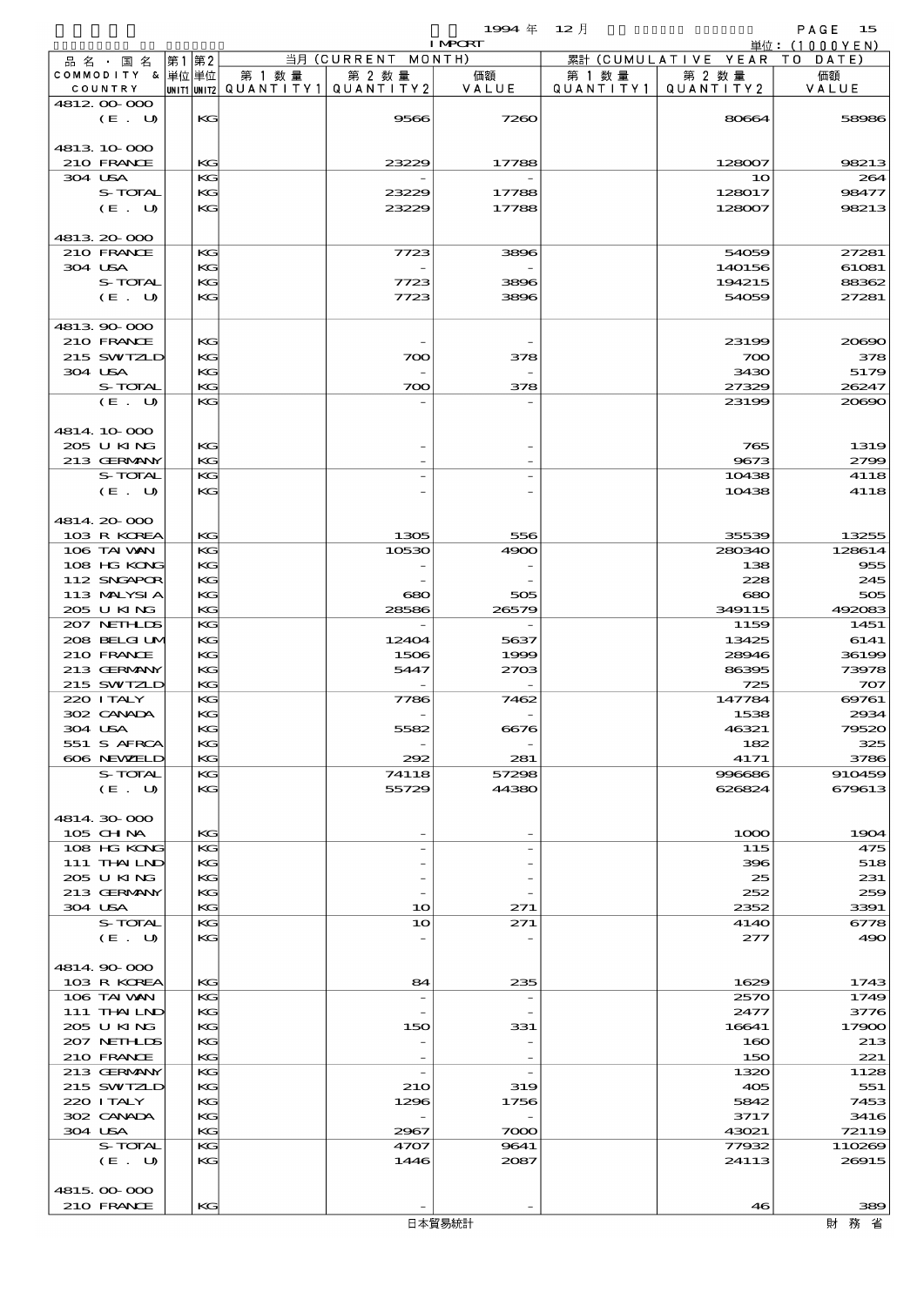$1994 \quad \text{#} \quad 12 \quad \text{#}$  PAGE 15

|                             |                             |      |          |        |                                                  | <b>I MPCRT</b> |                     |                              | 単位: (1000YEN)  |
|-----------------------------|-----------------------------|------|----------|--------|--------------------------------------------------|----------------|---------------------|------------------------------|----------------|
| 品 名 ・ 国 名                   |                             | 第1第2 |          |        | 当月 (CURRENT MONTH)                               |                |                     | 累計 (CUMULATIVE YEAR TO DATE) |                |
| COMMODITY & 単位単位<br>COUNTRY |                             |      |          | 第 1 数量 | 第 2 数量<br> UNIT1 UNIT2  QUANT   TY1  QUANT   TY2 | 価額<br>VALUE    | 第 1 数量<br>QUANTITY1 | 第 2 数量<br>QUANTITY 2         | 価額<br>VALUE    |
| 4812 00 000                 |                             |      |          |        |                                                  |                |                     |                              |                |
|                             | (E. U)                      |      | KG       |        | 9566                                             | 7260           |                     | 80664                        | 58986          |
|                             |                             |      |          |        |                                                  |                |                     |                              |                |
| 4813 10 000                 |                             |      |          |        | 23229                                            |                |                     | 128007                       | 98213          |
| 210 FRANCE<br>304 USA       |                             |      | KG<br>KG |        |                                                  | 17788          |                     | 10                           | 264            |
|                             | S-TOTAL                     |      | KG       |        | 23229                                            | 17788          |                     | 128017                       | 98477          |
|                             | (E. U)                      |      | KG       |        | 23229                                            | 17788          |                     | 128007                       | 98213          |
|                             |                             |      |          |        |                                                  |                |                     |                              |                |
| 4813 20 000                 |                             |      |          |        |                                                  |                |                     |                              |                |
| 210 FRANCE<br>304 USA       |                             |      | KG<br>KG |        | 7723                                             | 3896           |                     | 54059<br>140156              | 27281<br>61081 |
|                             | S-TOTAL                     |      | KG       |        | 7723                                             | 3896           |                     | 194215                       | 88362          |
|                             | (E. U)                      |      | KG       |        | 7723                                             | 3896           |                     | 54059                        | 27281          |
|                             |                             |      |          |        |                                                  |                |                     |                              |                |
| 4813 90 000                 |                             |      |          |        |                                                  |                |                     |                              |                |
| 210 FRANCE                  | 215 SWIZLD                  |      | KG<br>KG |        | 700                                              | 378            |                     | 23199<br>700                 | 20690<br>378   |
| 304 USA                     |                             |      | KG       |        |                                                  |                |                     | 3430                         | 5179           |
|                             | S-TOTAL                     |      | KG       |        | 700                                              | 378            |                     | 27329                        | 26247          |
|                             | (E. U)                      |      | KG       |        |                                                  |                |                     | 23199                        | 20690          |
|                             |                             |      |          |        |                                                  |                |                     |                              |                |
| 4814 10 000<br>205 U KING   |                             |      | KG       |        |                                                  |                |                     | 765                          | 1319           |
|                             | 213 GERMANY                 |      | KG       |        |                                                  |                |                     | 9673                         | 2799           |
|                             | S-TOTAL                     |      | KG       |        |                                                  |                |                     | 10438                        | 4118           |
|                             | (E. U)                      |      | KG       |        |                                                  |                |                     | 10438                        | 4118           |
|                             |                             |      |          |        |                                                  |                |                     |                              |                |
| 4814 20 000                 | 103 R KOREA                 |      | KG       |        | 1305                                             | 556            |                     | 35539                        | 13255          |
|                             | 106 TAI VAN                 |      | KG       |        | 10530                                            | 4900           |                     | 280340                       | 128614         |
|                             | 108 HG KONG                 |      | KG       |        |                                                  |                |                     | 138                          | 955            |
|                             | 112 SNGAPOR                 |      | KG       |        |                                                  |                |                     | 228                          | 245            |
|                             | 113 MALYSIA                 |      | KG       |        | 680                                              | 505            |                     | 680                          | 505            |
| 205 U KING                  |                             |      | KG       |        | 28586                                            | 26579          |                     | 349115                       | 492083         |
|                             | 207 NETHLIS<br>208 BELGI UM |      | KG<br>KG |        | 12404                                            | 5637           |                     | 1159<br>13425                | 1451<br>6141   |
| 210 FRANCE                  |                             |      | KG       |        | 1506                                             | 1999           |                     | 28946                        | 36199          |
|                             | 213 GERMANY                 |      | KG       |        | 5447                                             | 2703           |                     | 86395                        | 73978          |
|                             | 215 SWIZLD                  |      | KG       |        |                                                  |                |                     | 725                          | 707            |
| 220 I TALY                  |                             |      | KG       |        | 7786                                             | 7462           |                     | 147784                       | 69761          |
| 302 CANADA<br>304 USA       |                             |      | KG<br>KG |        | 5582                                             | 6676           |                     | 1538<br>46321                | 2934<br>79520  |
|                             | 551 S AFRCA                 |      | KG       |        |                                                  |                |                     | 182                          | 325            |
|                             | 606 NEWELD                  |      | KG       |        | 292                                              | 281            |                     | 4171                         | 3786           |
|                             | S-TOTAL                     |      | KG       |        | 74118                                            | 57298          |                     | 996686                       | 910459         |
|                             | (E. U)                      |      | KG       |        | 55729                                            | 44380          |                     | 626824                       | 679613         |
| 4814.30.000                 |                             |      |          |        |                                                  |                |                     |                              |                |
| 105 CH NA                   |                             |      | KG       |        |                                                  |                |                     | 1000                         | 1904           |
|                             | 108 HG KONG                 |      | KG       |        |                                                  |                |                     | 115                          | 475            |
|                             | 111 THAILND                 |      | KG       |        |                                                  |                |                     | 396                          | 518            |
| 205 U KING                  |                             |      | KG       |        |                                                  |                |                     | 25                           | 231            |
| 304 USA                     | 213 GERMANY                 |      | KG<br>KG |        | 10                                               | 271            |                     | 252<br>2352                  | 259<br>3391    |
|                             | S-TOTAL                     |      | KG       |        | 10                                               | 271            |                     | 4140                         | 6778           |
|                             | (E. U)                      |      | KG       |        |                                                  |                |                     | 277                          | 490            |
|                             |                             |      |          |        |                                                  |                |                     |                              |                |
| 4814.90-000                 |                             |      |          |        |                                                  |                |                     |                              |                |
|                             | 103 R KOREA<br>106 TAI VAN  |      | KG<br>KG |        | 84<br>$\overline{\phantom{a}}$                   | 235            |                     | 1629<br>2570                 | 1743<br>1749   |
|                             | 111 THAILND                 |      | KG       |        |                                                  |                |                     | 2477                         | 3776           |
| 205 U KING                  |                             |      | KG       |        | 150                                              | 331            |                     | 16641                        | 17900          |
|                             | 207 NETHLIS                 |      | KG       |        |                                                  |                |                     | 160                          | 213            |
| 210 FRANCE                  |                             |      | KG       |        |                                                  |                |                     | 150                          | 221            |
|                             | 213 GERMANY<br>215 SWIZLD   |      | KG<br>KG |        | $\overline{\phantom{a}}$<br><b>21O</b>           | 319            |                     | 1320<br>405                  | 1128<br>551    |
| 220 I TALY                  |                             |      | KG       |        | 1296                                             | 1756           |                     | 5842                         | 7453           |
| 302 CANADA                  |                             |      | KG       |        |                                                  |                |                     | 3717                         | 3416           |
| 304 USA                     |                             |      | KG       |        | 2967                                             | 7000           |                     | 43021                        | 72119          |
|                             | S-TOTAL                     |      | KG       |        | 4707                                             | 9641           |                     | 77932                        | 110269         |
|                             | (E. U)                      |      | KG       |        | 1446                                             | 2087           |                     | 24113                        | 26915          |
| 4815,000,000                |                             |      |          |        |                                                  |                |                     |                              |                |
| 210 FRANCE                  |                             |      | KG       |        |                                                  |                |                     | 46                           | 389            |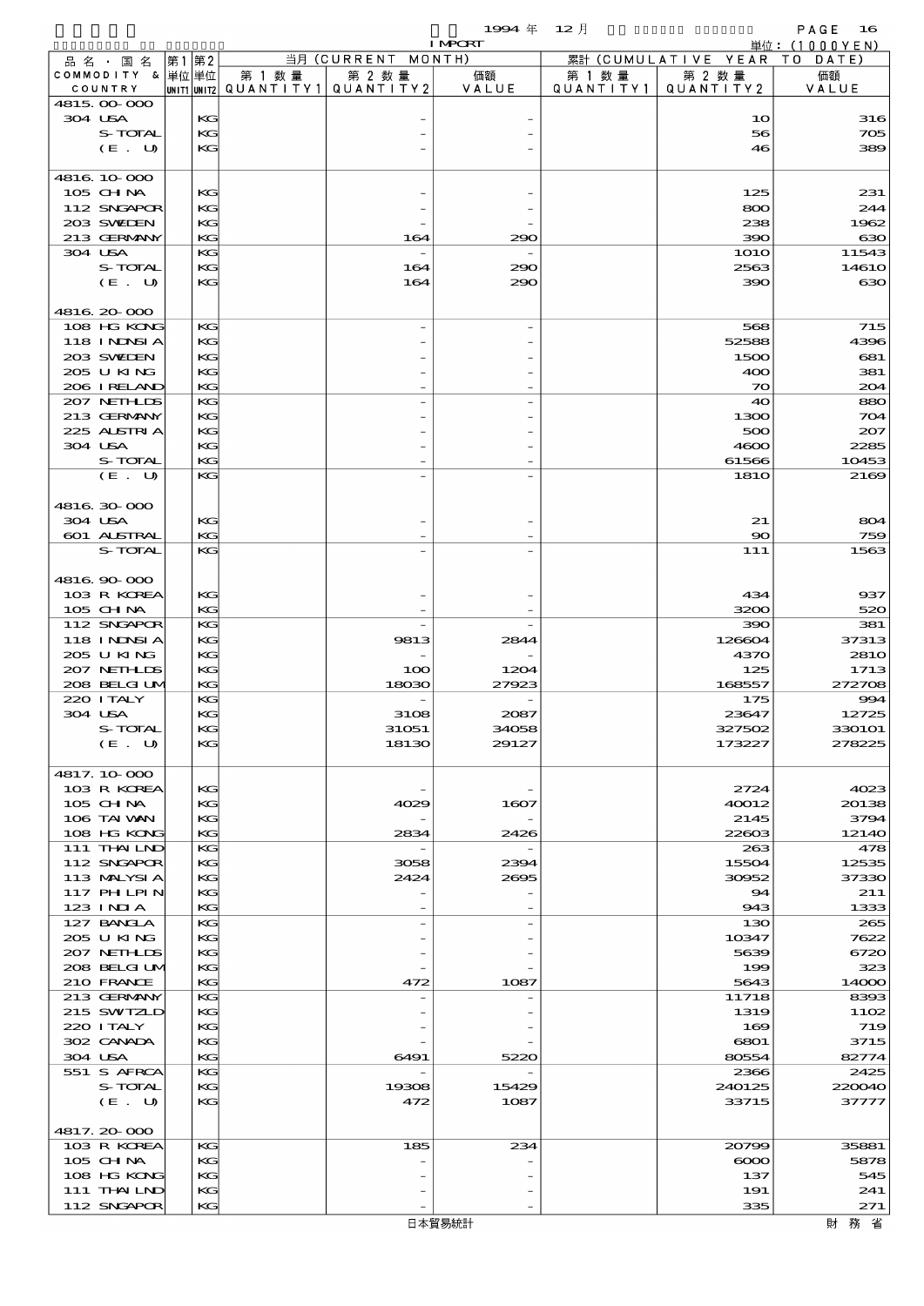$1994 \quad \oplus \quad 12 \quad \frac{1}{2}$  PAGE 16

|                            |          |        |                                       | <b>I MPCRT</b> |           |                              | 単位: (1000YEN)  |
|----------------------------|----------|--------|---------------------------------------|----------------|-----------|------------------------------|----------------|
| 品名・国名                      | 第1 第2    |        | 当月 (CURRENT MONTH)                    |                |           | 累計 (CUMULATIVE YEAR TO DATE) |                |
| COMMODITY & 単位単位           |          | 第 1 数量 | 第 2 数量                                | 価額             | 第 1 数量    | 第 2 数量                       | 価額             |
| COUNTRY<br>4815,000,000    |          |        | UNIT1 UNIT2  Q∪ANT   TY1  Q∪ANT   TY2 | VALUE          | QUANTITY1 | QUANTITY 2                   | VALUE          |
| 304 USA                    | KG       |        |                                       |                |           | 10                           | 316            |
| S-TOTAL                    | KG       |        |                                       |                |           | 56                           | 705            |
| (E. U)                     | KG       |        |                                       |                |           | 46                           | 389            |
|                            |          |        |                                       |                |           |                              |                |
| 4816.10.000                |          |        |                                       |                |           |                              |                |
| 105 CH NA<br>112 SNGAPOR   | KG<br>KG |        |                                       |                |           | 125<br>800                   | 231<br>244     |
| 203 SWIEN                  | KG       |        |                                       |                |           | 238                          | 1962           |
| 213 GERMANY                | KG       |        | 164                                   | 290            |           | 390                          | 630            |
| 304 USA                    | KG       |        |                                       |                |           | <b>1O1O</b>                  | 11543          |
| S-TOTAL                    | KG       |        | 164                                   | 290            |           | 2563                         | 1461O          |
| (E. U)                     | KG       |        | 164                                   | 290            |           | 390                          | 630            |
|                            |          |        |                                       |                |           |                              |                |
| 4816.20-000<br>108 HG KONG | KG       |        |                                       |                |           | 568                          |                |
| 118 INNSI A                | KG       |        |                                       |                |           | 52588                        | 715<br>4396    |
| 203 SWIDEN                 | KG       |        |                                       |                |           | 1500                         | 681            |
| 205 U KING                 | KG       |        |                                       |                |           | 400                          | 381            |
| 206 IRELAND                | KG       |        |                                       |                |           | $\infty$                     | 204            |
| 207 NETHLIS                | KG       |        |                                       |                |           | 40                           | 880            |
| 213 GERMANY                | KG       |        |                                       |                |           | 1300                         | 704            |
| 225 ALSTRIA                | KG       |        |                                       |                |           | 500                          | 207            |
| 304 USA                    | KG       |        |                                       |                |           | 4600                         | 2285           |
| S-TOTAL<br>(E. U)          | KG<br>KG |        |                                       |                |           | 61566<br><b>1810</b>         | 10453<br>2169  |
|                            |          |        |                                       |                |           |                              |                |
| 4816.30-000                |          |        |                                       |                |           |                              |                |
| 304 USA                    | KG       |        |                                       |                |           | 21                           | 804            |
| 601 ALSTRAL                | KG       |        |                                       |                |           | $\infty$                     | 759            |
| S-TOTAL                    | KG       |        |                                       |                |           | 111                          | 1563           |
|                            |          |        |                                       |                |           |                              |                |
| 4816 90 000                |          |        |                                       |                |           |                              |                |
| 103 R KOREA<br>105 CHNA    | KG<br>KG |        |                                       |                |           | 434<br>3200                  | 937<br>520     |
| 112 SNGAPOR                | KG       |        |                                       |                |           | 390                          | 381            |
| 118 I NDSI A               | KG       |        | 9813                                  | 2844           |           | 126604                       | 37313          |
| 205 U KING                 | KG       |        |                                       |                |           | 4370                         | 281O           |
| 207 NETHLIS                | KG       |        | 100                                   | 1204           |           | 125                          | 1713           |
| 208 BELGI UM               | KG       |        | 18030                                 | 27923          |           | 168557                       | 272708         |
| 220 I TALY                 | KG       |        |                                       |                |           | 175                          | 994            |
| 304 USA                    | KG       |        | 3108                                  | 2087           |           | 23647                        | 12725          |
| S-TOTAL                    | KG<br>KG |        | 31051                                 | 34058          |           | 327502                       | <b>330101</b>  |
| (E. U)                     |          |        | 18130                                 | 29127          |           | 173227                       | 278225         |
| 4817.10-000                |          |        |                                       |                |           |                              |                |
| 103 R KOREA                | KG       |        |                                       |                |           | 2724                         | 4023           |
| 105 CH NA                  | KG       |        | 4029                                  | 1607           |           | 40012                        | 20138          |
| 106 TAI VAN                | KG       |        |                                       |                |           | 2145                         | 3794           |
| 108 HG KONG                | KG       |        | 2834                                  | 2426           |           | 22603                        | 12140          |
| 111 THAILND                | KG       |        |                                       |                |           | 263                          | 478            |
| 112 SNGAPOR<br>113 MALYSIA | KG<br>KG |        | 3058<br>2424                          | 2394<br>2695   |           | 15504<br>30952               | 12535<br>37330 |
| 117 PHLPIN                 | KG       |        |                                       |                |           | 94                           | 211            |
| 123 INIA                   | KG       |        |                                       |                |           | 943                          | 1333           |
| 127 BANCLA                 | KG       |        |                                       |                |           | 130                          | 265            |
| 205 U KING                 | KG       |        |                                       |                |           | 10347                        | 7622           |
| 207 NETHLIS                | KG       |        |                                       |                |           | 5639                         | 6720           |
| 208 BELGI UM               | KG       |        |                                       |                |           | 199                          | 323            |
| 210 FRANCE<br>213 GERMANY  | KG<br>KG |        | 472                                   | 1087           |           | 5643<br>11718                | 14000<br>8393  |
| 215 SWIZLD                 | KG       |        |                                       |                |           | 1319                         | 1102           |
| 220 I TALY                 | KG       |        |                                       |                |           | 169                          | 719            |
| 302 CANADA                 | KG       |        |                                       |                |           | 6801                         | 3715           |
| 304 USA                    | KG       |        | 6491                                  | 5220           |           | 80554                        | 82774          |
| 551 S AFRCA                | KG       |        |                                       |                |           | 2366                         | 2425           |
| S-TOTAL                    | KG       |        | 19308                                 | 15429          |           | 240125                       | 220040         |
| (E. U)                     | KG       |        | 472                                   | 1087           |           | 33715                        | 37777          |
| 4817.20000                 |          |        |                                       |                |           |                              |                |
| 103 R KOREA                | KG       |        | 185                                   | 234            |           | 20799                        | 35881          |
| $105$ CHNA                 | KG       |        |                                       |                |           | $\infty$                     | 5878           |
| 108 HG KONG                | KG       |        |                                       |                |           | 137                          | 545            |
| 111 THAILND                | KG       |        |                                       |                |           | 191                          | 241            |
| 112 SNGAPOR                | KG       |        |                                       |                |           | 335                          | 271            |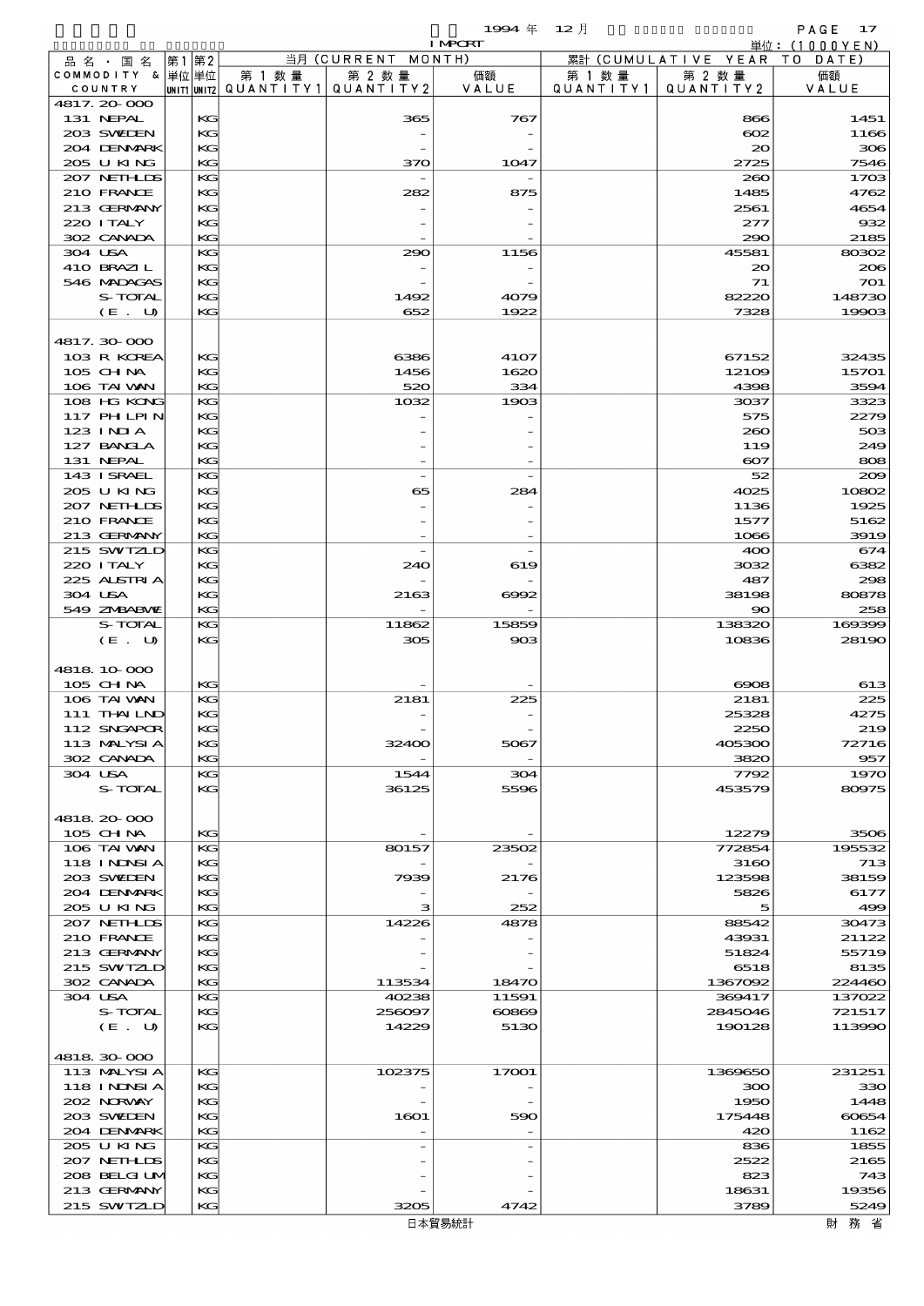$1994 \text{ } \# \text{ } 12 \text{ } \frac{1}{2}$  PAGE 17

|                           |          |                                   |                    | <b>I MPCRT</b> |           |                              | 単位: (1000YEN) |
|---------------------------|----------|-----------------------------------|--------------------|----------------|-----------|------------------------------|---------------|
| 品 名 ・ 国 名                 | 第1第2     |                                   | 当月 (CURRENT MONTH) |                |           | 累計 (CUMULATIVE YEAR TO DATE) |               |
| COMMODITY & 単位単位          |          | 第 1 数 量                           | 第 2 数量             | 価額             | 第 1 数 量   | 第 2 数量                       | 価額            |
| COUNTRY                   |          | UNIT1 UNIT2 QUANTITY 1 QUANTITY 2 |                    | VALUE          | QUANTITY1 | QUANTITY2                    | VALUE         |
| 4817.20000                |          |                                   |                    |                |           |                              |               |
| 131 NEPAL<br>203 SWIDEN   | KG<br>KG |                                   | 365                | 767            |           | 866<br>$\infty$              | 1451<br>1166  |
| 204 DENMARK               | KG       |                                   |                    |                |           | 20                           | 306           |
| 205 U KING                | KG       |                                   | 370                | 1047           |           | 2725                         | 7546          |
| 207 NETHLIS               | KG       |                                   |                    |                |           | 260                          | 1703          |
| 210 FRANCE                | KG       |                                   | 282                | 875            |           | 1485                         | 4762          |
| 213 GERMANY               | KG       |                                   |                    |                |           | 2561                         | 4654          |
| 220 ITALY                 | KG       |                                   |                    |                |           | 277                          | 932           |
| 302 CANADA                | KG       |                                   |                    |                |           | 290                          | 2185          |
| 304 USA                   | KG       |                                   | 290                | 1156           |           | 45581                        | 80302         |
| 410 BRAZIL<br>546 MADAGAS | KG<br>KG |                                   |                    |                |           | 20<br>71                     | 206<br>701    |
| S-TOTAL                   | KG       |                                   | 1492               | 4079           |           | 82220                        | 148730        |
| (E. U)                    | KG       |                                   | 652                | 1922           |           | 7328                         | 19903         |
|                           |          |                                   |                    |                |           |                              |               |
| 4817.30000                |          |                                   |                    |                |           |                              |               |
| 103 R KOREA               | KG       |                                   | 6386               | 4107           |           | 67152                        | 32435         |
| 105 CHNA                  | KG       |                                   | 1456               | 1620           |           | 12109                        | 15701         |
| 106 TAI VAN               | KG       |                                   | 520                | 334            |           | 4398                         | 3594          |
| 108 HG KONG               | KG       |                                   | 1032               | 1903           |           | 3037                         | 3323          |
| 117 PHLPIN                | KG       |                                   |                    |                |           | 575                          | 2279          |
| $123$ INIA<br>127 BANCLA  | KG<br>KG |                                   |                    |                |           | 260<br>119                   | 503<br>249    |
| 131 NEPAL                 | KG       |                                   |                    |                |           | $\infty$                     | 808           |
| 143 ISRAEL                | KG       |                                   |                    |                |           | 52                           | 200           |
| 205 U KING                | KG       |                                   | 65                 | 284            |           | 4025                         | 10802         |
| 207 NETHLIS               | KG       |                                   |                    |                |           | 1136                         | 1925          |
| 210 FRANCE                | KG       |                                   |                    |                |           | 1577                         | 5162          |
| 213 GERMANY               | KG       |                                   |                    |                |           | 1066                         | 3919          |
| 215 SWIZLD                | KG       |                                   |                    |                |           | 400                          | 674           |
| 220 I TALY                | KG       |                                   | 240                | 619            |           | 3032                         | 6382          |
| 225 ALSTRIA               | KG       |                                   |                    |                |           | 487                          | 298           |
| 304 USA<br>549 ZNBABNE    | KG<br>KG |                                   | 2163               | 6002           |           | 38198<br>90                  | 80878<br>258  |
| S-TOTAL                   | KG       |                                   | 11862              | 15859          |           | 138320                       | 169399        |
| (E. U)                    | KG       |                                   | 305                | 903            |           | 10836                        | 28190         |
|                           |          |                                   |                    |                |           |                              |               |
| 4818 10 000               |          |                                   |                    |                |           |                              |               |
| 105 CH NA                 | KG       |                                   |                    |                |           | 6908                         | 613           |
| 106 TAI VAN               | KG       |                                   | 2181               | 225            |           | 2181                         | 225           |
| 111 THAILND               | KG       |                                   |                    |                |           | 25328                        | 4275          |
| 112 SNGAPOR               | KG       |                                   |                    |                |           | 2250                         | 219           |
| 113 MALYSIA<br>302 CANADA | KG<br>КG |                                   | 32400              | 5067           |           | 405300<br>3820               | 72716<br>957  |
| 304 USA                   | KG       |                                   | 1544               | 304            |           | 7792                         | 1970          |
| S-TOTAL                   | KG       |                                   | 36125              | 5596           |           | 453579                       | 80975         |
|                           |          |                                   |                    |                |           |                              |               |
| 4818 20 000               |          |                                   |                    |                |           |                              |               |
| $105$ CHNA                | KG       |                                   |                    |                |           | 12279                        | 3506          |
| 106 TAI VAN               | KG       |                                   | 80157              | 23502          |           | 772854                       | 195532        |
| <b>118 INNSIA</b>         | KG       |                                   |                    |                |           | 3160                         | 713           |
| 203 SWIEN                 | KG       |                                   | 7939               | 2176           |           | 123598                       | 38159         |
| 204 DENMARK<br>205 U KING | KG<br>KG |                                   | з                  | 252            |           | 5826<br>5                    | 6177<br>499   |
| 207 NETHLIDS              | KG       |                                   | 14226              | 4878           |           | 88542                        | 30473         |
| 210 FRANCE                | KG       |                                   |                    |                |           | 43931                        | 21122         |
| 213 GERMANY               | KG       |                                   |                    |                |           | 51824                        | 55719         |
| 215 SWIZLD                | KG       |                                   |                    |                |           | 6518                         | 8135          |
| 302 CANADA                | KG       |                                   | 113534             | 18470          |           | 1367092                      | 224460        |
| 304 USA                   | KG       |                                   | 40238              | 11591          |           | 369417                       | 137022        |
| S-TOTAL                   | KG       |                                   | 256097             | 60869          |           | 2845046                      | 721517        |
| (E. U)                    | KG       |                                   | 14229              | 5130           |           | 190128                       | 113990        |
| 4818 30 000               |          |                                   |                    |                |           |                              |               |
| 113 MALYSIA               | KG       |                                   | 102375             | 17001          |           | 1369650                      | 231251        |
| <b>118 INNSIA</b>         | KG       |                                   |                    |                |           | 300                          | 330           |
| 202 NORWAY                | KG       |                                   |                    |                |           | 1950                         | 1448          |
| 203 SWIDEN                | KG       |                                   | 1601               | 590            |           | 175448                       | 60654         |
| 204 DENMARK               | КG       |                                   |                    |                |           | 420                          | 1162          |
| 205 U KING                | KG       |                                   |                    |                |           | 836                          | 1855          |
| 207 NETHLIS               | KG       |                                   |                    |                |           | 2522                         | 2165          |
| 208 BELGI UM              | KG       |                                   |                    |                |           | 823                          | 743           |
| 213 GERMANY               | KG       |                                   |                    |                |           | 18631                        | 19356         |
| 215 SWIZLD                | КC       |                                   | 3205               | 4742           |           | 3789                         | 5249          |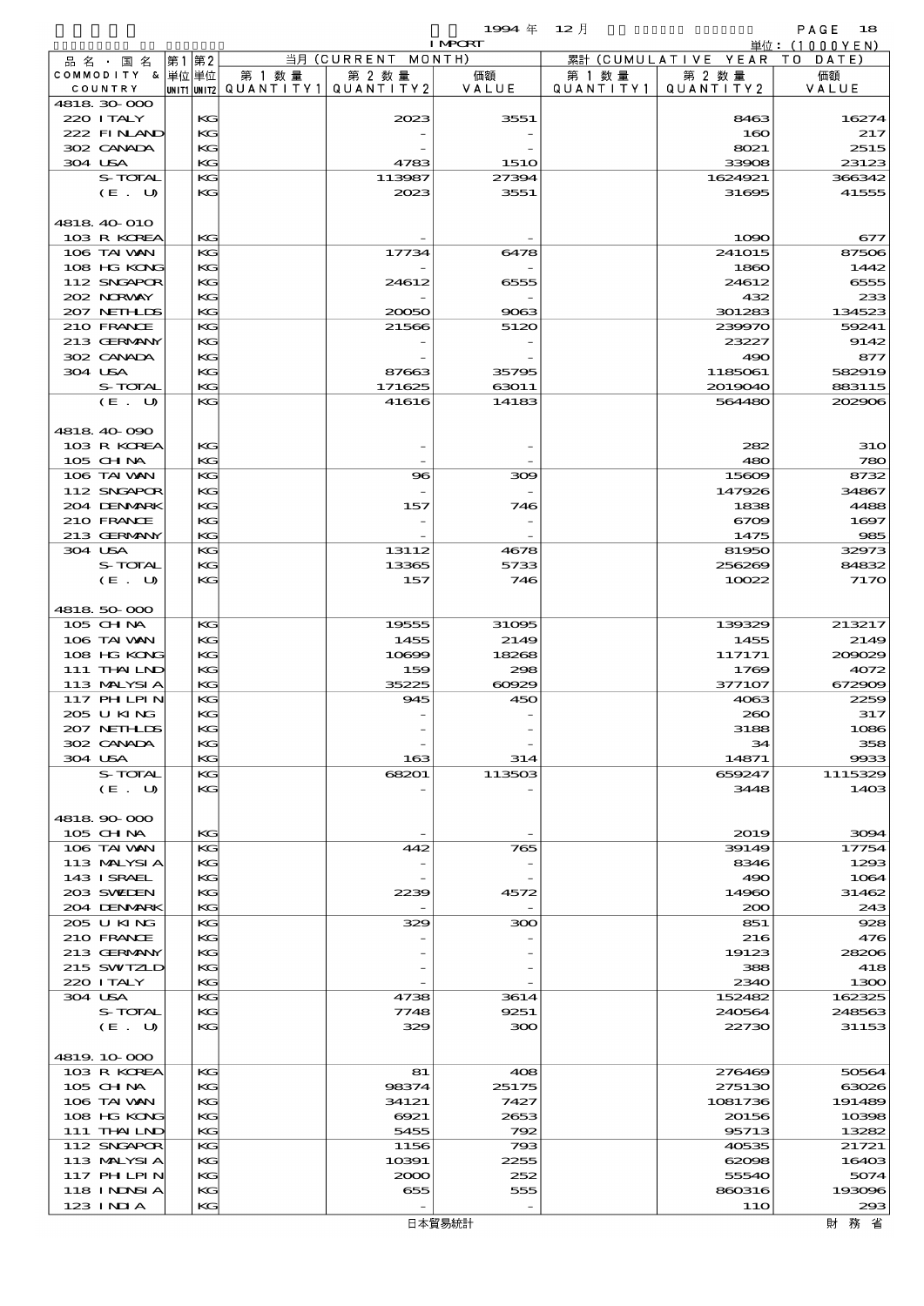|                             |       |          |                                  |                     | 1994年                | $12$ 月               |                     | PAGE<br>18       |
|-----------------------------|-------|----------|----------------------------------|---------------------|----------------------|----------------------|---------------------|------------------|
|                             |       |          |                                  |                     | <b>I MPORT</b>       |                      |                     | 単位:(1000YEN)     |
| 品 名 ・ 国 名                   | 第1 第2 |          |                                  | 当月 (CURRENT         | MONTH)               |                      | 累計 (CUMULATIVE YEAR | DATE<br>T O      |
| COMMODITY & 単位単位<br>COUNTRY |       |          | 第 1 数 量<br>UNIT1 UNIT2 QUANTITY1 | 第 2 数量<br>QUANTITY2 | 価額<br>VALUE          | 第 1 数 量<br>QUANTITY1 | 第 2 数量<br>QUANTITY2 | 価額<br>VALUE      |
| 4818 30 000                 |       |          |                                  |                     |                      |                      |                     |                  |
| 220 ITALY                   |       | KG       |                                  | 2023                | 3551                 |                      | 8463                | 16274            |
| 222 FINAND                  |       | KG       |                                  |                     |                      |                      | 160                 | 217              |
| 302 CANADA<br>304 USA       |       | KG<br>KG |                                  |                     |                      |                      | 8021<br>33908       | 2515<br>23123    |
| S-TOTAL                     |       | KG       |                                  | 4783<br>113987      | <b>1510</b><br>27394 |                      | 1624921             | 366342           |
| (E. U)                      |       | KG       |                                  | 2023                | 3551                 |                      | 31695               | 41555            |
|                             |       |          |                                  |                     |                      |                      |                     |                  |
| 4818 40 010                 |       |          |                                  |                     |                      |                      |                     |                  |
| 103 R KOREA                 |       | KG       |                                  |                     |                      |                      | 1090                | 677              |
| 106 TAI VAN<br>108 HG KONG  |       | KG       |                                  | 17734               | 6478                 |                      | 241015              | 87506            |
| 112 SNGAPOR                 |       | KG<br>KG |                                  | 24612               | 6555                 |                      | 1860<br>24612       | 1442<br>6555     |
| 202 NRWAY                   |       | KG       |                                  |                     |                      |                      | 432                 | 233              |
| 207 NEIHLIS                 |       | KG       |                                  | 20050               | 9063                 |                      | 301283              | 134523           |
| 210 FRANCE                  |       | KG       |                                  | 21566               | 5120                 |                      | 239970              | 59241            |
| 213 GERMANY                 |       | KG       |                                  |                     |                      |                      | 23227               | 9142             |
| 302 CANADA                  |       | KG       |                                  |                     |                      |                      | 490                 | 877              |
| 304 USA<br>S-TOTAL          |       | KG<br>KG |                                  | 87663<br>171625     | 35795<br>63011       |                      | 1185061<br>2019040  | 582919<br>883115 |
| (E. U)                      |       | KG       |                                  | 41616               | 14183                |                      | 564480              | 202906           |
|                             |       |          |                                  |                     |                      |                      |                     |                  |
| 4818 40 090                 |       |          |                                  |                     |                      |                      |                     |                  |
| 103 R KOREA                 |       | KG       |                                  |                     |                      |                      | 282                 | <b>31O</b>       |
| 105 CHNA                    |       | KG       |                                  |                     |                      |                      | 480                 | 780              |
| 106 TAI VAN                 |       | KG       |                                  | 96                  | 309                  |                      | 15609               | 8732             |
| 112 SNGAPOR<br>204 DENMARK  |       | KG<br>KG |                                  | 157                 | 746                  |                      | 147926<br>1838      | 34867<br>4488    |
| 210 FRANCE                  |       | KG       |                                  |                     |                      |                      | 6709                | 1697             |
| 213 GERMANY                 |       | KG       |                                  |                     |                      |                      | 1475                | 985              |
| 304 USA                     |       | KG       |                                  | 13112               | 4678                 |                      | 81950               | 32973            |
| S-TOTAL                     |       | KG       |                                  | 13365               | 5733                 |                      | 256269              | 84832            |
| (E. U)                      |       | KG       |                                  | 157                 | 746                  |                      | 10022               | 7170             |
| 4818 50 000                 |       |          |                                  |                     |                      |                      |                     |                  |
| 105 CHNA                    |       | KG       |                                  | 19555               | 31095                |                      | 139329              | 213217           |
| 106 TAI VAN                 |       | KG       |                                  | 1455                | 2149                 |                      | 1455                | 2149             |
| 108 HG KONG                 |       | KG       |                                  | 10699               | 18268                |                      | 117171              | 200029           |
| 111 THAILND                 |       | KG       |                                  | 159                 | 298                  |                      | 1769                | 4072             |
| 113 MALYSIA                 |       | KG       |                                  | 35225               | 60929                |                      | 377107              | 672909           |
| 117 PHLPIN                  |       | KG<br>KG |                                  | 945                 | 450                  |                      | 4063                | 2259             |
| 2005 U KING<br>207 NETHLIS  |       | KG       |                                  |                     |                      |                      | 2000<br>3188        | 317<br>1086      |
| 302 CANADA                  |       | KG       |                                  |                     |                      |                      | 34                  | 358              |
| 304 USA                     |       | KG       |                                  | 163                 | 314                  |                      | 14871               | 9933             |
| S-TOTAL                     |       | KG       |                                  | 68201               | 113503               |                      | 659247              | 1115329          |
| (E. U)                      |       | KG       |                                  |                     |                      |                      | 3448                | 1403             |
|                             |       |          |                                  |                     |                      |                      |                     |                  |
| 4818 90 000<br>105 CH NA    |       | KG       |                                  |                     |                      |                      | 2019                | 3094             |
| 106 TAI VAN                 |       | KG       |                                  | 442                 | 765                  |                      | 39149               | 17754            |
| 113 MALYSIA                 |       | KG       |                                  |                     |                      |                      | 8346                | 1293             |
| 143 I SRAEL                 |       | KG       |                                  |                     |                      |                      | 490                 | 1064             |
| 203 SWIDEN                  |       | KG       |                                  | 2239                | 4572                 |                      | 14960               | 31462            |
| 204 DENMARK<br>205 U KING   |       | KG<br>KG |                                  | 329                 | 300                  |                      | 200<br>851          | 243<br>928       |
| 210 FRANCE                  |       | KC       |                                  |                     |                      |                      | 216                 | 476              |
| 213 GERMANY                 |       | KG       |                                  |                     |                      |                      | 19123               | 28206            |
| 215 SWIZLD                  |       | KG       |                                  |                     |                      |                      | 388                 | 418              |
| 220 I TALY                  |       | KG       |                                  |                     |                      |                      | 2340                | 1300             |
| 304 USA                     |       | KG       |                                  | 4738                | 3614                 |                      | 152482              | 162325           |
| S-TOTAL<br>(E. U)           |       | KG<br>KG |                                  | 7748<br>329         | 9251<br>300          |                      | 240564<br>22730     | 248563<br>31153  |
|                             |       |          |                                  |                     |                      |                      |                     |                  |
| 4819 10 000                 |       |          |                                  |                     |                      |                      |                     |                  |
| 103 R KOREA                 |       | KG       |                                  | 81                  | 408                  |                      | 276469              | 50564            |
| $105$ CHNA                  |       | KG       |                                  | 98374               | 25175                |                      | 275130              | 63026            |
| 106 TAI VAN                 |       | KG       |                                  | 34121               | 7427                 |                      | 1081736             | 191489           |
| 108 HG KONG<br>111 THAILND  |       | KG       |                                  | 6921                | 2653<br>792          |                      | 20156               | 10398            |
| 112 SNGAPOR                 |       | KG<br>KG |                                  | 5455<br>1156        | 793                  |                      | 95713<br>40535      | 13282<br>21721   |
| 113 MALYSIA                 |       | KG       |                                  | 10391               | 2255                 |                      | 62098               | 16403            |
| 117 PHLPIN                  |       | KG       |                                  | 2000                | 252                  |                      | 55540               | 5074             |
| 118 I NDSI A                |       | KG       |                                  | 655                 | 555                  |                      | 860316              | 193096           |
| 123 INIA                    |       | KG       |                                  |                     |                      |                      | 11O                 | 293              |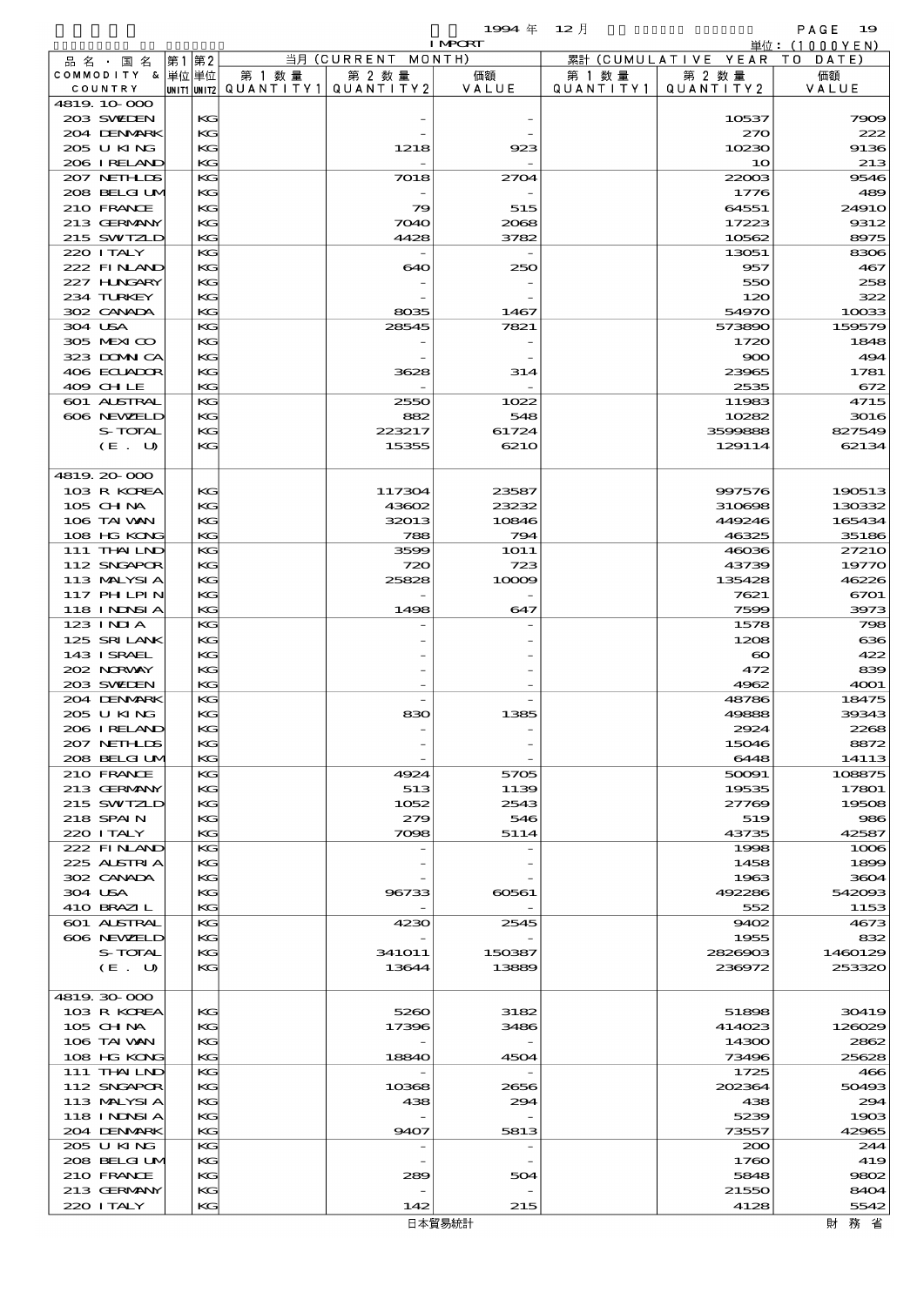$\begin{array}{cccc}\n 1994 & \# & 12 \end{array}$ 

|         |                                  |    |          |                                       |               | <b>I MPORT</b> |                   |                              | 単位: (1000 Y E N ) |
|---------|----------------------------------|----|----------|---------------------------------------|---------------|----------------|-------------------|------------------------------|-------------------|
|         | 品名・国名                            | 第1 | 第2       |                                       | 当月(CURRENT    | MONTH)         |                   | 累計 (CUMULATIVE YEAR TO DATE) |                   |
|         | COMMODITY & 単位単位                 |    |          | 第 1 数量                                | 第 2 数量        | 価額             | 第 1 数 量           | 第 2 数量                       | 価額                |
|         | COUNTRY                          |    |          | UNIT1 UNIT2  QUANT   TY1  QUANT   TY2 |               | VALUE          | Q U A N T I T Y 1 | QUANTITY 2                   | VALUE             |
|         | 4819.10-000<br>203 SWIDEN        |    | KG       |                                       |               |                |                   | 10537                        | 7909              |
|         | 204 DENMARK                      |    | KG       |                                       |               |                |                   | 270                          | 222               |
|         | 205 U KING                       |    | KG       |                                       | 1218          | 923            |                   | 10230                        | 9136              |
|         | 206 I RELAND                     |    | KG       |                                       |               |                |                   | 10                           | 213               |
|         | 207 NETHLIS                      |    | KG       |                                       | 7018          | 2704           |                   | 22003                        | 9546              |
|         | 208 BELGI UM                     |    | KG       |                                       |               |                |                   | 1776                         | 489               |
|         | 210 FRANCE                       |    | KG       |                                       | 79            | 515            |                   | 64551                        | 2491O             |
|         | 213 GERMANY                      |    | KG       |                                       | 7040          | 2068           |                   | 17223                        | 9312              |
|         | 215 SWIZLD<br>220 I TALY         |    | KG<br>KG |                                       | 4428          | 3782           |                   | 10562<br>13051               | 8975<br>8306      |
|         | 222 FINAND                       |    | KG       |                                       | 640           | 250            |                   | 957                          | 467               |
|         | 227 H.NGARY                      |    | KG       |                                       |               |                |                   | 550                          | 258               |
|         | 234 TURKEY                       |    | KG       |                                       |               |                |                   | 120                          | 322               |
|         | 302 CANADA                       |    | KG       |                                       | 8035          | 1467           |                   | 54970                        | 10033             |
| 304 USA |                                  |    | KG       |                                       | 28545         | 7821           |                   | 573890                       | 159579            |
|         | 305 MEXICO<br>323 DOMNICA        |    | KG<br>KG |                                       |               |                |                   | 1720                         | 1848<br>494       |
|         | 406 ECUADOR                      |    | KG       |                                       | 3628          | 314            |                   | 900<br>23965                 | 1781              |
|         | 409 CHLE                         |    | KG       |                                       |               |                |                   | 2535                         | 672               |
|         | 601 ALSTRAL                      |    | KG       |                                       | 2550          | 1022           |                   | 11983                        | 4715              |
|         | 606 NEWELD                       |    | KG       |                                       | 882           | 548            |                   | 10282                        | 3016              |
|         | S-TOTAL                          |    | KG       |                                       | 223217        | 61724          |                   | 3500888                      | 827549            |
|         | (E. U)                           |    | KG       |                                       | 15355         | 6210           |                   | 129114                       | 62134             |
|         | 4819.20-000                      |    |          |                                       |               |                |                   |                              |                   |
|         | 103 R KOREA                      |    | KG       |                                       | 117304        | 23587          |                   | 997576                       | 190513            |
|         | 105 CH NA                        |    | KG       |                                       | 43602         | 23232          |                   | 310698                       | 130332            |
|         | 106 TAI VAN                      |    | KG       |                                       | 32013         | 10846          |                   | 449246                       | 165434            |
|         | 108 HG KONG                      |    | KG       |                                       | 788           | 794            |                   | 46325                        | 35186             |
|         | 111 THAILND                      |    | KG       |                                       | 3599          | <b>1O11</b>    |                   | 46036                        | 2721O             |
|         | 112 SNGAPOR                      |    | KG       |                                       | 720           | 723            |                   | 43739                        | 19770             |
|         | 113 MALYSIA<br>117 PH LPIN       |    | KG<br>KG |                                       | 25828         | 10009          |                   | 135428<br>7621               | 46226<br>6701     |
|         | <b>118 INDSIA</b>                |    | KG       |                                       | 1498          | 647            |                   | 7599                         | 3973              |
|         | 123 INIA                         |    | KG       |                                       |               |                |                   | 1578                         | 798               |
|         | 125 SRILANK                      |    | KG       |                                       |               |                |                   | 1208                         | 636               |
|         | 143 ISRAEL                       |    | KG       |                                       |               |                |                   | $\boldsymbol{\infty}$        | 422               |
|         | 202 NORWAY                       |    | KG       |                                       |               |                |                   | 472                          | 839               |
|         | 203 SWIEN                        |    | KG       |                                       |               |                |                   | 4962                         | 4001<br>18475     |
|         | 204 DENMARK<br>205 U KING        |    | KG<br>KG |                                       | 830           | 1385           |                   | 48786<br>49888               | 39343             |
|         | 206 I RELAND                     |    | KG       |                                       |               |                |                   | 2924                         | 2268              |
|         | 207 NETHLIS                      |    | KG       |                                       |               |                |                   | 15046                        | 8872              |
|         | 208 BELGI UM                     |    | KG       |                                       |               |                |                   | 6448                         | 14113             |
|         | 210 FRANCE                       |    | KG       |                                       | 4924          | 5705           |                   | 50091                        | 108875            |
|         | 213 GERMANY                      |    | KG       |                                       | 513           | 1139           |                   | 19535                        | 17801             |
|         | 215 SWIZLD<br>218 SPAIN          |    | KG<br>КC |                                       | 1052<br>279   | 2543<br>546    |                   | 27769<br>519                 | 19508<br>986      |
|         | 220 I TALY                       |    | KG       |                                       | 7098          | 5114           |                   | 43735                        | 42587             |
|         | 222 FINAND                       |    | KG       |                                       |               |                |                   | 1998                         | 1008              |
|         | 225 ALSTRIA                      |    | KG       |                                       |               |                |                   | 1458                         | 1899              |
|         | 302 CANADA                       |    | KG       |                                       |               |                |                   | 1963                         | 3604              |
| 304 USA |                                  |    | KG       |                                       | 96733         | 60561          |                   | 492286                       | 542093            |
|         | 410 BRAZIL<br><b>601 ALSTRAL</b> |    | KG<br>KG |                                       | 4230          | 2545           |                   | 552<br>9402                  | 1153<br>4673      |
|         | 606 NEWELD                       |    | KG       |                                       |               |                |                   | 1955                         | 832               |
|         | S-TOTAL                          |    | KG       |                                       | <b>341011</b> | 150387         |                   | 2826903                      | 1460129           |
|         | (E. U)                           |    | KG       |                                       | 13644         | 13889          |                   | 236972                       | 253320            |
|         |                                  |    |          |                                       |               |                |                   |                              |                   |
|         | 4819.30-000                      |    |          |                                       |               |                |                   |                              |                   |
|         | 103 R KOREA                      |    | KG       |                                       | 5260          | 3182           |                   | 51898                        | 30419             |
|         | 105 CH NA<br>106 TAI VAN         |    | KG<br>KG |                                       | 17396         | 3486           |                   | 414023<br>14300              | 126029<br>2862    |
|         | 108 HG KONG                      |    | KG       |                                       | 18840         | 4504           |                   | 73496                        | 25628             |
|         | 111 THAILND                      |    | KG       |                                       |               |                |                   | 1725                         | 466               |
|         | 112 SNGAPOR                      |    | KG       |                                       | 10368         | 2656           |                   | 202364                       | 50493             |
|         | 113 MALYSIA                      |    | KG       |                                       | 438           | 294            |                   | 438                          | 294               |
|         | 118 I NDSI A                     |    | КC       |                                       |               |                |                   | 5239                         | 1903              |
|         | 204 DENMARK<br>205 U KING        |    | KG<br>KG |                                       | 9407          | 5813           |                   | 73557<br>200                 | 42965<br>244      |
|         | 208 BELGI UM                     |    | KG       |                                       |               |                |                   | 1760                         | 419               |
|         | 210 FRANCE                       |    | KG       |                                       | 289           | 504            |                   | 5848                         | 9802              |
|         | 213 GERMANY                      |    | KG       |                                       |               |                |                   | 21550                        | 8404              |
|         | 220 I TALY                       |    | KG       |                                       | 142           | 215            |                   | 4128                         | 5542              |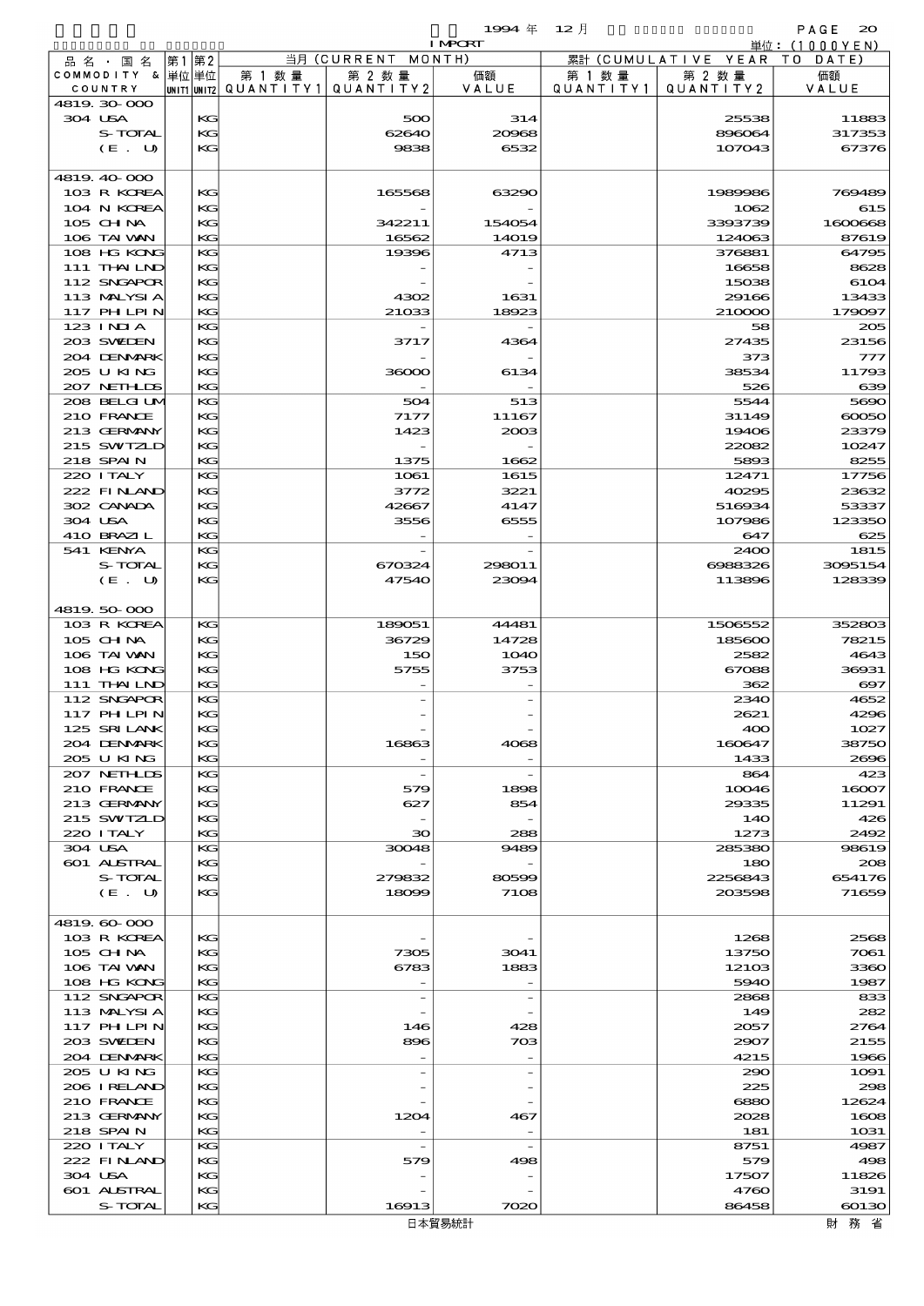$1994 \# 12 \#$ 

|         |                            |    |          |                                       |                          | <b>I MPCRT</b>           |           |                              | 単位:(1000YEN)          |
|---------|----------------------------|----|----------|---------------------------------------|--------------------------|--------------------------|-----------|------------------------------|-----------------------|
|         | 品名・国名                      | 第1 | 第2       |                                       | 当月 (CURRENT MONTH)       |                          |           | 累計 (CUMULATIVE YEAR TO DATE) |                       |
|         | COMMODITY & 単位単位           |    |          | 第 1 数 量                               | 第 2 数量                   | 価額                       | 第 1 数 量   | 第 2 数量                       | 価額                    |
|         | COUNTRY                    |    |          | UNIT1 UNIT2  QUANT I TY1  QUANT I TY2 |                          | VALUE                    | QUANTITY1 | QUANTITY 2                   | VALUE                 |
| 304 USA | 4819 30 000                |    | KG       |                                       | 500                      | 314                      |           | 25538                        | 11883                 |
|         | S-TOTAL                    |    | KG       |                                       | 62640                    | 20968                    |           | 896064                       | 317353                |
|         | (E. U)                     |    | KG       |                                       | 9838                     | 6532                     |           | 107043                       | 67376                 |
|         |                            |    |          |                                       |                          |                          |           |                              |                       |
|         | 4819 40 000                |    |          |                                       |                          |                          |           |                              |                       |
|         | 103 R KOREA                |    | КG       |                                       | 165568                   | 63290                    |           | 1989986                      | 769489                |
|         | 104 N KOREA                |    | KG       |                                       |                          |                          |           | 1062                         | 615                   |
|         | $105$ CHNA                 |    | KG       |                                       | 342211                   | 154054                   |           | 3393739                      | 1600668               |
|         | 106 TAI WAN                |    | KG       |                                       | 16562                    | <b>14019</b>             |           | 124063                       | 87619                 |
|         | 108 HG KONG                |    | KG       |                                       | 19396                    | 4713                     |           | 376881                       | 64795                 |
|         | 111 THAILND                |    | KG       |                                       |                          |                          |           | 16658                        | 8628                  |
|         | 112 SNGAPOR                |    | KG       |                                       |                          |                          |           | 15038                        | 6104                  |
|         | 113 MALYSIA<br>117 PHLPIN  |    | KG<br>KG |                                       | 4302<br>21033            | 1631<br>18923            |           | 29166<br>210000              | 13433<br>179097       |
|         | 123 INIA                   |    | KG       |                                       |                          |                          |           | 58                           | 205                   |
|         | 203 SWIDEN                 |    | KG       |                                       | 3717                     | 4364                     |           | 27435                        | 23156                 |
|         | 204 DENMARK                |    | KG       |                                       |                          |                          |           | 373                          | 777                   |
|         | 205 U KING                 |    | KG       |                                       | 36000                    | 6134                     |           | 38534                        | 11793                 |
|         | 207 NETHLIS                |    | KG       |                                       |                          |                          |           | 526                          | 639                   |
|         | 208 BELGI UM               |    | KG       |                                       | 504                      | 513                      |           | 5544                         | 5690                  |
|         | 210 FRANCE                 |    | KG       |                                       | 7177                     | 11167                    |           | 31149                        | $\infty$              |
|         | 213 GERMANY                |    | KG       |                                       | 1423                     | 2003                     |           | 19406                        | 23379                 |
|         | 215 SWIZLD                 |    | KG       |                                       |                          |                          |           | 22082                        | 10247                 |
|         | 218 SPAIN                  |    | KG       |                                       | 1375                     | 1662                     |           | 5893                         | 8255                  |
|         | 220 I TALY                 |    | KG       |                                       | 1061                     | 1615                     |           | 12471                        | 17756                 |
|         | 222 FINAND<br>302 CANADA   |    | KG<br>KG |                                       | 3772<br>42667            | 3221<br>4147             |           | 40295<br>516934              | 23632<br>53337        |
|         | 304 USA                    |    | KG       |                                       | 3556                     | 6555                     |           | 107986                       | 123350                |
|         | 410 BRAZIL                 |    | KG       |                                       |                          |                          |           | 647                          | 625                   |
|         | 541 KENYA                  |    | KG       |                                       |                          |                          |           | 2400                         | 1815                  |
|         | <b>S-TOTAL</b>             |    | KG       |                                       | 670324                   | 298011                   |           | 6988326                      | 3095154               |
|         | (E. U)                     |    | KG       |                                       | 47540                    | 23094                    |           | 113896                       | 128339                |
|         |                            |    |          |                                       |                          |                          |           |                              |                       |
|         | 4819 50 000                |    |          |                                       |                          |                          |           |                              |                       |
|         | 103 R KOREA                |    | KG       |                                       | 189051                   | 44481                    |           | 1506552                      | 352803                |
|         | $105$ CHNA                 |    | KG       |                                       | 36729                    | 14728                    |           | 185600                       | 78215                 |
|         | 106 TAI VAN<br>108 HG KONG |    | KG<br>KG |                                       | 150<br>5755              | 1040                     |           | 2582                         | 4643<br>36931         |
|         | 111 THAILND                |    | KG       |                                       |                          | 3753                     |           | 67088<br>362                 | $\boldsymbol{\alpha}$ |
|         | 112 SNGAPOR                |    | KG       |                                       |                          |                          |           | 2340                         | 4652                  |
|         | 117 PHLPIN                 |    | KG       |                                       |                          |                          |           | 2621                         | 4296                  |
|         | 125 SRILANK                |    | KG       |                                       |                          |                          |           | 400                          | 1027                  |
|         | 204 DENMARK                |    | KG       |                                       | 16863                    | 4068                     |           | 160647                       | 38750                 |
|         | 205 U KING                 |    | KG       |                                       |                          |                          |           | 1433                         | 2696                  |
|         | 207 NETHLIS                |    | KG       |                                       | $\overline{\phantom{a}}$ |                          |           | 864                          | 423                   |
|         | 210 FRANCE                 |    | KG       |                                       | 579                      | 1898                     |           | 10046                        | 16007                 |
|         | 213 GERMANY                |    | KG       |                                       | 627                      | 854                      |           | 29335                        | 11291                 |
|         | 215 SWIZLD<br>220 I TALY   |    | KG<br>KG |                                       |                          |                          |           | 140                          | 426                   |
|         | 304 USA                    |    | KG       |                                       | 30<br>30048              | 288<br>9489              |           | 1273<br>285380               | 2492<br>98619         |
|         | <b>601 ALSTRAL</b>         |    | KG       |                                       |                          |                          |           | 180                          | 208                   |
|         | S-TOTAL                    |    | KG       |                                       | 279832                   | 80599                    |           | 2256843                      | 654176                |
|         | (E. U)                     |    | KG       |                                       | 18099                    | 7108                     |           | 203598                       | 71659                 |
|         |                            |    |          |                                       |                          |                          |           |                              |                       |
|         | 4819.60.000                |    |          |                                       |                          |                          |           |                              |                       |
|         | 103 R KOREA                |    | KG       |                                       |                          |                          |           | 1268                         | 2568                  |
|         | $105$ CHNA                 |    | KG       |                                       | 7305                     | 3041                     |           | 13750                        | 7061                  |
|         | 106 TAI VAN                |    | KG       |                                       | 6783                     | 1883                     |           | 12103                        | 3360                  |
|         | 108 HG KONG                |    | KG       |                                       |                          |                          |           | 5940                         | 1987                  |
|         | 112 SNGAPOR                |    | KG       |                                       | $\overline{\phantom{a}}$ | $\overline{\phantom{a}}$ |           | 2868                         | 833                   |
|         | 113 MALYSIA<br>117 PHLPIN  |    | KG<br>KG |                                       | 146                      | 428                      |           | 149<br>2057                  | 282<br>2764           |
|         | 203 SWIDEN                 |    | KG       |                                       | 896                      | 703                      |           | 2907                         | 2155                  |
|         | 204 DENMARK                |    | KG       |                                       |                          |                          |           | 4215                         | 1966                  |
|         | 205 U KING                 |    | KG       |                                       |                          |                          |           | 290                          | 1091                  |
|         | 206 IRELAND                |    | KG       |                                       |                          |                          |           | 225                          | 298                   |
|         | 210 FRANCE                 |    | KG       |                                       |                          |                          |           | 6880                         | 12624                 |
|         | 213 GERMANY                |    | KG       |                                       | 1204                     | 467                      |           | 2028                         | 1608                  |
|         | 218 SPAIN                  |    | KG       |                                       |                          |                          |           | 181                          | 1031                  |
|         | 220 I TALY                 |    | KG       |                                       | $\overline{\phantom{a}}$ |                          |           | 8751                         | 4987                  |
|         | 222 FINAND                 |    | KG       |                                       | 579                      | 498                      |           | 579                          | 498                   |
|         | 304 USA                    |    | KG       |                                       |                          |                          |           | 17507                        | 11826                 |
|         | 601 ALSTRAL<br>S-TOTAL     |    | KG<br>KG |                                       | 16913                    | 7020                     |           | 4760<br>86458                | 3191<br>60130         |
|         |                            |    |          |                                       |                          |                          |           |                              |                       |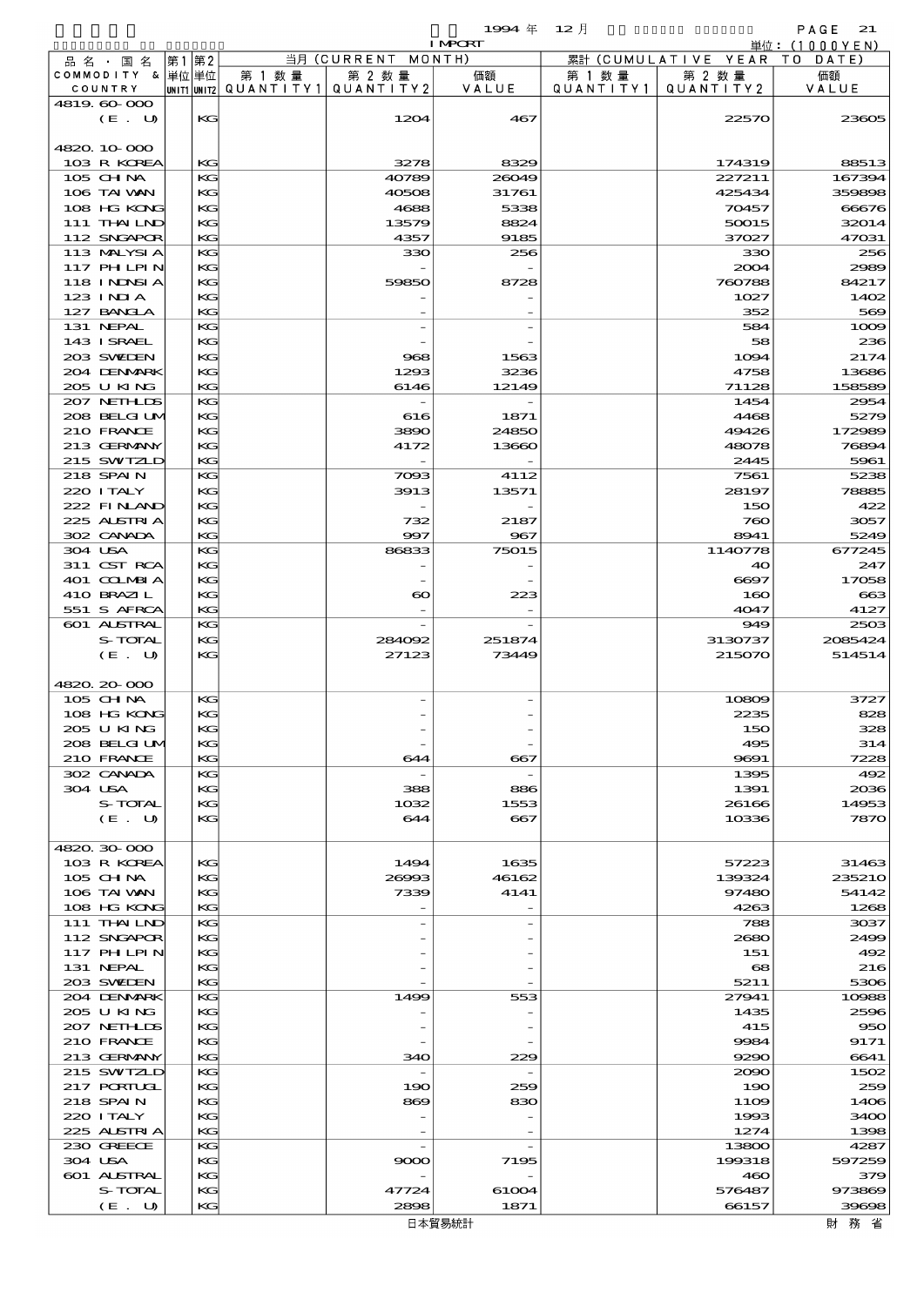$1$ <del>994</del>  $\#$  12  $\bar{e}$   $\qquad$  PAGE 21  $1994 \text{ } \# \text{ } 12 \text{ } \frac{1}{2}$ <br>INPORT 単位: (1000YEN) 当月 (CURRENT MONTH) 累計 (CUMULATIVE YEAR 第1第2 TO DATE) 品名 · 国名 COMMODITY & │単位│単位 第 1 数量 第 2 数 量 価額 第 1 数量 第 2 数 量 価額 UNITI UNIT2 QUANTITY1 VALUE QUANTITY1 COUNTRY QUANTITY<sub>2</sub> QUANTITY2 VALUE  $4819.600$ (E. U) KG 1204 467 22570 23605 4820.10-000  $103 \text{ R KOREA}$   $| \text{KG} |$   $| \text{G} |$   $| \text{G} |$   $| \text{G} |$   $| \text{G} |$   $| \text{G} |$   $| \text{G} |$   $| \text{G} |$   $| \text{G} |$   $| \text{G} |$   $| \text{G} |$   $| \text{G} |$   $| \text{G} |$   $| \text{G} |$   $| \text{G} |$   $| \text{G} |$   $| \text{G} |$   $| \text{G} |$   $| \text{G} |$   $| \text{G} |$   $| \text{G}$ 105 CHINA KG 40789 26049 227211 167394 106 TAIWAN KG 40508 31761 425434 359898 108 HG KONG KG KG 4688 5338 5338 70457 666576 111 THAILND KG 13579 8824 50015 32014 112 SNGAPOR KG 4357 9185 37027 47031 113 MALYSIA KG 330 256 330 256  $117 \text{ H I H} \times 10^{12} \text{ K}$ 118 INDNSIA KG 59850 8728 760788 84217  $123 \text{ INIA}$   $\text{KG}$  1027  $1402$  $127 \text{ BNA}$   $\begin{vmatrix} 127 & 127 & 127 \ 127 & 127 & 127 \end{vmatrix}$  569 131 NEPAL KG - 584 1000 143 ISRAEL KG - - 58 236 203 SWEDEN KG 968 1563 1563 1094 2174 204 DENMARK KG 1293 3236 3236 4758 13686 205 U KING KG 6146 12149 71128 158589 207 NETHLIS KG - 1454 2954 208 BELGIUM KG 616 1871 1871 4468 5279 210 FRANCE KG 3890 24850 49426 172989 213 GERMANY KG 4172 13660 48078 76894  $215$  SWIZLD KG -  $\begin{vmatrix} 1 & 2 & 3 & 1 \ 1 & 1 & 2 & 3 \end{vmatrix}$   $\begin{vmatrix} 2 & 3 & 1 \ 1 & 2 & 3 \end{vmatrix}$   $\begin{vmatrix} 2 & 3 & 1 \ 1 & 2 & 3 \end{vmatrix}$  5961 218 SPAIN KG 7093 4112 7561 5238 220 ITALY KG 3913 13571 28197 78885  $222$  FINAND KG -  $\frac{150}{422}$ 225 AUSTRIA KG 732 2187 2187 760 3057 302 CANADA KG 997 967 8941 5249 304 USA KG 86833 75015 1140778 677245 311 CST RCA KG - - 40 247 401 COLMBIA KG - - - - - 6697 17058 410 BRAZIL KG 663 551 S AFRCA KG - - 4047 4127 601 ALSTRAL KG - 949 2503 S-TOTAL KG 284002  $251874$  3130737 2085424  $(E. U)$  KG  $27123$   $73449$   $215070$   $514514$ 4820.20-000 105 CHM KG - 10809 3727  $108 \text{ HG KDC}$   $| \text{KG} |$  $205 \text{ U K} \cdot \text{K}$ 208 BELGIUM KG - - - - - 495 314 210 FRANCE KG 644 667 9691 7228 302 CANADA KG - 1395 492  $304 \text{ USA}$   $| \text{KG} |$  388 886 1391 2036  $S-TOTAL$  KG  $1032$   $1553$   $26166$   $14953$  $(E. U)$  KG 644 667 10336 7870 4820.30-000 103 R KOREA KG 1494 1635 57223 31463  $105 \text{ GHM}$   $\begin{vmatrix} 12880 \text{ H} & 2696 \text{ H} \\ 139324 \text{ H} & 235210 \end{vmatrix}$  235210  $106$  TAI WAN KG 7339 4141 97480 54142  $108 \text{ HG} \text{ KDC}$   $| \text{KG} |$ 111 THAILND KG - - - 788 3037 112 SNGAPOR KG - - 2680 2499 117 PHILPIN KG - - 151 492 131 NEPAL  $\begin{array}{|c|c|c|c|c|c|c|c|c|}\n\hline\n131 & \text{NEPAL} & \text{KG} & & & \text{216}\n\end{array}$ 203 SWEDEN KG - - 5211 5306 204 DENMARK KG 1499 553 27941 10988 205 U KING KG - - 1435 2596 207 NETHLDS KG - - 415 950 210 FRANCE KG - - - - 9984 9171 213 GERMANY KG 340 229 9290 6641 215 SWIZLD KG - - 200 1502 217 PORTUGL KG 190  $259$  190  $259$  190  $259$  $218 \text{ SPAN}$  KG 869 830 1109 1406  $220$  ITALY  $\begin{array}{|c|c|c|c|c|c|}\n\hline\n220 & \text{ITALY} & \text{KG} & & & \end{array}$ 225 ALSTRIA KG -  $1274$  1398 230 GREECE KG - 13800 4287

 $304 \text{ USA}$   $| \mathbf{KG} | = 9000$   $7195$   $199318$   $597255$  601 AUSTRAL KG - - 460 379  $S-TOTAL$  KG  $47724$  61004 576487 973869  $(E. U)$  KG 2898 1871 66157 39698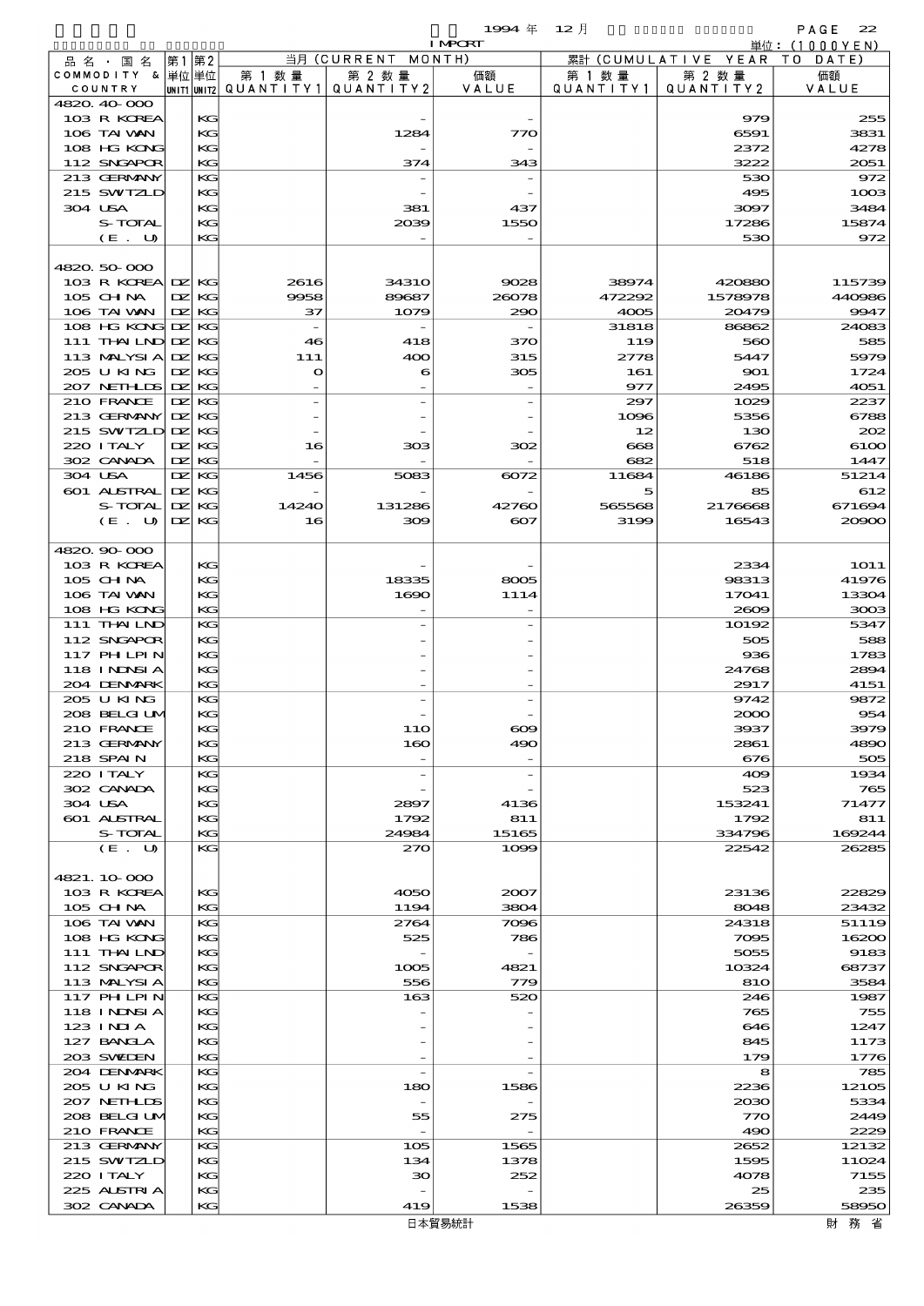$1994 \; \text{#} \quad 12 \; \text{]}$  PAGE 22

|                           |            |          |                                       |                    | <b>I MPORT</b>    |                |                              | 単位: (1000YEN)   |
|---------------------------|------------|----------|---------------------------------------|--------------------|-------------------|----------------|------------------------------|-----------------|
| 品名・国名                     |            | 第1 第2    |                                       | 当月 (CURRENT MONTH) |                   |                | 累計 (CUMULATIVE YEAR TO DATE) |                 |
| COMMODITY & 単位単位          |            |          | 第 1 数量                                | 第 2 数量             | 価額                | 第 1 数量         | 第 2 数量                       | 価額              |
| COUNTRY<br>4820.40-000    |            |          | UNIT1 UNIT2  Q∪ANT   TY1  Q∪ANT   TY2 |                    | VALUE             | QUANTITY1      | QUANTITY2                    | VALUE           |
| 103 R KOREA               |            | KС       |                                       |                    |                   |                | 979                          | 255             |
| 106 TAI VAN               |            | KG       |                                       | 1284               | 770               |                | 6591                         | 3831            |
| 108 HG KONG               |            | KG       |                                       |                    |                   |                | 2372                         | 4278            |
| 112 SNGAPOR               |            | KG       |                                       | 374                | 343               |                | 3222                         | 2051            |
| 213 GERMANY               |            | KС       |                                       |                    |                   |                | 530                          | 972             |
| 215 SWIZLD                |            | KG       |                                       |                    |                   |                | 495                          | 1003            |
| 304 USA                   |            | KG       |                                       | 381                | 437               |                | 3097                         | 3484            |
| S-TOTAL<br>$(E$ .<br>U    |            | KG<br>KG |                                       | 2039               | 1550              |                | 17286<br>530                 | 15874<br>972    |
|                           |            |          |                                       |                    |                   |                |                              |                 |
| 4820.50-000               |            |          |                                       |                    |                   |                |                              |                 |
| 103 R KOREA DZ KG         |            |          | 2616                                  | <b>34310</b>       | 9028              | 38974          | 420880                       | 115739          |
| 105 CHNA                  | DZ.        | KG       | 9958                                  | 89687              | 26078             | 472292         | 1578978                      | 440986          |
| 106 TAI VAN               | DZ.        | KG       | 37                                    | 1079               | 290               | 4005           | 20479                        | 9947            |
| 108 HG KONG DZ            |            | KG       |                                       |                    |                   | 31818          | 86862                        | 24083           |
| 111 THAILND DZ            |            | KG       | 46                                    | 418                | 370               | 119            | 560                          | 585             |
| 113 MALYSIA<br>205 U KING | DZ.        | KG       | 111                                   | 400                | 315               | 2778           | 5447                         | 5979            |
| 207 NETHLIS               | DZ.<br>DZ. | KG<br>KG | $\mathbf{o}$                          | 6                  | 305               | 161<br>977     | 901<br>2495                  | 1724<br>4051    |
| 210 FRANCE                | DZ.        | KG       |                                       |                    |                   | 297            | 1029                         | 2237            |
| 213 GERMANY               | DZ.        | KG       |                                       |                    |                   | 1096           | 5356                         | 6788            |
| 215 SWIZLD DZ             |            | KG       |                                       |                    |                   | 12             | 130                          | 202             |
| 220 I TALY                | DZ.        | KG       | 16                                    | 303                | 302               | $_{668}$       | 6762                         | 6100            |
| 302 CANADA                | DZ.        | KG       |                                       |                    |                   | 682            | 518                          | 1447            |
| 304 USA                   | DZ.        | KG       | 1456                                  | 5083               | 6072              | 11684          | 46186                        | 51214           |
| 601 ALSTRAL               | DZ.        | KG       |                                       |                    |                   | 5              | 85                           | 612             |
| S-TOTAL<br>(E. U)         | DZ.<br>DZ. | KG<br>KG | 14240<br>16                           | 131286<br>300      | 42760<br>$\infty$ | 565568<br>3199 | 2176668<br>16543             | 671694<br>20900 |
|                           |            |          |                                       |                    |                   |                |                              |                 |
| 4820.90-000               |            |          |                                       |                    |                   |                |                              |                 |
| 103 R KOREA               |            | KG       |                                       |                    |                   |                | 2334                         | <b>1O11</b>     |
| 105 CH NA                 |            | KG       |                                       | 18335              | 8005              |                | 98313                        | 41976           |
| 106 TAI WAN               |            | KG       |                                       | 1690               | 1114              |                | 17041                        | 13304           |
| 108 HG KONG               |            | KG       |                                       |                    |                   |                | 2609                         | 3003            |
| 111 THAILND               |            | KG       |                                       |                    |                   |                | 10192                        | 5347            |
| 112 SNGAPOR<br>117 PHLPIN |            | KG<br>KG |                                       |                    |                   |                | 505<br>936                   | 588<br>1783     |
| 118 I NDSI A              |            | KG       |                                       |                    |                   |                | 24768                        | 2894            |
| 204 DENMARK               |            | KG       |                                       |                    |                   |                | 2917                         | 4151            |
| 205 U KING                |            | KG       |                                       |                    |                   |                | 9742                         | 9872            |
| 208 BELGI UM              |            | KG       |                                       |                    |                   |                | 2000                         | 954             |
| 210 FRANCE                |            | KG       |                                       | 1 1 O              |                   |                | 3937                         | 3979            |
| 213 GERMANY               |            | KG       |                                       | 160                | 490               |                | 2861                         | 4890            |
| <b>218 SPAIN</b>          |            | KG       |                                       |                    |                   |                | 676                          | 505             |
| 220 I TALY<br>302 CANADA  |            | KG<br>KG |                                       | $\overline{a}$     |                   |                | 409<br>523                   | 1934<br>765     |
| 304 USA                   |            | KG       |                                       | 2897               | 4136              |                | 153241                       | 71477           |
| 601 ALSTRAL               |            | КC       |                                       | 1792               | 811               |                | 1792                         | 811             |
| S-TOTAL                   |            | KG       |                                       | 24984              | 15165             |                | 334796                       | 169244          |
| (E. U)                    |            | KG       |                                       | 270                | 1000              |                | 22542                        | 26285           |
|                           |            |          |                                       |                    |                   |                |                              |                 |
| 4821.10.000               |            |          |                                       |                    |                   |                |                              |                 |
| 103 R KOREA<br>$105$ CHNA |            | КG<br>KG |                                       | 4050<br>1194       | 2007<br>3804      |                | 23136<br>8048                | 22829<br>23432  |
| 106 TAI VAN               |            | KG       |                                       | 2764               | 7096              |                | 24318                        | 51119           |
| 108 HG KONG               |            | KG       |                                       | 525                | 786               |                | 7095                         | 16200           |
| 111 THAILND               |            | KG       |                                       |                    |                   |                | 5055                         | 9183            |
| 112 SNGAPOR               |            | КC       |                                       | 1005               | 4821              |                | 10324                        | 68737           |
| 113 MALYSIA               |            | KG       |                                       | 556                | 779               |                | 810                          | 3584            |
| 117 PHLPIN                |            | KG       |                                       | 163                | 520               |                | 246                          | 1987            |
| 118 I NDSI A              |            | KG       |                                       |                    |                   |                | 765                          | 755             |
| 123 INIA<br>127 BANCLA    |            | KG<br>КC |                                       |                    |                   |                | 646<br>845                   | 1247<br>1173    |
| 203 SWIEN                 |            | KG       |                                       |                    |                   |                | 179                          | 1776            |
| 204 DENMARK               |            | KС       |                                       | $\overline{a}$     |                   |                | 8                            | 785             |
| 205 U KING                |            | KG       |                                       | 180                | 1586              |                | 2236                         | 12105           |
| 207 NETHLIS               |            | KG       |                                       |                    |                   |                | 2030                         | 5334            |
| 208 BELGI UM              |            | KG       |                                       | 55                 | 275               |                | 770                          | 2449            |
| 210 FRANCE                |            | KG       |                                       |                    |                   |                | 490                          | 2229            |
| 213 GERMANY               |            | KG       |                                       | 105                | 1565              |                | 2652                         | 12132           |
| 215 SWIZLD                |            | KG       |                                       | 134                | 1378              |                | 1595                         | 11024           |
| 220 I TALY<br>225 ALSTRIA |            | KG<br>КC |                                       | 30                 | 252               |                | 4078<br>25                   | 7155<br>235     |
| 302 CANADA                |            | KG       |                                       | 419                | 1538              |                | 26359                        | 58950           |
|                           |            |          |                                       |                    |                   |                |                              |                 |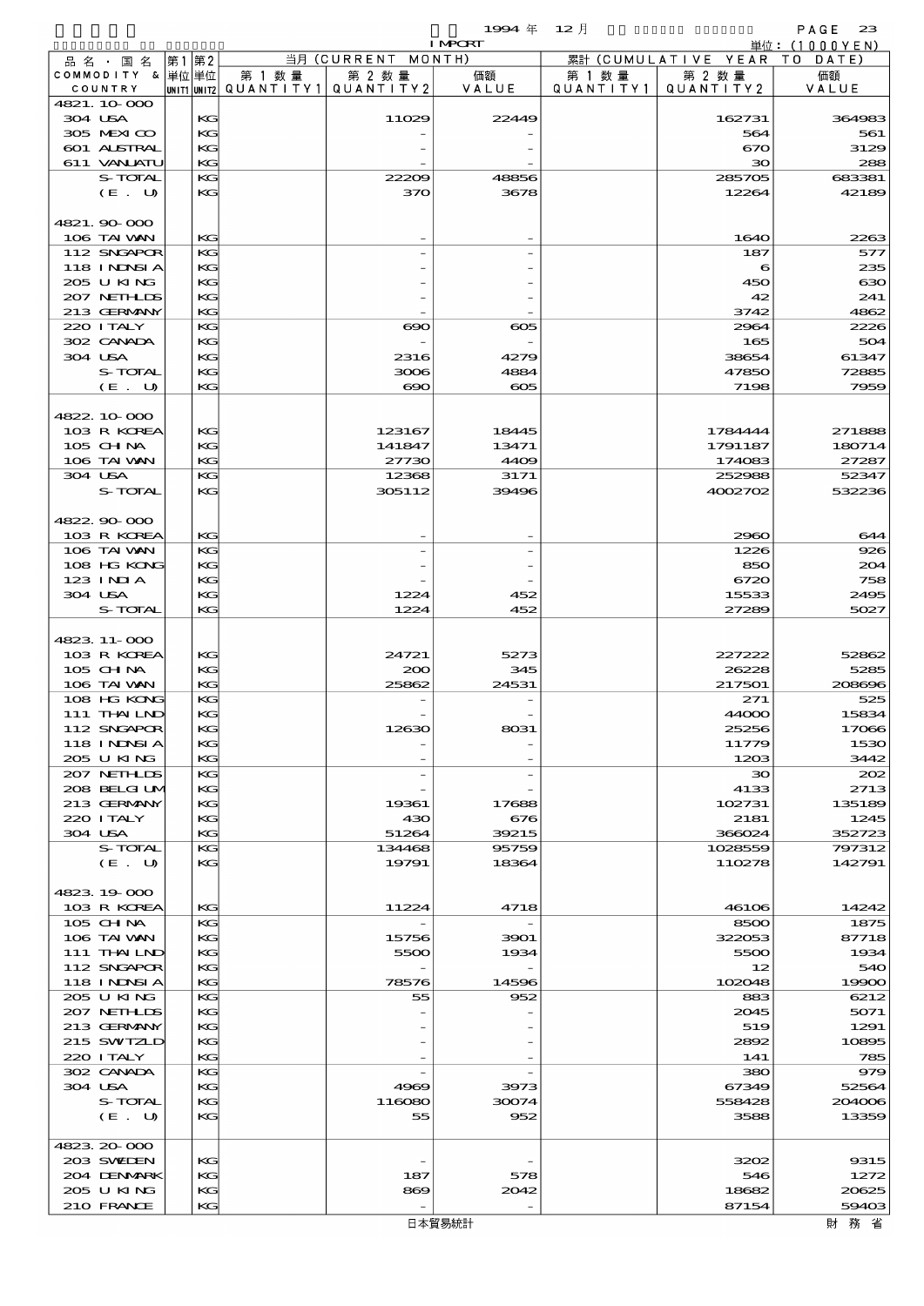$1994 \# 12$   $\frac{1}{2}$   $1000 \times 1000 \times 1000 \times 1000 \times 1000 \times 1000 \times 1000 \times 1000 \times 1000 \times 1000 \times 1000 \times 1000 \times 1000 \times 1000 \times 1000 \times 1000 \times 1000 \times 1000 \times 1000 \times 1000 \times 1000 \times 1000 \times 1000 \times 1000 \times 1000 \times 1000 \times 1000 \times 1000 \times 10$ 

|                           |      |                                       |                          | <b>I MPCRT</b> |           |                              | 単位: (1000YEN) |
|---------------------------|------|---------------------------------------|--------------------------|----------------|-----------|------------------------------|---------------|
| 品名・国名                     | 第1第2 |                                       | 当月 (CURRENT MONTH)       |                |           | 累計 (CUMULATIVE YEAR TO DATE) |               |
| COMMODITY & 単位単位          |      | 第 1 数量                                | 第 2 数量                   | 価額             | 第 1 数 量   | 第 2 数量                       | 価額            |
| COUNTRY                   |      | UNIT1 UNIT2  QUANT I TY1  QUANT I TY2 |                          | VALUE          | QUANTITY1 | QUANTITY 2                   | VALUE         |
| 4821.10.000               |      |                                       |                          |                |           |                              |               |
| 304 USA                   | KG   |                                       | 11029                    | 22449          |           | 162731                       | 364983        |
| 305 MEXICO                | KG   |                                       |                          |                |           | 564                          | 561           |
| 601 ALSTRAL               | KC   |                                       |                          |                |           | 670                          | 3129          |
| 611 VANJATU               | KG   |                                       |                          |                |           | $30^{\circ}$                 | 288           |
| S-TOTAL                   | KG   |                                       | 22209                    | 48856<br>3678  |           | 285705                       | 683381        |
| (E. U)                    | КC   |                                       | 370                      |                |           | 12264                        | 42189         |
|                           |      |                                       |                          |                |           |                              |               |
| 4821.90000<br>106 TAI VAN | KG   |                                       |                          |                |           | 1640                         | 2263          |
| 112 SNGAPOR               | KG   |                                       |                          |                |           | 187                          | 577           |
| 118 I NDSI A              | KG   |                                       |                          |                |           | 6                            | 235           |
| 205 U KING                | KG   |                                       |                          |                |           | 450                          | 630           |
| 207 NETHLIS               | KC   |                                       |                          |                |           | 42                           | 241           |
| 213 GERMANY               | КC   |                                       |                          |                |           | 3742                         | 4862          |
| 220 I TALY                | KG   |                                       | $\infty$                 | $\infty$       |           | 2964                         | 2226          |
| 302 CANADA                | KG   |                                       |                          |                |           | 165                          | 504           |
| 304 USA                   | KG   |                                       | 2316                     | 4279           |           | 38654                        | 61347         |
| S-TOTAL                   | KG   |                                       | 3006                     | 4884           |           | 47850                        | 72885         |
| (E. U)                    | KG   |                                       | $\infty$                 | $\infty$       |           | 7198                         | 7959          |
|                           |      |                                       |                          |                |           |                              |               |
| 4822.10.000               |      |                                       |                          |                |           |                              |               |
| 103 R KOREA               | KG   |                                       | 123167                   | 18445          |           | 1784444                      | 271888        |
| $105$ CHNA                | KC   |                                       | 141847                   | 13471          |           | 1791187                      | 180714        |
| 106 TAI VAN               | KG   |                                       | 27730                    | 4409           |           | 174083                       | 27287         |
| 304 USA                   | KG   |                                       | 12368                    | 3171           |           | 252988                       | 52347         |
| S-TOTAL                   | KG   |                                       | 305112                   | 39496          |           | 4002702                      | 532236        |
|                           |      |                                       |                          |                |           |                              |               |
| 4822.90.000               |      |                                       |                          |                |           |                              |               |
| 103 R KOREA               | KG   |                                       |                          |                |           | 2960                         | 644           |
| 106 TAI VAN               | KG   |                                       |                          |                |           | 1226                         | 926           |
| 108 HG KONG               | KG   |                                       |                          |                |           | 850                          | 204           |
| 123 INIA                  | KG   |                                       |                          |                |           | 6720                         | 758           |
| 304 USA                   | KG   |                                       | 1224                     | 452            |           | 15533                        | 2495          |
| S-TOTAL                   | KG   |                                       | 1224                     | 452            |           | 27289                        | 5027          |
|                           |      |                                       |                          |                |           |                              |               |
| 4823.11-000               |      |                                       |                          |                |           |                              |               |
| 103 R KOREA               | KG   |                                       | 24721                    | 5273           |           | 227222                       | 52862         |
| $105$ CHNA                | KG   |                                       | 200                      | 345            |           | 26228                        | 5285          |
| 106 TAI VAN               | KG   |                                       | 25862                    | 24531          |           | 217501                       | 208696        |
| 108 HG KONG               | KG   |                                       |                          |                |           | 271                          | 525           |
| 111 THAILND               | KG   |                                       |                          |                |           | 44000                        | 15834         |
| 112 SNGAPOR               | KG   |                                       | 12630                    | 8031           |           | 25256                        | 17066         |
| <b>118 INNSIA</b>         | KG   |                                       |                          |                |           | 11779                        | 1530          |
| 205 U KING                | KG   |                                       |                          |                |           | 1203                         | 3442          |
| 207 NEIHLIS               | KG   |                                       |                          |                |           | $\infty$                     | 202           |
| 208 BELGI UM              | KG   |                                       |                          |                |           | 4133                         | 2713          |
| 213 GERMANY               | KG   |                                       | 19361                    | 17688          |           | 102731                       | 135189        |
| 220 I TALY                | KG   |                                       | 430                      | 676            |           | 2181                         | 1245          |
| 304 USA                   | KG   |                                       | 51264                    | 39215          |           | 366024                       | 352723        |
| S-TOTAL                   | KG   |                                       | 134468                   | 95759          |           | 1028559                      | 797312        |
| (E. U)                    | KG   |                                       | 19791                    | 18364          |           | 110278                       | 142791        |
|                           |      |                                       |                          |                |           |                              |               |
| 4823.19000                |      |                                       |                          |                |           |                              |               |
| 103 R KOREA               | KG   |                                       | 11224                    | 4718           |           | 46106                        | 14242         |
| 105 CHNA                  | KG   |                                       |                          |                |           | 8500                         | 1875          |
| 106 TAI VAN               | KG   |                                       | 15756                    | 3901           |           | 322053                       | 87718         |
| $111$ THAILND             | KG   |                                       | 5500                     | 1934           |           | 5500                         | 1934          |
| 112 SNGAPOR               | KG   |                                       |                          |                |           | 12                           | 540           |
| 118 INNSI A               | KG   |                                       | 78576                    | 14596          |           | 102048                       | 19900         |
| 205 U KING                | KG   |                                       | 55                       | 952            |           | 883                          | 6212          |
| 207 NETHLIS               | KG   |                                       |                          |                |           | 2045                         | 5071          |
| 213 GERMANY               | KG   |                                       |                          |                |           | 519                          | 1291          |
| 215 SWIZLD                | KG   |                                       |                          |                |           | 2892                         | 10895         |
| 220 I TALY                | KG   |                                       |                          |                |           | 141                          | 785           |
| 302 CANADA                | KG   |                                       |                          |                |           | 380                          | 979           |
| 304 USA                   | KG   |                                       | 4969                     | 3973           |           | 67349                        | 52564         |
| S-TOTAL                   | KG   |                                       | 116080                   | 30074          |           | 558428                       | 204006        |
| (E. U)                    | КC   |                                       | 55                       | 952            |           | 3588                         | 13359         |
|                           |      |                                       |                          |                |           |                              |               |
| 4823.20-000               |      |                                       |                          |                |           |                              |               |
| 203 SWIDEN                | KG   |                                       |                          |                |           | 3202                         | 9315          |
| 204 DENMARK               | KG   |                                       | 187                      | 578            |           | 546                          | 1272          |
| 205 U KING                | KG   |                                       | 869                      | 2042           |           | 18682                        | 20625         |
| 210 FRANCE                | KG   |                                       | $\overline{\phantom{a}}$ |                |           | 87154                        | 59403         |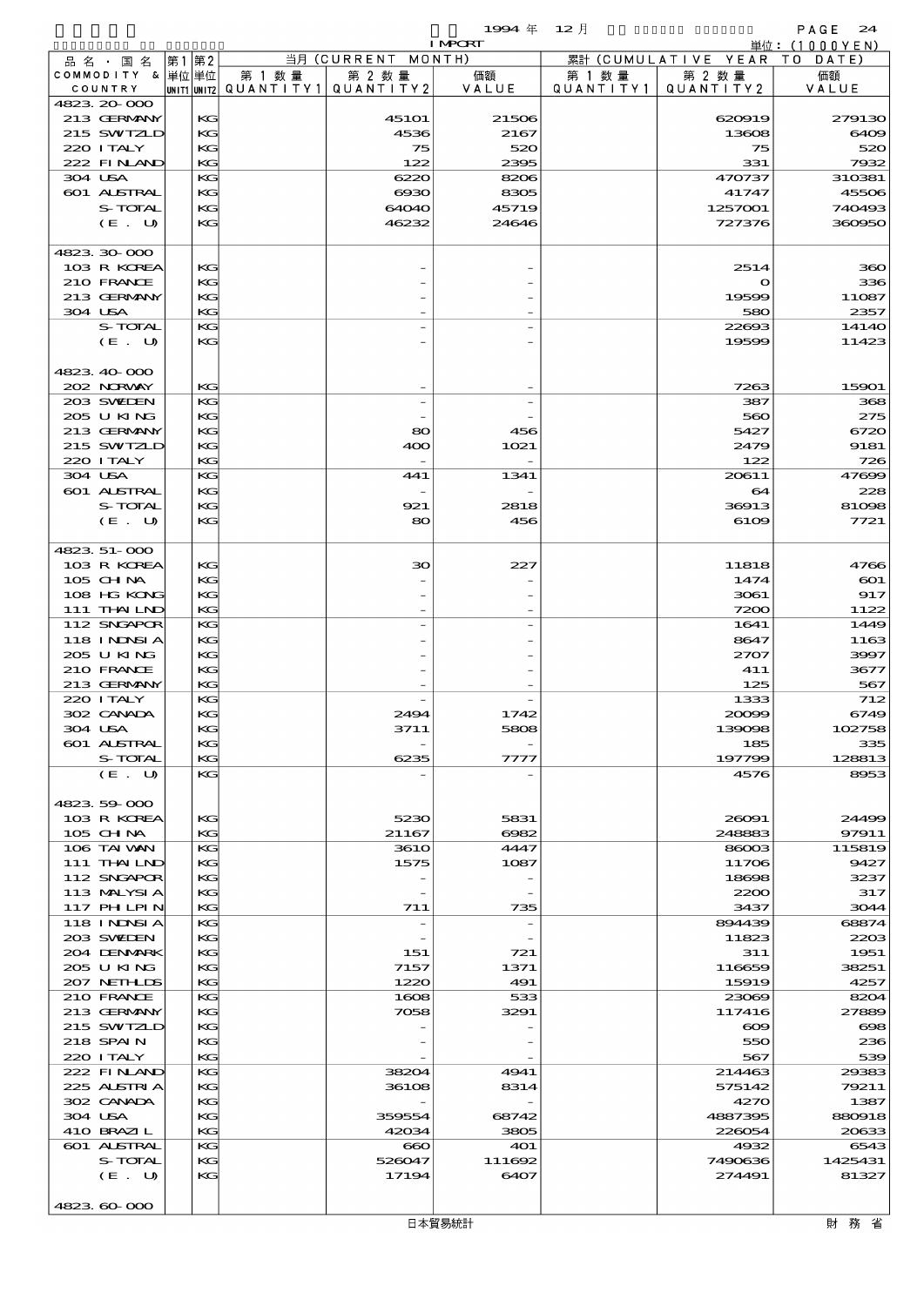$1994 \# 12 \n\AA$ 

|                               |    |          |                                       |                                 | <b>I MPCRT</b> |           |                        | 単位: (1000YEN)    |
|-------------------------------|----|----------|---------------------------------------|---------------------------------|----------------|-----------|------------------------|------------------|
| 品名・国名                         | 第1 | 第2       |                                       | 当月 (CURRENT MONTH)              |                |           | 累計 (CUMULATIVE YEAR TO | DATE)            |
| COMMODITY & 単位単位              |    |          | 第 1 数 量                               | 第 2 数量                          | 価額             | 第 1 数量    | 第 2 数量                 | 価額               |
| COUNTRY<br>4823 20 000        |    |          | UNIT1 UNIT2  QUANT   TY1  QUANT   TY2 |                                 | VALUE          | QUANTITY1 | QUANTITY 2             | VALUE            |
| 213 GERMANY                   |    | KG       |                                       | <b>45101</b>                    | 21506          |           | 620919                 | 279130           |
| 215 SWIZLD                    |    | KG       |                                       | 4536                            | 2167           |           | 13608                  | 6409             |
| 220 I TALY                    |    | KG       |                                       | 75                              | 520            |           | 75                     | 520              |
| 222 FINAND                    |    | KG       |                                       | 122                             | 2395           |           | 331                    | 7932             |
| 304 USA                       |    | KG       |                                       | 6220                            | 8206           |           | 470737                 | 310381           |
| <b>601 ALSTRAL</b>            |    | KG       |                                       | 6930                            | 8305           |           | 41747                  | 45506            |
| S-TOTAL<br>(E. U)             |    | KG<br>KG |                                       | 64040<br>46232                  | 45719<br>24646 |           | 1257001<br>727376      | 740493<br>360950 |
|                               |    |          |                                       |                                 |                |           |                        |                  |
| 4823 30 000                   |    |          |                                       |                                 |                |           |                        |                  |
| 103 R KOREA                   |    | KG       |                                       |                                 |                |           | 2514                   | 360              |
| 210 FRANCE                    |    | KG       |                                       |                                 |                |           | $\mathbf{o}$           | 336              |
| 213 GERMANY                   |    | KG       |                                       |                                 |                |           | 19599                  | 11087            |
| 304 USA                       |    | KG       |                                       |                                 |                |           | 580                    | 2357             |
| S-TOTAL                       |    | KG       |                                       |                                 |                |           | 22693                  | 14140            |
| (E. U)                        |    | KG       |                                       |                                 |                |           | 19599                  | 11423            |
| 4823 40 000                   |    |          |                                       |                                 |                |           |                        |                  |
| 202 NORWAY                    |    | KG       |                                       |                                 |                |           | 7263                   | 15901            |
| 203 SWIEN                     |    | KG       |                                       |                                 |                |           | 387                    | 368              |
| 205 U KING                    |    | KG       |                                       |                                 |                |           | 560                    | 275              |
| 213 GERMANY                   |    | KG       |                                       | 80                              | 456            |           | 5427                   | 6720             |
| 215 SWIZLD                    |    | KG       |                                       | 400                             | 1021           |           | 2479                   | 9181             |
| 220 I TALY                    |    | KG       |                                       |                                 |                |           | 122                    | 726              |
| 304 USA                       |    | KG       |                                       | 441                             | 1341           |           | 20611                  | 47699            |
| <b>601 ALSTRAL</b><br>S-TOTAL |    | KG<br>KG |                                       | 921                             | 2818           |           | 64<br>36913            | 228<br>81098     |
| (E. U)                        |    | KG       |                                       | 80                              | 456            |           | 6109                   | 7721             |
|                               |    |          |                                       |                                 |                |           |                        |                  |
| 4823 51-000                   |    |          |                                       |                                 |                |           |                        |                  |
| 103 R KOREA                   |    | KG       |                                       | $30^{\circ}$                    | 227            |           | 11818                  | 4766             |
| $105$ CHNA                    |    | KG       |                                       |                                 |                |           | 1474                   | $\infty$         |
| 108 HG KONG                   |    | KG       |                                       |                                 |                |           | 3061                   | 917              |
| 111 THAILND                   |    | KG       |                                       |                                 |                |           | 7200                   | 1122             |
| 112 SNGAPOR                   |    | KG       |                                       |                                 |                |           | 1641                   | 1449             |
| 118 I NDSI A<br>205 U KING    |    | KG<br>KG |                                       |                                 |                |           | 8647<br>2707           | 1163<br>3997     |
| 210 FRANCE                    |    | KG       |                                       |                                 |                |           | 411                    | 3677             |
| 213 GERMANY                   |    | KG       |                                       |                                 |                |           | 125                    | 567              |
| 220 I TALY                    |    | KG       |                                       |                                 |                |           | 1333                   | 712              |
| 302 CANADA                    |    | KG       |                                       | 2494                            | 1742           |           | 20099                  | 6749             |
| 304 USA                       |    | KG       |                                       | 3711                            | 5808           |           | 139098                 | 102758           |
| 601 ALSTRAL                   |    | КG       |                                       |                                 |                |           | 185                    | 335              |
| S-TOTAL                       |    | KG       |                                       | 6235                            | 7777           |           | 197799                 | 128813           |
| (E. U)                        |    | KG       |                                       |                                 |                |           | 4576                   | 8953             |
| 4823 59 000                   |    |          |                                       |                                 |                |           |                        |                  |
| 103 R KOREA                   |    | KG       |                                       | 5230                            | 5831           |           | 26091                  | 24499            |
| $105$ CHNA                    |    | KG       |                                       | 21167                           | 6082           |           | 248883                 | 97911            |
| 106 TAI VAN                   |    | KG       |                                       | <b>3610</b>                     | 4447           |           | 86003                  | 115819           |
| 111 THAILND                   |    | KG       |                                       | 1575                            | 1087           |           | 11706                  | 9427             |
| 112 SNGAPOR                   |    | KG       |                                       |                                 |                |           | 18698                  | 3237             |
| 113 MALYSIA<br>117 PHLPIN     |    | KG<br>KG |                                       | $\overline{\phantom{m}}$<br>711 | 735            |           | 2200<br>3437           | 317<br>3044      |
| <b>118 INNSIA</b>             |    | KG       |                                       |                                 |                |           | 894439                 | 68874            |
| 203 SWIDEN                    |    | KG       |                                       |                                 |                |           | 11823                  | 2203             |
| 204 DENMARK                   |    | KG       |                                       | 151                             | 721            |           | 311                    | 1951             |
| 205 U KING                    |    | KG       |                                       | 7157                            | 1371           |           | 116659                 | 38251            |
| 207 NETHLIS                   |    | KG       |                                       | 1220                            | 491            |           | 15919                  | 4257             |
| 210 FRANCE                    |    | KG       |                                       | 1608                            | 533            |           | 23069                  | 8204             |
| 213 GERMANY                   |    | KG       |                                       | 7058                            | 3291           |           | 117416                 | 27889            |
| 215 SWIZLD                    |    | KG       |                                       |                                 |                |           | $\infty$               | $\infty$         |
| 218 SPAIN<br>220 I TALY       |    | KG<br>KG |                                       |                                 |                |           | 550<br>567             | 236              |
| 222 FINLAND                   |    | KG       |                                       | 38204                           | 4941           |           | 214463                 | 539<br>29383     |
| 225 ALSTRIA                   |    | KG       |                                       | 36108                           | 8314           |           | 575142                 | 79211            |
| 302 CANADA                    |    | KG       |                                       |                                 |                |           | 4270                   | 1387             |
| 304 USA                       |    | KG       |                                       | 359554                          | 68742          |           | 4887395                | 880918           |
| 410 BRAZIL                    |    | KG       |                                       | 42034                           | 3805           |           | 226054                 | 20633            |
| <b>601 ALSTRAL</b>            |    | KG       |                                       | $\bf{660}$                      | <b>401</b>     |           | 4932                   | 6543             |
| S-TOTAL                       |    | KG       |                                       | 526047                          | 111692         |           | 7490636                | 1425431          |
| (E. U)                        |    | KG       |                                       | 17194                           | 6407           |           | 274491                 | 81327            |
|                               |    |          |                                       |                                 |                |           |                        |                  |

4823.60-000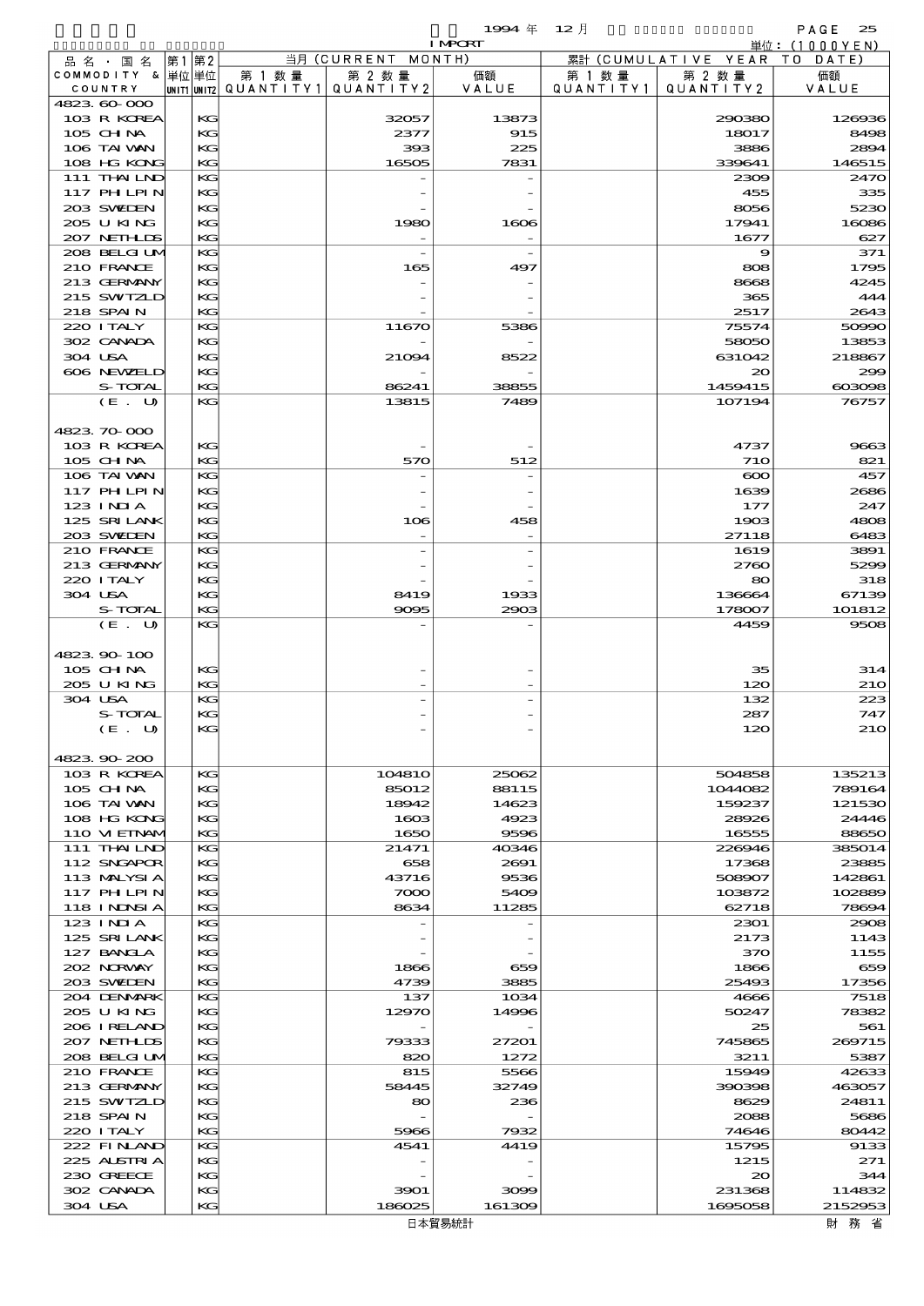|                                  |             |          |                      |                          | 1994 $#$       | $12$ 月               |                      | PAGE<br>25      |
|----------------------------------|-------------|----------|----------------------|--------------------------|----------------|----------------------|----------------------|-----------------|
|                                  |             |          |                      |                          | <b>I MPCRT</b> |                      |                      | 単位:(1000YEN)    |
| 品 名 ・ 国 名                        | 第1          | 第2       |                      | 当月(CURRENT               | MONTH)         |                      | 累計 (CUMULATIVE YEAR) | T O<br>DATE     |
| COMMODITY & 単位 単位<br>COUNTRY     | UNIT1 UNIT2 |          | 第 1 数 量<br>QUANTITY1 | 第 2 数量<br>QUANTITY2      | 価額<br>VALUE    | 第 1 数 量<br>QUANTITY1 | 第 2 数量<br>QUANTITY2  | 価額<br>VALUE     |
| 4823 60 000                      |             |          |                      |                          |                |                      |                      |                 |
| 103 R KOREA                      |             | KG       |                      | 32057                    | 13873          |                      | 290380               | 126936          |
| $105$ CHNA                       |             | KG       |                      | 2377                     | 915            |                      | 18017                | 8498            |
| 106 TAI VAN                      |             | KG       |                      | 393                      | 225            |                      | 3886                 | 2894            |
| 108 HG KONG                      |             | KG       |                      | 16505                    | 7831           |                      | 339641               | 146515<br>2470  |
| 111 THAILND<br><b>117 PHLPIN</b> |             | KG<br>KG |                      |                          |                |                      | 2309<br>455          | 335             |
| 203 SWIEN                        |             | KG       |                      |                          |                |                      | 8056                 | 5230            |
| 205 U KING                       |             | KG       |                      | 1980                     | 1606           |                      | 17941                | 16086           |
| 207 NETH IDS                     |             | KG       |                      |                          |                |                      | 1677                 | 627             |
| 208 BELGI UM                     |             | KG       |                      | $\overline{\phantom{a}}$ |                |                      | 9                    | 371             |
| 210 FRANCE                       |             | KG       |                      | 165                      | 497            |                      | 808                  | 1795            |
| 213 GERMANY                      |             | KG       |                      |                          |                |                      | 8668                 | 4245            |
| 215 SWIZLD<br>218 SPAIN          |             | KG<br>KG |                      |                          |                |                      | 365<br>2517          | 444<br>2643     |
| 220 I TALY                       |             | KG       |                      | 11670                    | 5386           |                      | 75574                | 50990           |
| 302 CANADA                       |             | KG       |                      |                          |                |                      | 58050                | 13853           |
| 304 USA                          |             | KG       |                      | 21094                    | 8522           |                      | 631042               | 218867          |
| 606 NEWELD                       |             | KG       |                      |                          |                |                      | 20                   | 299             |
| S-TOTAL                          |             | KG       |                      | 86241                    | 38855          |                      | 1459415              | 000008          |
| (E. U)                           |             | KG       |                      | 13815                    | 7489           |                      | 107194               | 76757           |
|                                  |             |          |                      |                          |                |                      |                      |                 |
| 4823 70 000                      |             |          |                      |                          |                |                      |                      |                 |
| 103 R KOREA<br>105 CH NA         |             | KG<br>KG |                      | 570                      | 512            |                      | 4737<br><b>710</b>   | 9663<br>821     |
| 106 TAI VAN                      |             | KG       |                      |                          |                |                      | $\infty$             | 457             |
| 117 PH LPIN                      |             | KG       |                      |                          |                |                      | 1639                 | 2686            |
| $123$ INIA                       |             | KG       |                      |                          |                |                      | 177                  | 247             |
| 125 SRILANK                      |             | KG       |                      | 106                      | 458            |                      | 1903                 | 4808            |
| 203 SWEDEN                       |             | KG       |                      |                          |                |                      | 27118                | 6483            |
| 210 FRANCE                       |             | KG       |                      |                          |                |                      | 1619                 | 3891            |
| 213 GERMANY                      |             | KG       |                      |                          |                |                      | 2760                 | 5299            |
| 220 I TALY<br>304 USA            |             | KG<br>KG |                      |                          |                |                      | 80                   | 318             |
| S-TOTAL                          |             | KG       |                      | 8419<br>9095             | 1933<br>2903   |                      | 136664<br>178007     | 67139<br>101812 |
| (E. U)                           |             | KG       |                      |                          |                |                      | 4459                 | 9508            |
|                                  |             |          |                      |                          |                |                      |                      |                 |
| 4823 90 100                      |             |          |                      |                          |                |                      |                      |                 |
| $105$ CHNA                       |             | KG       |                      |                          |                |                      | 35                   | 314             |
| 205 U KING                       |             | KG       |                      |                          |                |                      | 120                  | 210             |
| 304 USA                          |             | KG       |                      |                          |                |                      | 132                  | 223             |
| S-TOTAL                          |             | KG       |                      |                          |                |                      | 287                  | 747             |
| (E. U)                           |             | KG       |                      |                          |                |                      | 120                  | 210             |
| 4823 90 200                      |             |          |                      |                          |                |                      |                      |                 |
| 103 R KOREA                      |             | KG       |                      | <b>104810</b>            | 25062          |                      | 504858               | 135213          |
| $105$ CHNA                       |             | KG       |                      | 85012                    | 88115          |                      | 1044082              | 789164          |
| 106 TAI WAN                      |             | KG       |                      | 18942                    | 14623          |                      | 159237               | 121530          |
| 108 HG KONG                      |             | KG       |                      | 1603                     | 4923           |                      | 28926                | 24446           |
| 110 VIEINAM                      |             | KG       |                      | 1650                     | 9596           |                      | 16555                | 88650           |
| 111 THAILND<br>112 SNGAPOR       |             | KG<br>KG |                      | 21471                    | 40346          |                      | 226946<br>17368      | 385014          |
| 113 MALYSIA                      |             | KG       |                      | 658<br>43716             | 2691<br>9536   |                      | 508907               | 23885<br>142861 |
| 117 PHLPIN                       |             | KG       |                      | 7000                     | 5409           |                      | 103872               | 102889          |
| <b>118 INNSIA</b>                |             | KG       |                      | 8634                     | 11285          |                      | 62718                | 78694           |
| 123 INIA                         |             | KG       |                      |                          |                |                      | 2301                 | 2908            |
| 125 SRILANK                      |             | KG       |                      |                          |                |                      | 2173                 | 1143            |
| 127 BANCLA                       |             | KG       |                      |                          |                |                      | 370                  | 1155            |
| 202 NORWAY                       |             | KG       |                      | 1866                     | 659            |                      | 1866                 | 659             |
| 203 SWIEN                        |             | KG       |                      | 4739                     | 3885           |                      | 25493                | 17356           |
| 204 DENMARK<br>205 U KING        |             | KG<br>KG |                      | 137<br>12970             | 1034<br>14996  |                      | 4666<br>50247        | 7518<br>78382   |
| 206 I RELAND                     |             | KG       |                      |                          |                |                      | 25                   | 561             |
| 207 NETHLIS                      |             | KG       |                      | 79333                    | 27201          |                      | 745865               | 269715          |
| 208 BELGI UM                     |             | KG       |                      | 820                      | 1272           |                      | 3211                 | 5387            |
| 210 FRANCE                       |             | KG       |                      | 815                      | 5566           |                      | 15949                | 42633           |
| 213 GERMANY                      |             | KG       |                      | 58445                    | 32749          |                      | 390398               | 463057          |
| 215 SWIZLD                       |             | KG       |                      | 80                       | 236            |                      | 8629                 | 24811           |
| 218 SPAIN                        |             | KG       |                      |                          |                |                      | 2088                 | 5686            |
| 220 I TALY<br>222 FINAND         |             | KG<br>KG |                      | 5966<br>4541             | 7932<br>4419   |                      | 74646<br>15795       | 80442<br>9133   |
| 225 ALSTRIA                      |             | KG       |                      |                          |                |                      | 1215                 | 271             |
| 230 GREECE                       |             | KG       |                      |                          |                |                      | $\infty$             | 344             |
| 302 CANADA                       |             | KG       |                      | 3901                     | 3099           |                      | 231368               | 114832          |
| 304 USA                          |             | KG       |                      | 186025                   | 161309         |                      | 1695058              | 2152953         |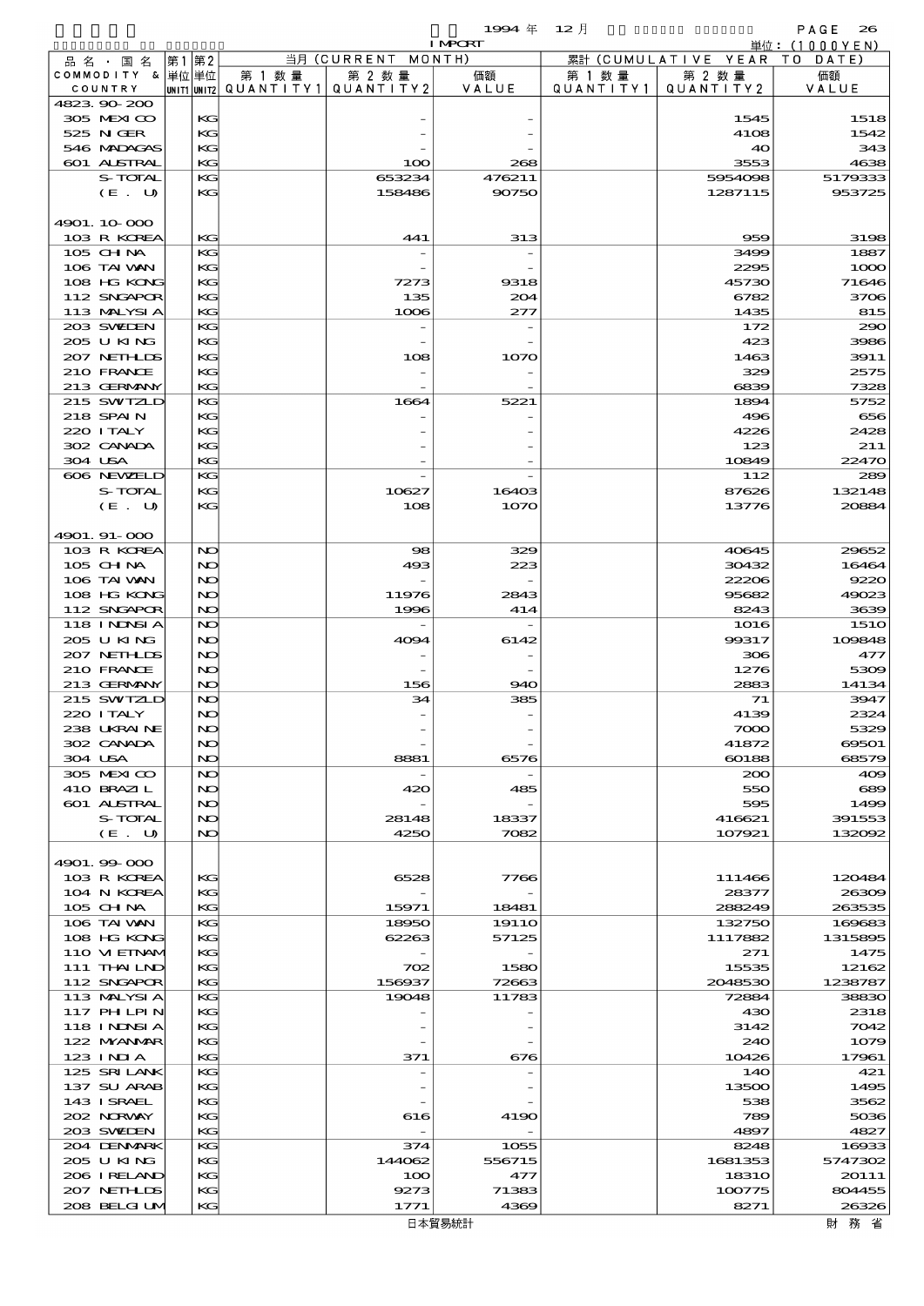|                           |    |             |                     |                    | 1994 $#$       | $12$ 月    |                      | PAGE<br>26   |
|---------------------------|----|-------------|---------------------|--------------------|----------------|-----------|----------------------|--------------|
|                           |    |             |                     |                    | <b>I MPCRT</b> |           |                      | 単位:(1000YEN) |
| 品名・国名                     | 第1 | 第2          |                     | 当月 (CURRENT MONTH) |                |           | 累計 (CUMULATIVE YEAR) | T O<br>DATE  |
| COMMODITY & 単位単位          |    |             | 第 1 数量              | 第 2 数量             | 価額             | 第 1 数 量   | 第 2 数量               | 価額           |
| COUNTRY                   |    | UNIT1 UNIT2 | QUANTITY1 QUANTITY2 |                    | VALUE          | QUANTITY1 | QUANTITY 2           | VALUE        |
| 4823.90.200<br>305 MEXICO |    | KG          |                     |                    |                |           | 1545                 | 1518         |
| 525 N GER                 |    | KG          |                     |                    |                |           | 4108                 | 1542         |
| 546 MADACAS               |    | KG          |                     |                    |                |           | 40                   | 343          |
| 601 ALSTRAL               |    | KG          |                     | 100                | 268            |           | 3553                 | 4638         |
| S-TOTAL                   |    | KG          |                     | 653234             | 476211         |           | 5954098              | 5179333      |
| (E. U)                    |    | KG          |                     | 158486             | 90750          |           | 1287115              | 953725       |
|                           |    |             |                     |                    |                |           |                      |              |
| 4901.10.000               |    |             |                     |                    |                |           |                      |              |
| 103 R KOREA               |    | KG          |                     | 441                | 313            |           | 959                  | 3198         |
| $105$ CHNA                |    | KG          |                     |                    |                |           | 3499                 | 1887         |
| 106 TAI VAN               |    | KG          |                     |                    |                |           | 2295                 | 1000         |
| 108 HG KONG               |    | KG          |                     | 7273               | 9318           |           | 45730                | 71646        |
| 112 SNGAPOR               |    | KG          |                     | 135                | 204            |           | 6782                 | 3706         |
| 113 MALYSIA               |    | KG          |                     | 1006               | 277            |           | 1435                 | 815          |
| 203 SWIEN                 |    | KG          |                     |                    |                |           | 172                  | 290          |
| 205 U KING                |    | KG          |                     |                    |                |           | 423                  | 3986         |
| 207 NETHLIS               |    | KG          |                     | 108                | 1070           |           | 1463                 | 3911         |
| 210 FRANCE                |    | KG          |                     |                    |                |           | 329                  | 2575         |
| 213 GERMANY               |    | KG          |                     |                    |                |           | 6839                 | 7328         |
| 215 SWIZLD                |    | KG          |                     | 1664               | 5221           |           | 1894                 | 5752         |
| <b>218 SPAIN</b>          |    | KG          |                     |                    |                |           | 496                  | 656          |
| 220 I TALY                |    | KG          |                     |                    |                |           | 4226                 | 2428         |
| 302 CANADA                |    | KG          |                     |                    |                |           | 123                  | 211          |
| 304 USA                   |    | KG          |                     |                    |                |           | 10849                | 22470        |
| 606 NEWELD                |    | KG          |                     |                    |                |           | 112                  | 289          |
| S-TOTAL                   |    | KG          |                     | 10627              | 16403          |           | 87626                | 132148       |
|                           |    | KG          |                     |                    |                |           |                      | 20884        |
| (E. U)                    |    |             |                     | 108                | 1070           |           | 13776                |              |
| 4901. 91-000              |    |             |                     |                    |                |           |                      |              |
| 103 R KOREA               |    | NO          |                     | 98                 | 329            |           | 40645                | 29652        |
| 105 CH NA                 |    | NO          |                     | 493                | 223            |           | 30432                | 16464        |
| 106 TAI VAN               |    | NO          |                     |                    |                |           | 22206                | 9220         |
| 108 HG KONG               |    | NO          |                     | 11976              | 2843           |           | 95682                | 49023        |
| 112 SNGAPOR               |    | NO          |                     | 1996               | 414            |           | 8243                 | 3639         |
| 118 I NDSI A              |    | NO          |                     |                    |                |           | 1016                 | <b>1510</b>  |
| 205 U KING                |    | NO          |                     | 4094               | 6142           |           | 99317                | 109848       |
| 207 NETHLIS               |    | NO          |                     |                    |                |           | 306                  | 477          |
| 210 FRANCE                |    | NO          |                     |                    |                |           | 1276                 | 5309         |
| 213 GERMANY               |    | NO          |                     | 156                | 940            |           | 2883                 | 14134        |
| 215 SWIZLD                |    | NO          |                     | 34                 | 385            |           | 71                   | 3947         |
| 220 I TALY                |    | NO          |                     |                    |                |           | 4139                 | 2324         |
| 238 UKRAINE               |    | NO          |                     |                    |                |           | $\infty$             | 5329         |
| 302 CANADA                |    | NO          |                     |                    |                |           | 41872                | 69501        |
| 304 USA                   |    | NO          |                     | 8881               | 6576           |           | 60188                | 68579        |
| 305 MEXICO                |    | NO          |                     |                    |                |           | 200                  | 409          |
| 410 BRAZIL                |    | NO          |                     | 420                | 485            |           | 550                  | 689          |
| <b>601 ALSTRAL</b>        |    | NO          |                     |                    |                |           | 595                  | 1499         |
| S-TOTAL                   |    | NO          |                     | 28148              | 18337          |           | 416621               | 391553       |
| (E. U)                    |    | NO          |                     | 4250               | 7082           |           | 107921               | 132002       |
|                           |    |             |                     |                    |                |           |                      |              |
| 4901.99-000               |    |             |                     |                    |                |           |                      |              |
| 103 R KOREA               |    | KС          |                     | 6528               | 7766           |           | 111466               | 120484       |
| 104 N KOREA               |    | KG          |                     |                    |                |           | 28377                | 26309        |
| 105 CH NA                 |    | KG          |                     | 15971              | 18481          |           | 288249               | 263535       |
| 106 TAI VAN               |    | KG          |                     | 18950              | 1911O          |           | 132750               | 169683       |
| 108 HG KONG               |    | KG          |                     | 62263              | 57125          |           | 1117882              | 1315895      |
| 110 VI EINAM              |    | KG          |                     |                    |                |           | 271                  | 1475         |
| 111 THAILND               |    | KG          |                     | 702                | 1580           |           | 15535                | 12162        |
| 112 SNGAPOR               |    | KG          |                     | 156937             | 72663          |           | 2048530              | 1238787      |
| 113 MALYSIA               |    | KG          |                     | 19048              | 11783          |           | 72884                | 38830        |
| 117 PHLPIN                |    | KG          |                     |                    |                |           | 430                  | 2318         |
| 118 I NDSI A              |    | KG          |                     |                    |                |           | 3142                 | 7042         |
| 122 MYANAR                |    | KG          |                     |                    |                |           | 240                  | 1079         |
| 123 INIA                  |    | KG          |                     | 371                | 676            |           | 10426                | 17961        |
| 125 SRILANK               |    | KG          |                     |                    |                |           | 140                  | 421          |
| 137 SU ARAB               |    | KG          |                     |                    |                |           | 13500                | 1495         |
| 143 ISRAEL                |    | KG          |                     |                    |                |           | 538                  | 3562         |
| 202 NORWAY                |    | KG          |                     | 616                | 4190           |           | 789                  | 5036         |
| 203 SWIEN                 |    | KG          |                     |                    |                |           | 4897                 | 4827         |
| 204 DENMARK               |    | KG          |                     | 374                | 1055           |           | 8248                 | 16933        |
| 205 U KING                |    | KG          |                     | 144062             | 556715         |           | 1681353              | 5747302      |
| 206 IRELAND               |    | KG          |                     | 100                | 477            |           | <b>18310</b>         | 20111        |
| 207 NETHLIDS              |    | KG          |                     | 9273               | 71383          |           | 100775               | 804455       |
| 208 BELGI UM              |    | KG          |                     | 1771               | 4369           |           | 8271                 | 26326        |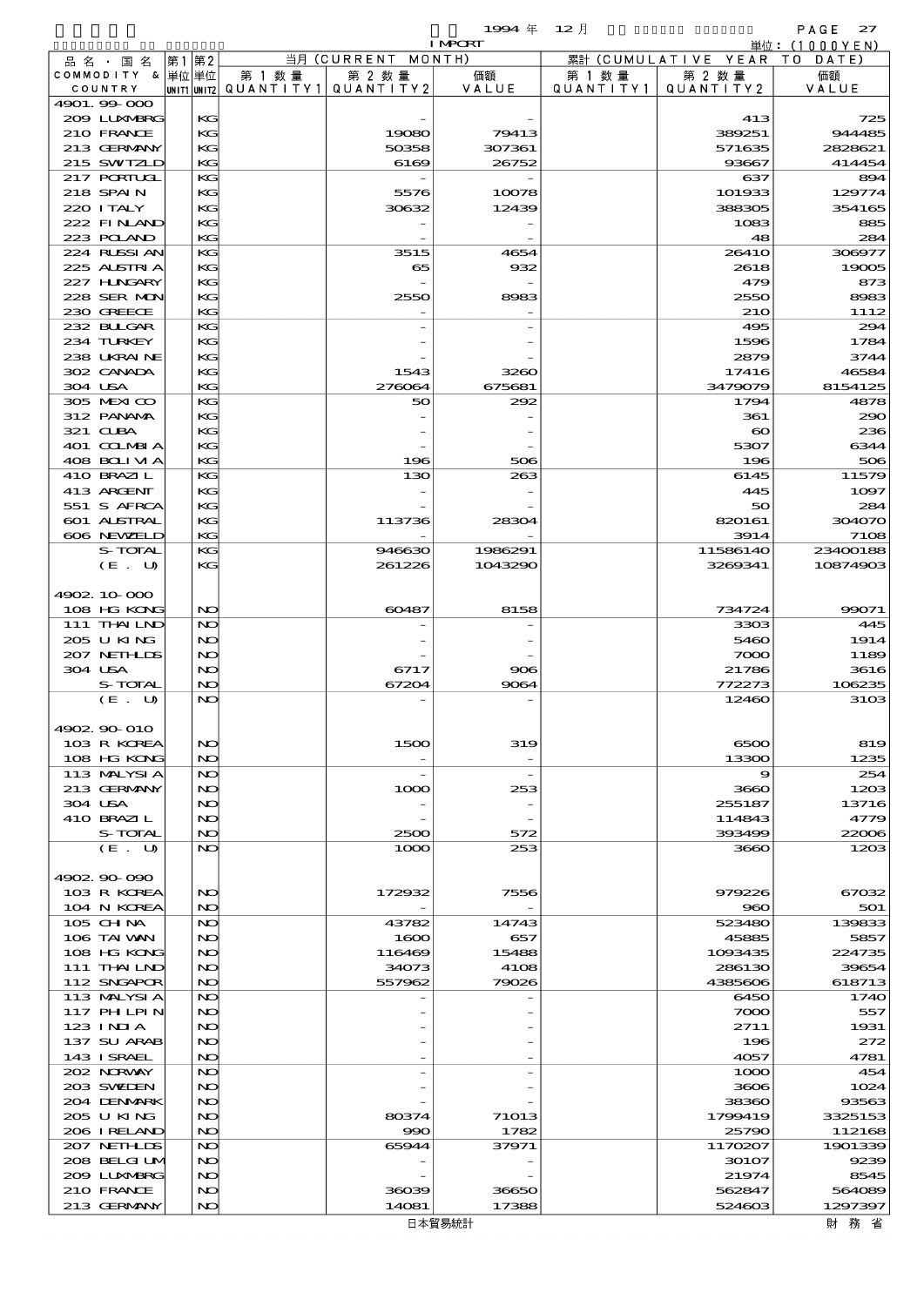$1994 \# 12 \#$ 

|                            |    |          |                                         |                                  | <b>I MPORT</b> |                   |                              | 単位: (1000YEN)    |
|----------------------------|----|----------|-----------------------------------------|----------------------------------|----------------|-------------------|------------------------------|------------------|
| 品名・国名                      | 第1 | 第2       |                                         | 当月(CURRENT                       | MONTH)         |                   | 累計 (CUMULATIVE YEAR TO DATE) |                  |
| COMMODITY & 单位 单位          |    |          | 第 1 数 量                                 | 第 2 数量                           | 価額             | 第 1 数 量           | 第 2 数量                       | 価額               |
| COUNTRY<br>4901.99-000     |    |          | UNIT1 UNIT2   QUANT   TY1   QUANT   TY2 |                                  | VALUE          | Q U A N T I T Y 1 | QUANTITY2                    | VALUE            |
| 2009 LUNABRG               |    | KG       |                                         |                                  |                |                   | 413                          | 725              |
| 210 FRANCE                 |    | KG       |                                         | 19080                            | 79413          |                   | 389251                       | 944485           |
| 213 GERMANY                |    | KG       |                                         | 50358                            | 307361         |                   | 571635                       | 2828621          |
| 215 SWIZLD                 |    | KG       |                                         | 6169                             | 26752          |                   | 93667                        | 414454           |
| 217 PORTUGL                |    | KG       |                                         |                                  |                |                   | 637                          | 894              |
| 218 SPAIN                  |    | KG       |                                         | 5576                             | 10078          |                   | 101933                       | 129774           |
| 220 I TALY                 |    | KG       |                                         | 30632                            | 12439          |                   | 388305                       | 354165           |
| 222 FINAND<br>223 POLAND   |    | KG<br>KG |                                         |                                  |                |                   | 1083<br>48                   | 885              |
| 224 RUSSIAN                |    | KG       |                                         | 3515                             | 4654           |                   | 2641O                        | 284<br>306977    |
| 225 ALSTRIA                |    | KG       |                                         | 65                               | 932            |                   | 2618                         | 19005            |
| 227 H.NGARY                |    | KG       |                                         |                                  |                |                   | 479                          | 873              |
| 228 SER MON                |    | KG       |                                         | 2550                             | 8983           |                   | 2550                         | 8983             |
| 230 GREECE                 |    | KG       |                                         |                                  |                |                   | <b>21O</b>                   | 1112             |
| 232 BULGAR                 |    | KG       |                                         |                                  |                |                   | 495                          | 294              |
| 234 TURKEY                 |    | KG       |                                         |                                  |                |                   | 1596                         | 1784             |
| 238 UKRAINE                |    | KG       |                                         |                                  |                |                   | 2879                         | 3744             |
| 302 CANADA<br>304 USA      |    | KG<br>KG |                                         | 1543<br>276064                   | 3260<br>675681 |                   | 17416<br>3479079             | 46584<br>8154125 |
| 305 MEXICO                 |    | KG       |                                         | 50                               | 292            |                   | 1794                         | 4878             |
| 312 PANAMA                 |    | KG       |                                         |                                  |                |                   | 361                          | 290              |
| 321 CLBA                   |    | KG       |                                         |                                  |                |                   | $\infty$                     | 236              |
| 401 COLMBIA                |    | KG       |                                         |                                  |                |                   | 5307                         | 6344             |
| 408 BOLIVIA                |    | KG       |                                         | 196                              | 506            |                   | 196                          | 506              |
| 410 BRAZIL                 |    | KG       |                                         | 130                              | 263            |                   | 6145                         | 11579            |
| 413 ARCENT                 |    | KG       |                                         |                                  |                |                   | 445                          | 1097             |
| 551 S AFRCA                |    | KG       |                                         |                                  |                |                   | 50                           | 284              |
| 601 ALSTRAL<br>606 NEWELD  |    | KG<br>KG |                                         | 113736                           | 28304          |                   | 820161<br>3914               | 304070<br>7108   |
| S-TOTAL                    |    | KG       |                                         | 946630                           | 1986291        |                   | 11586140                     | 23400188         |
| (E. U)                     |    | KG       |                                         | 261226                           | 1043290        |                   | 3269341                      | 10874903         |
|                            |    |          |                                         |                                  |                |                   |                              |                  |
| 4902 10 000                |    |          |                                         |                                  |                |                   |                              |                  |
| 108 HG KONG                |    | NO       |                                         | 60487                            | 8158           |                   | 734724                       | 99071            |
| 111 THAILND                |    | NO       |                                         |                                  |                |                   | 3303                         | 445              |
| 205 U KING<br>207 NETHLIS  |    | NO<br>NO |                                         |                                  |                |                   | 5460                         | 1914             |
| 304 USA                    |    | NO       |                                         | 6717                             | 906            |                   | 7000<br>21786                | 1189<br>3616     |
| S-TOTAL                    |    | NO       |                                         | 67204                            | 9064           |                   | 772273                       | 106235           |
| (E. U)                     |    | NO       |                                         |                                  |                |                   | 12460                        | 3103             |
|                            |    |          |                                         |                                  |                |                   |                              |                  |
| 4902.90-010                |    |          |                                         |                                  |                |                   |                              |                  |
| 103 R KOREA                |    | NO       |                                         | 1500                             | 319            |                   | 6500                         | 819              |
| 108 HG KONG                |    | NO       |                                         |                                  |                |                   | 13300                        | 1235             |
| 113 MALYSIA<br>213 GERMANY |    | NO<br>NO |                                         | $\overline{\phantom{a}}$<br>1000 | 253            |                   | 9<br>3660                    | 254<br>1203      |
| 304 USA                    |    | NO       |                                         |                                  |                |                   | 255187                       | 13716            |
| 410 BRAZIL                 |    | NO       |                                         |                                  |                |                   | 114843                       | 4779             |
| S-TOTAL                    |    | NO       |                                         | 2500                             | 572            |                   | 393499                       | 22006            |
| (E. U)                     |    | NO       |                                         | 1000                             | 253            |                   | 3660                         | 120B             |
|                            |    |          |                                         |                                  |                |                   |                              |                  |
| 4902.90-090                |    |          |                                         |                                  |                |                   |                              |                  |
| 103 R KOREA                |    | NO       |                                         | 172932                           | 7556           |                   | 979226                       | 67032            |
| 104 N KOREA<br>$105$ CHNA  |    | NO<br>NO |                                         | 43782                            | 14743          |                   | 960<br>523480                | 501<br>139833    |
| 106 TAI VAN                |    | NO       |                                         | 1600                             | 657            |                   | 45885                        | 5857             |
| 108 HG KONG                |    | NO       |                                         | 116469                           | 15488          |                   | 1093435                      | 224735           |
| 111 THAILND                |    | NO       |                                         | 34073                            | 4108           |                   | 286130                       | 39654            |
| 112 SNGAPOR                |    | NO       |                                         | 557962                           | 79026          |                   | 4385606                      | 618713           |
| 113 MALYSIA                |    | NO       |                                         |                                  |                |                   | 6450                         | 1740             |
| 117 PH LPIN                |    | NO       |                                         |                                  |                |                   | 7000                         | 557              |
| 123 INIA                   |    | NO       |                                         |                                  |                |                   | 2711                         | 1931<br>272      |
| 137 SU ARAB<br>143 I SRAEL |    | NO<br>NO |                                         |                                  |                |                   | 196<br>4057                  | 4781             |
| 202 NORWAY                 |    | NO       |                                         |                                  |                |                   | 1000                         | 454              |
| 203 SWIDEN                 |    | NO       |                                         |                                  |                |                   | 3606                         | 1024             |
| 204 DENMARK                |    | NO       |                                         |                                  |                |                   | 38360                        | 93563            |
| 2005 U KING                |    | NO       |                                         | 80374                            | 71013          |                   | 1799419                      | 3325153          |
| 206 IRELAND                |    | NO       |                                         | 990                              | 1782           |                   | 25790                        | 112168           |
| 207 NETHLIS                |    | NO       |                                         | 65944                            | 37971          |                   | 1170207                      | 1901339          |
| 208 BELGI UM               |    | NO       |                                         |                                  |                |                   | 30107                        | 9239             |
| 2009 LUNABRG<br>210 FRANCE |    | NO<br>NO |                                         | 36039                            | 36650          |                   | 21974<br>562847              | 8545<br>564089   |
| 213 GERMANY                |    | NO       |                                         | 14081                            | 17388          |                   | 524603                       | 1297397          |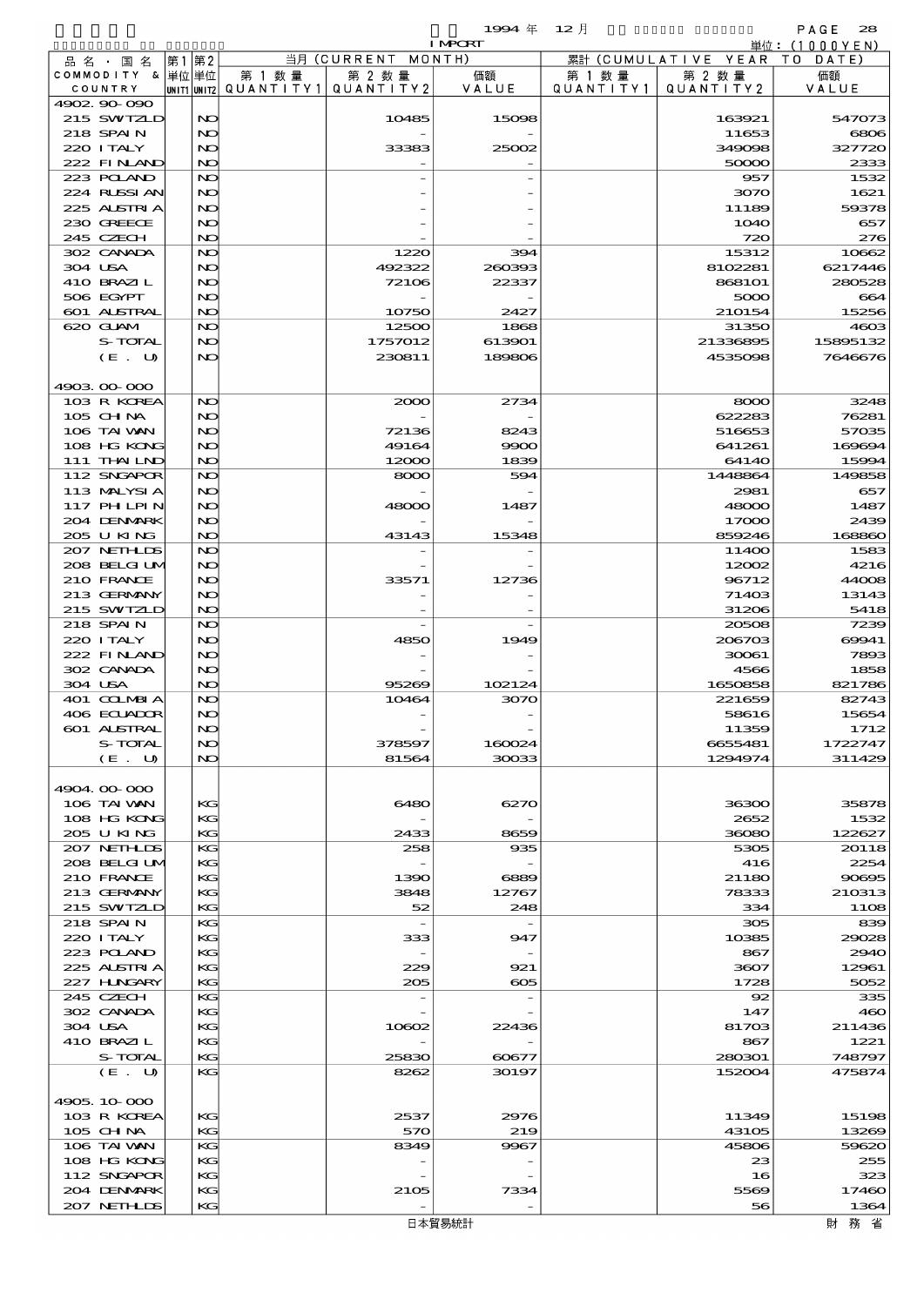品別国別表 輸 入 1994 12 確定 (Fixed Annual) 28

|                         |          |                          |                | <b>I MPORT</b> |           |                     | 単位:(1000YEN)   |
|-------------------------|----------|--------------------------|----------------|----------------|-----------|---------------------|----------------|
| 品名・国名                   | 第1第2     |                          | 当月 (CURRENT    | MONTH)         |           | 累計 (CUMULATIVE YEAR | T O<br>DATE    |
| COMMODITY & 単位単位        |          | 第 1 数 量                  | 第 2 数量         | 価額             | 第 1 数 量   | 第 2 数量              | 価額             |
| COUNTRY                 |          | unit1 unit2  Q∪ANT   TY1 | QUANTITY 2     | VALUE          | QUANTITY1 | QUANTITY 2          | VALUE          |
| 4902.90-090             |          |                          |                |                |           |                     |                |
| 215 SWIZLD<br>218 SPAIN | NO       |                          | 10485          | 15098          |           | 163921              | 547073         |
| 220 I TALY              | NO<br>NO |                          | 33383          | 25002          |           | 11653<br>349098     | 6806<br>327720 |
| 222 FINAND              | NO       |                          |                |                |           | 50000               | 2333           |
| 223 POLAND              | NO       |                          |                |                |           | 957                 | 1532           |
| 224 RUSSIAN             | NO       |                          |                |                |           | 3070                | 1621           |
| 225 ALSTRIA             | NO       |                          |                |                |           | 11189               | 59378          |
| 230 GREECE              | NO       |                          |                |                |           | <b>1O4O</b>         | 657            |
| 245 CZECH               | NO       |                          |                |                |           | 720                 | 276            |
| 302 CANADA              | NO       |                          | 1220           | 394            |           | 15312               | 10662          |
| 304 USA                 | NO       |                          | 492322         | 260393         |           | 8102281             | 6217446        |
| 410 BRAZIL              | NO       |                          | 72106          | 22337          |           | <b>868101</b>       | 280528         |
| 506 EGYPT               | NO       |                          |                |                |           | 5000                | 664            |
| 601 ALSTRAL             | NO       |                          | 10750          | 2427           |           | 210154              | 15256          |
| 620 GLAM                | NO       |                          | 12500          | 1868           |           | 31350               | 4603           |
| S-TOTAL                 | NO       |                          | 1757012        | 613901         |           | 21336895            | 15895132       |
| (E. U)                  | NO       |                          | 230811         | 189806         |           | 4535098             | 7646676        |
|                         |          |                          |                |                |           |                     |                |
| 4903.00.000             |          |                          |                |                |           |                     |                |
| 103 R KOREA             | NO       |                          | 2000           | 2734           |           | 8000                | 3248           |
| 105 CH NA               | NO       |                          |                |                |           | 622283              | 76281          |
| 106 TAI VAN             | NO       |                          | 72136          | 8243           |           | 516653              | 57035          |
| 108 HG KONG             | NO       |                          | 49164          | 9900           |           | 641261              | 169694         |
| 111 THAILND             | NO       |                          | 12000          | 1839           |           | 6414O               | 15994          |
| 112 SNGAPOR             | NO       |                          | 8000           | 594            |           | 1448864             | 149858         |
| 113 MALYSIA             | NO       |                          |                |                |           | 2981                | 657            |
| 117 PHLPIN              | NO       |                          | 48000          | 1487           |           | 48000               | 1487           |
| 204 DENMARK             | NO       |                          |                |                |           | 17000               | 2439           |
| 205 U KING              | NO       |                          | 43143          | 15348          |           | 859246              | 168860         |
| 207 NETHLIS             | NO       |                          |                |                |           | 11400               | 1583           |
| 208 BELGI UM            | NO       |                          |                |                |           | 12002               | 4216           |
| 210 FRANCE              | NO       |                          | 33571          | 12736          |           | 96712               | 44008          |
| 213 GERMANY             | NO       |                          |                |                |           | 71403               | 13143          |
| 215 SWIZLD              | NO       |                          |                |                |           | 31206               | 5418           |
| 218 SPAIN               | NO       |                          |                |                |           | 20508               | 7239           |
| 220 I TALY              | NO       |                          | 4850           | 1949           |           | 206703              | 69941          |
| 222 FINAND              | NO       |                          |                |                |           | 30061               | 7893           |
| 302 CANADA              | NO       |                          |                |                |           | 4566                | 1858           |
| 304 USA                 | NO       |                          | 95269          | 102124         |           | 1650858             | 821786         |
| 401 COLMBIA             | NO       |                          | 10464          | 3070           |           | 221659              | 82743          |
| 406 ECUADOR             | NO       |                          |                |                |           | 58616               | 15654          |
| 601 ALSTRAL             | N)       |                          |                |                |           | 11359               | 1712           |
| S-TOTAL                 | NO       |                          | 378597         | 160024         |           | 6655481             | 1722747        |
| (E. U)                  | NO       |                          | 81564          | 30033          |           | 1294974             | 311429         |
|                         |          |                          |                |                |           |                     |                |
| 4904.00-000             |          |                          |                |                |           |                     |                |
| 106 TAI VAN             | KG       |                          | 6480           | 6270           |           | 36300               | 35878          |
| 108 HG KONG             | KG       |                          |                |                |           | 2652                | 1532           |
| 205 U KING              | KG       |                          | 2433           | 8659           |           | 36080               | 122627         |
| 207 NETHLIS             | KG       |                          | 258            | 935            |           | 5305                | 20118          |
| 208 BELGI UM            | КG       |                          |                |                |           | 416                 | 2254           |
| 210 FRANCE              | KG       |                          | 1390           | 6889           |           | 21180               | 90895          |
| 213 GERMANY             | KG       |                          | 3848           | 12767          |           | 78333               | 210313         |
| 215 SWIZLD              | KG       |                          | 52             | 248            |           | 334                 | 1108           |
| 218 SPAIN               | KG       |                          | $\overline{a}$ |                |           | 305                 | 839            |
| 220 I TALY              | KС       |                          | 333            | 947            |           | 10385               | 29028          |
| 223 POLAND              | KG       |                          |                |                |           | 867                 | 2940           |
| 225 ALSTRIA             | KG       |                          | 229            | 921            |           | 3607                | 12961          |
| 227 HNGARY              | KG       |                          | 205            | $\infty$       |           | 1728                | 5052           |
| 245 CZECH               | KG       |                          |                |                |           | 92                  | 335            |
| 302 CANADA              | KG       |                          |                |                |           | 147                 | 460            |
| 304 USA                 | KG       |                          | 10602          | 22436          |           | 81703               | 211436         |
| 410 BRAZIL              | KG       |                          |                |                |           | 867                 | 1221           |
| S-TOTAL                 | KG       |                          | 25830          | 60677          |           | 280301              | 748797         |
| (E. U)                  | KG       |                          | 8262           | 30197          |           | 152004              | 475874         |
|                         |          |                          |                |                |           |                     |                |
| 4905.10-000             |          |                          |                |                |           |                     |                |
| 103 R KOREA             | KG       |                          | 2537           | 2976           |           | 11349               | 15198          |
| 105 CH NA               | KG       |                          | 570            | 219            |           | 43105               | 13269          |
| 106 TAI VAN             | KG       |                          | 8349           | 9967           |           | 45806               | 59620          |
| 108 HG KONG             | KС       |                          |                |                |           | 23                  | 255            |
| 112 SNGAPOR             | KG       |                          |                |                |           | 16                  | 323            |
| 204 DENMARK             | KG       |                          |                |                |           | 5569                | 17460          |
|                         |          |                          | 2105           | 7334           |           | 56                  |                |
| 207 NETHLIS             | KG       |                          |                |                |           |                     | 1364           |
|                         |          |                          |                | 日本貿易統計         |           |                     | 財 務 省          |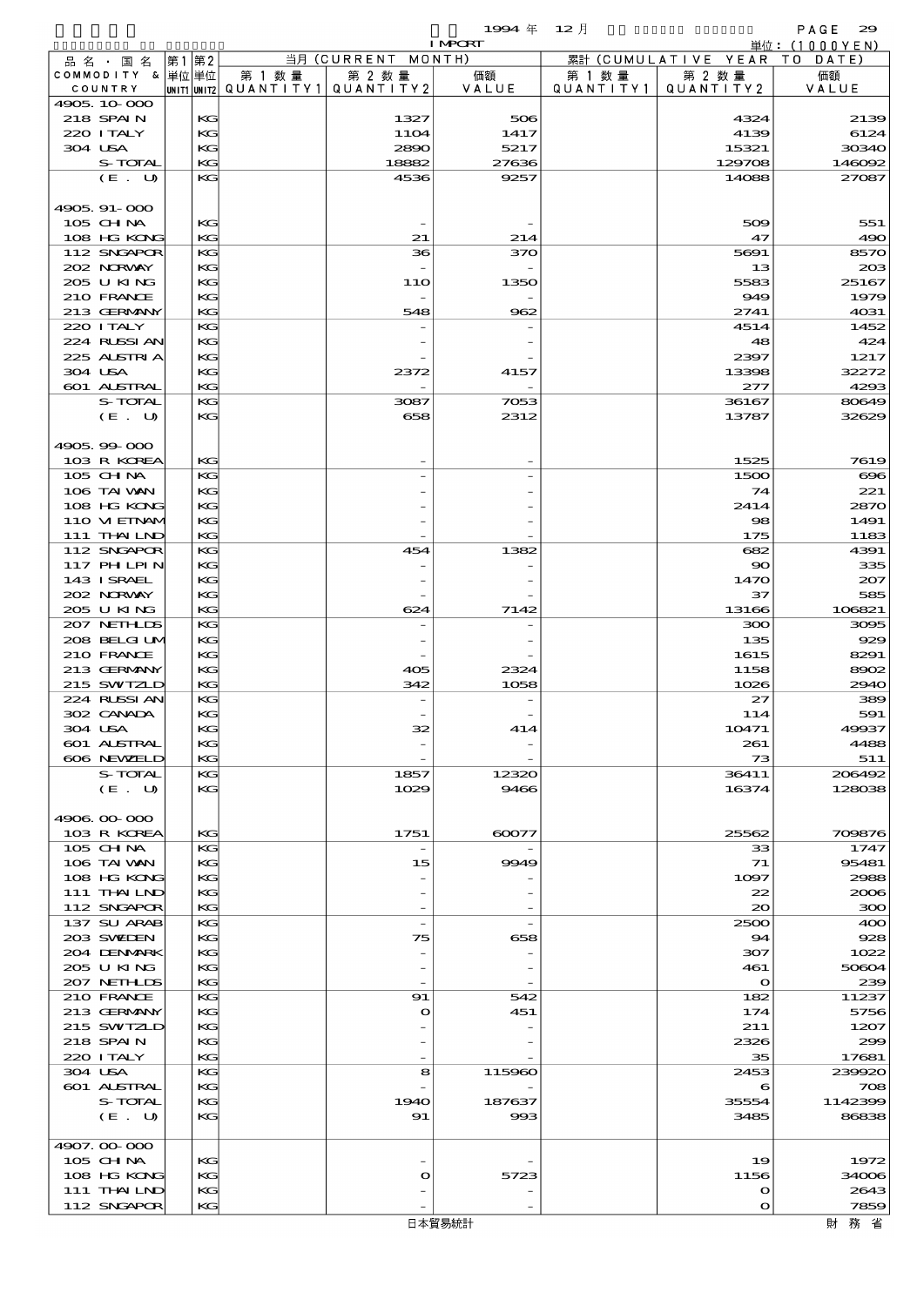$1994 \; \text{#} \quad 12 \; \text{#}$  PAGE 29

|  |                                  |          |        |                                       | <b>I MPORT</b> |           |                              | 単位: (1000YEN) |
|--|----------------------------------|----------|--------|---------------------------------------|----------------|-----------|------------------------------|---------------|
|  | 品名・国名                            | 第1第2     |        | 当月 (CURRENT MONTH)                    |                |           | 累計 (CUMULATIVE YEAR TO DATE) |               |
|  | COMMODITY & 単位単位                 |          | 第 1 数量 | 第 2 数量                                | 価額             | 第 1 数 量   | 第 2 数量                       | 価額            |
|  | COUNTRY                          |          |        | UNIT1 UNIT2  QUANT   TY1  QUANT   TY2 | VALUE          | QUANTITY1 | QUANTITY2                    | VALUE         |
|  | 4905, 10 000<br>218 SPAIN        |          |        |                                       | 506            |           | 4324                         |               |
|  | 220 I TALY                       | KG<br>KG |        | 1327<br><b>11O4</b>                   | 1417           |           | 4139                         | 2139<br>6124  |
|  | 304 USA                          | KG       |        | 2890                                  | 5217           |           | 15321                        | 30340         |
|  | S-TOTAL                          | KG       |        | 18882                                 | 27636          |           | 129708                       | 146092        |
|  | (E. U)                           | KG       |        | 4536                                  | 9257           |           | 14088                        | 27087         |
|  |                                  |          |        |                                       |                |           |                              |               |
|  | 4905.91-000                      |          |        |                                       |                |           |                              |               |
|  | 105 CHNA                         | KG       |        |                                       |                |           | 509                          | 551           |
|  | 108 HG KONG                      | KG       |        | 21                                    | 214            |           | 47                           | 490           |
|  | 112 SNGAPOR                      | KG       |        | 36                                    | 370            |           | 5691                         | 8570          |
|  | 202 NORWAY                       | KG       |        |                                       |                |           | 13                           | 203           |
|  | 205 U KING                       | KG       |        | 11O                                   | 1350           |           | 5583                         | 25167         |
|  | 210 FRANCE                       | KG       |        | $\overline{\phantom{a}}$              |                |           | 949                          | 1979          |
|  | 213 GERMANY                      | KG       |        | 548                                   | 962            |           | 2741                         | 4031          |
|  | 220 I TALY<br>224 RUSSIAN        | KG<br>KG |        |                                       |                |           | 4514<br>48                   | 1452<br>424   |
|  | 225 ALSTRIA                      | KG       |        |                                       |                |           | 2397                         | 1217          |
|  | 304 USA                          | KG       |        | 2372                                  | 4157           |           | 13398                        | 32272         |
|  | 601 ALSTRAL                      | KG       |        |                                       |                |           | 277                          | 4293          |
|  | S-TOTAL                          | KG       |        | 3087                                  | 7053           |           | 36167                        | 80649         |
|  | (E. U)                           | KG       |        | 658                                   | 2312           |           | 13787                        | 32629         |
|  |                                  |          |        |                                       |                |           |                              |               |
|  | 4905.99-000                      |          |        |                                       |                |           |                              |               |
|  | 103 R KOREA                      | KG       |        |                                       |                |           | 1525                         | 7619          |
|  | 105 CHNA                         | KG       |        |                                       |                |           | 1500                         | $\infty$      |
|  | 106 TAI VAN                      | KG       |        |                                       |                |           | 74                           | 221           |
|  | 108 HG KONG                      | KG       |        |                                       |                |           | 2414                         | 2870          |
|  | 110 VI EINAM                     | KG       |        |                                       |                |           | 98                           | 1491          |
|  | 111 THAILND                      | KG       |        |                                       |                |           | 175                          | 1183          |
|  | 112 SNGAPOR                      | KG       |        | 454                                   | 1382           |           | 682                          | 4391          |
|  | <b>117 PHLPIN</b><br>143 I SRAEL | KG<br>KG |        |                                       |                |           | $\infty$<br>1470             | 335<br>207    |
|  | 202 N.RVAY                       | KG       |        |                                       |                |           | 37                           | 585           |
|  | 205 U KING                       | KG       |        | 624                                   | 7142           |           | 13166                        | 106821        |
|  | 207 NETHLIS                      | KG       |        |                                       |                |           | 300                          | 3095          |
|  | 208 BELGI UM                     | KG       |        |                                       |                |           | 135                          | 929           |
|  | 210 FRANCE                       | KG       |        |                                       |                |           | 1615                         | 8291          |
|  | 213 GERMANY                      | KG       |        | 405                                   | 2324           |           | 1158                         | 8902          |
|  | 215 SWIZLD                       | KG       |        | 342                                   | 1058           |           | 1026                         | 2940          |
|  | 224 RUSSI AN                     | KG       |        |                                       |                |           | $\mathfrak{z}$               | 389           |
|  | 302 CANADA                       | KG       |        |                                       |                |           | 114                          | 591           |
|  | 304 USA                          | KG       |        |                                       |                |           | 10471                        | 49937         |
|  | 601 ALSTRAL                      | KG       |        |                                       |                |           | 261                          | 4488          |
|  | 606 NEWELD                       | KG       |        |                                       |                |           | 73                           | 511           |
|  | S-TOTAL                          | KG       |        | 1857                                  | 12320          |           | 36411                        | 206492        |
|  | (E. U)                           | KG       |        | 1029                                  | 9466           |           | 16374                        | 128038        |
|  | 4906.00-000                      |          |        |                                       |                |           |                              |               |
|  | 103 R KOREA                      | KG       |        | 1751                                  | 60077          |           | 25562                        | 709876        |
|  | $105$ CHNA                       | KG       |        |                                       |                |           | 33                           | 1747          |
|  | 106 TAI VAN                      | KG       |        | 15                                    | 9949           |           | 71                           | 95481         |
|  | 108 HG KONG                      | KG       |        |                                       |                |           | 1097                         | 2988          |
|  | 111 THAILND                      | КC       |        |                                       |                |           | 22                           | 2006          |
|  | 112 SNGAPOR                      | KG       |        |                                       |                |           | $\infty$                     | 300           |
|  | 137 SU ARAB                      | KG       |        | $\overline{\phantom{a}}$              |                |           | 2500                         | 400           |
|  | 203 SWIDEN                       | KG       |        | 75                                    | 658            |           | 94                           | 928           |
|  | 204 DENMARK                      | KG       |        |                                       |                |           | 307                          | 1022          |
|  | 205 U KING                       | KG       |        |                                       |                |           | 461                          | 50604         |
|  | 207 NETHLIS<br>210 FRANCE        | KG<br>KG |        | 91                                    | 542            |           | $\mathbf{o}$<br>182          | 239<br>11237  |
|  | 213 GERMANY                      | KG       |        | $\mathbf o$                           | 451            |           | 174                          | 5756          |
|  | 215 SWIZLD                       | KG       |        |                                       |                |           | 211                          | 1207          |
|  | 218 SPAIN                        | KG       |        |                                       |                |           | 2326                         | 299           |
|  | 220 I TALY                       | KG       |        |                                       |                |           | 35                           | 17681         |
|  | 304 USA                          | KG       |        | 8                                     | 115960         |           | 2453                         | 239920        |
|  | 601 ALSTRAL                      | KG       |        |                                       |                |           | 6                            | 708           |
|  | S-TOTAL                          | KG       |        | 1940                                  | 187637         |           | 35554                        | 1142399       |
|  | (E. U)                           | KG       |        | 91                                    | 993            |           | 3485                         | 86838         |
|  |                                  |          |        |                                       |                |           |                              |               |
|  | 4907.00-000                      |          |        |                                       |                |           |                              |               |
|  | 105 CHNA                         | KG       |        |                                       |                |           | 19                           | 1972          |
|  | 108 HG KONG                      | KG<br>KG |        | $\mathbf{\Omega}$                     | 5723           |           | 1156<br>$\mathbf o$          | 34006<br>2643 |
|  | 111 THAILND<br>112 SNGAPOR       | KG       |        |                                       |                |           | $\bullet$                    | 7859          |
|  |                                  |          |        |                                       |                |           |                              |               |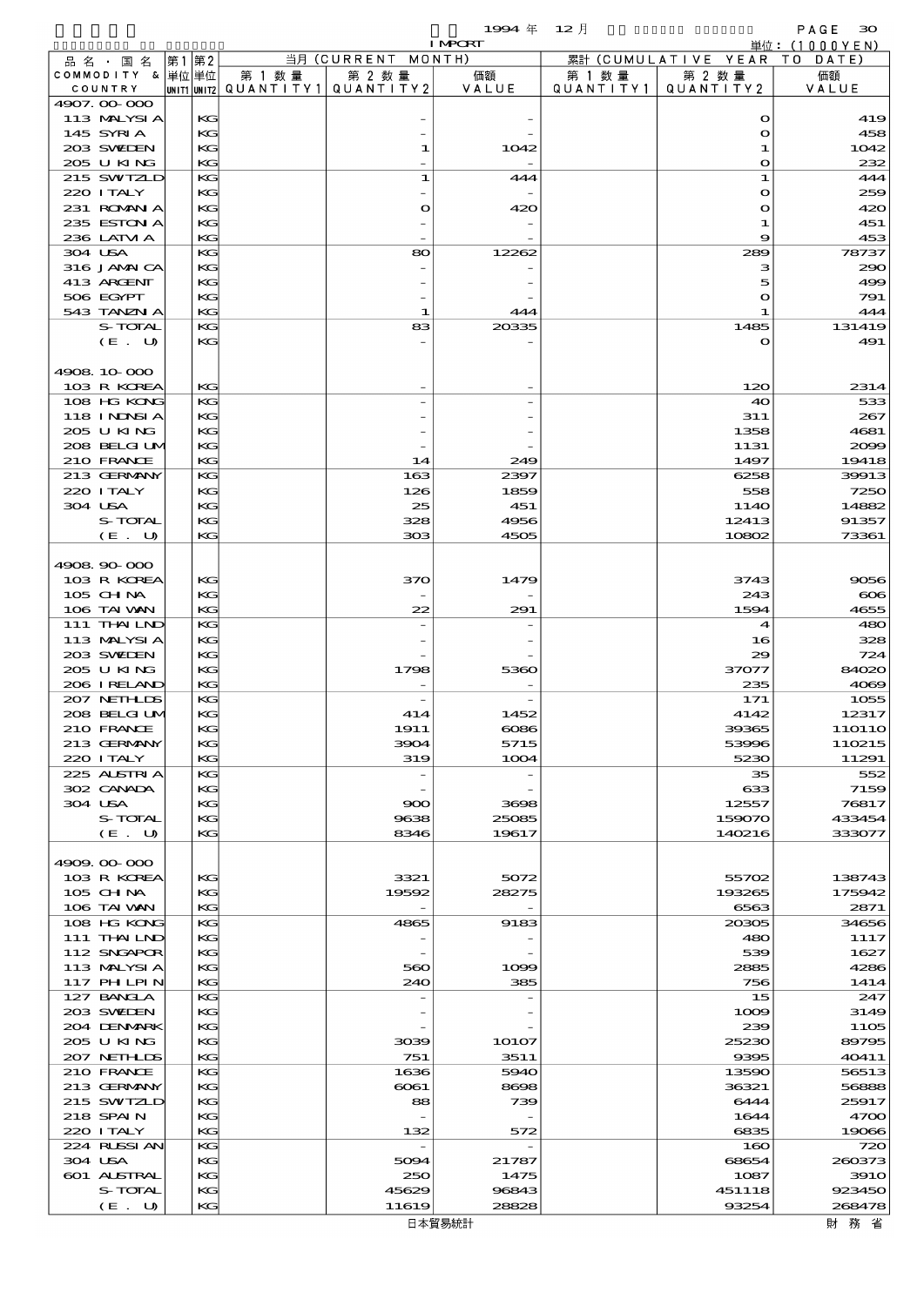$1994 \quad \# \quad 12 \quad \dagger$  PAGE 30

|                             |          |        |                                                  | <b>I MPORT</b> |                             |                              | 単位: (1000 Y E N) |
|-----------------------------|----------|--------|--------------------------------------------------|----------------|-----------------------------|------------------------------|------------------|
| 品名・国名                       | 第1 第2    |        | 当月 (CURRENT MONTH)                               |                |                             | 累計 (CUMULATIVE YEAR TO DATE) |                  |
| COMMODITY & 単位単位<br>COUNTRY |          | 第 1 数量 | 第 2 数量<br> UNIT1 UNIT2  QUANT   TY1  QUANT   TY2 | 価額<br>VALUE    | 第 1 数量<br>Q U A N T I T Y 1 | 第 2 数量<br>QUANTITY 2         | 価額<br>VALUE      |
| 4907.00-000                 |          |        |                                                  |                |                             |                              |                  |
| 113 MALYSIA                 | KG       |        |                                                  |                |                             | $\mathbf o$                  | 419              |
| 145 SYRIA                   | KG       |        |                                                  |                |                             | $\mathbf{o}$                 | 458              |
| 203 SWIDEN                  | KG       |        | 1                                                | 1042           |                             | 1                            | 1042             |
| 205 U KING<br>215 SWIZLD    | KG<br>KG |        | 1                                                |                |                             | $\mathbf o$<br>1             | 232<br>444       |
| 220 I TALY                  | KG       |        |                                                  | 444            |                             | $\mathbf o$                  | 259              |
| 231 ROMAN A                 | KG       |        | $\mathbf o$                                      | 420            |                             | $\mathbf o$                  | 420              |
| 235 ESTON A                 | KG       |        |                                                  |                |                             | 1                            | 451              |
| 236 LATM A                  | KG       |        |                                                  |                |                             | 9                            | 453              |
| 304 USA                     | KG       |        | 80                                               | 12262          |                             | 289                          | 78737            |
| 316 JAMAICA                 | KG       |        |                                                  |                |                             | з                            | 290              |
| 413 ARCENT<br>506 EGYPT     | KG<br>KG |        |                                                  |                |                             | 5<br>O                       | 499<br>791       |
| 543 TANZN A                 | KG       |        | 1                                                | 444            |                             | -1                           | 444              |
| S-TOTAL                     | KG       |        | 83                                               | 20335          |                             | 1485                         | 131419           |
| (E. U)                      | KG       |        |                                                  |                |                             | $\mathbf o$                  | 491              |
|                             |          |        |                                                  |                |                             |                              |                  |
| 4908.10.000                 |          |        |                                                  |                |                             |                              |                  |
| 103 R KOREA<br>108 HG KONG  | KG<br>KG |        |                                                  |                |                             | 120<br>40                    | 2314<br>533      |
| <b>118 INNSIA</b>           | KG       |        |                                                  |                |                             | 311                          | 267              |
| 205 U KING                  | KG       |        |                                                  |                |                             | 1358                         | 4681             |
| 208 BELGI UM                | KG       |        |                                                  |                |                             | 1131                         | 2099             |
| 210 FRANCE                  | KG       |        | 14                                               | 249            |                             | 1497                         | 19418            |
| 213 GERMANY                 | KG       |        | 163                                              | 2397           |                             | 6258                         | 39913            |
| 220 I TALY                  | KG       |        | 126                                              | 1859           |                             | 558                          | 7250             |
| 304 USA                     | KG       |        | 25                                               | 451            |                             | 114O                         | 14882            |
| S-TOTAL<br>(E. U)           | KG<br>KG |        | 328<br>303                                       | 4956<br>4505   |                             | 12413<br>10802               | 91357<br>73361   |
|                             |          |        |                                                  |                |                             |                              |                  |
| 4908.90-000                 |          |        |                                                  |                |                             |                              |                  |
| 103 R KOREA                 | KG       |        | 370                                              | 1479           |                             | 3743                         | 9056             |
| 105 CH NA                   | KG       |        |                                                  |                |                             | 243                          | $\infty$         |
| 106 TAI VAN                 | KG       |        | 22                                               | 291            |                             | 1594                         | 4655             |
| 111 THAILND                 | KG       |        |                                                  |                |                             | 4                            | 480              |
| 113 MALYSIA<br>203 SWIDEN   | KG<br>KG |        |                                                  |                |                             | 16<br>29                     | 328<br>724       |
| 205 U KING                  | KG       |        | 1798                                             | 5360           |                             | 37077                        | 84020            |
| 206 I RELAND                | KG       |        |                                                  |                |                             | 235                          | 4069             |
| 207 NETHLIS                 | KG       |        |                                                  |                |                             | 171                          | 1055             |
| 208 BELGI UM                | KG       |        | 414                                              | 1452           |                             | 4142                         | 12317            |
| 210 FRANCE                  | KG       |        | 1911                                             | $\infty$ 86    |                             | 39365                        | 11O11O           |
| 213 GERMANY<br>220 I TALY   | KG       |        | 3904                                             | 5715           |                             | 53996<br>5230                | 110215<br>11291  |
| 225 ALSTRIA                 | KG<br>KG |        | 319<br>$\overline{\phantom{a}}$                  | 1004           |                             | 35                           | 552              |
| 302 CANADA                  | KG       |        |                                                  |                |                             | 633                          | 7159             |
| 304 USA                     | KG       |        | 900                                              | 3698           |                             | 12557                        | 76817            |
| S-TOTAL                     | KG       |        | 9638                                             | 25085          |                             | 159070                       | 433454           |
| (E. U)                      | KG       |        | 8346                                             | 19617          |                             | 140216                       | 333077           |
| 4909.00-000                 |          |        |                                                  |                |                             |                              |                  |
| 103 R KOREA                 | KG       |        | 3321                                             | 5072           |                             | 55702                        | 138743           |
| 105 CH NA                   | KG       |        | 19592                                            | 28275          |                             | 193265                       | 175942           |
| 106 TAI VAN                 | KG       |        |                                                  |                |                             | 6563                         | 2871             |
| 108 HG KONG                 | KG       |        | 4865                                             | 9183           |                             | 20305                        | 34656            |
| 111 THAILND                 | KG       |        |                                                  |                |                             | 480                          | 1117             |
| 112 SNGAPOR                 | KG       |        |                                                  |                |                             | 539                          | 1627             |
| 113 MALYSIA<br>117 PHLPIN   | KG<br>KG |        | 560<br>240                                       | 1099<br>385    |                             | 2885<br>756                  | 4286<br>1414     |
| 127 BANCLA                  | KG       |        |                                                  |                |                             | 15                           | 247              |
| 203 SWIDEN                  | KG       |        |                                                  |                |                             | 1009                         | 3149             |
| 204 DENMARK                 | KG       |        |                                                  |                |                             | 239                          | 1105             |
| 2005 U KING                 | KG       |        | 3039                                             | 10107          |                             | 25230                        | 89795            |
| 207 NETHLIS                 | KG       |        | 751                                              | 3511           |                             | 9395                         | 40411            |
| 210 FRANCE<br>213 GERMANY   | KG<br>KG |        | 1636<br>6061                                     | 5940<br>8698   |                             | 13590<br>36321               | 56513<br>56888   |
| 215 SWTZLD                  | KG       |        | 88                                               | 739            |                             | 6444                         | 25917            |
| 218 SPAIN                   | KG       |        |                                                  |                |                             | 1644                         | 4700             |
| 220 I TALY                  | KG       |        | 132                                              | 572            |                             | 6835                         | 19066            |
| 224 RUSSIAN                 | KG       |        |                                                  |                |                             | 160                          | 720              |
| 304 USA                     | KG       |        | 5094                                             | 21787          |                             | 68654                        | 260373           |
| 601 ALSTRAL                 | KG       |        | 250                                              | 1475           |                             | 1087                         | <b>3910</b>      |
| S-TOTAL                     | KG<br>KG |        | 45629<br>11619                                   | 96843<br>28828 |                             | 451118<br>93254              | 923450<br>268478 |
| (E. U)                      |          |        |                                                  |                |                             |                              |                  |

日本貿易統計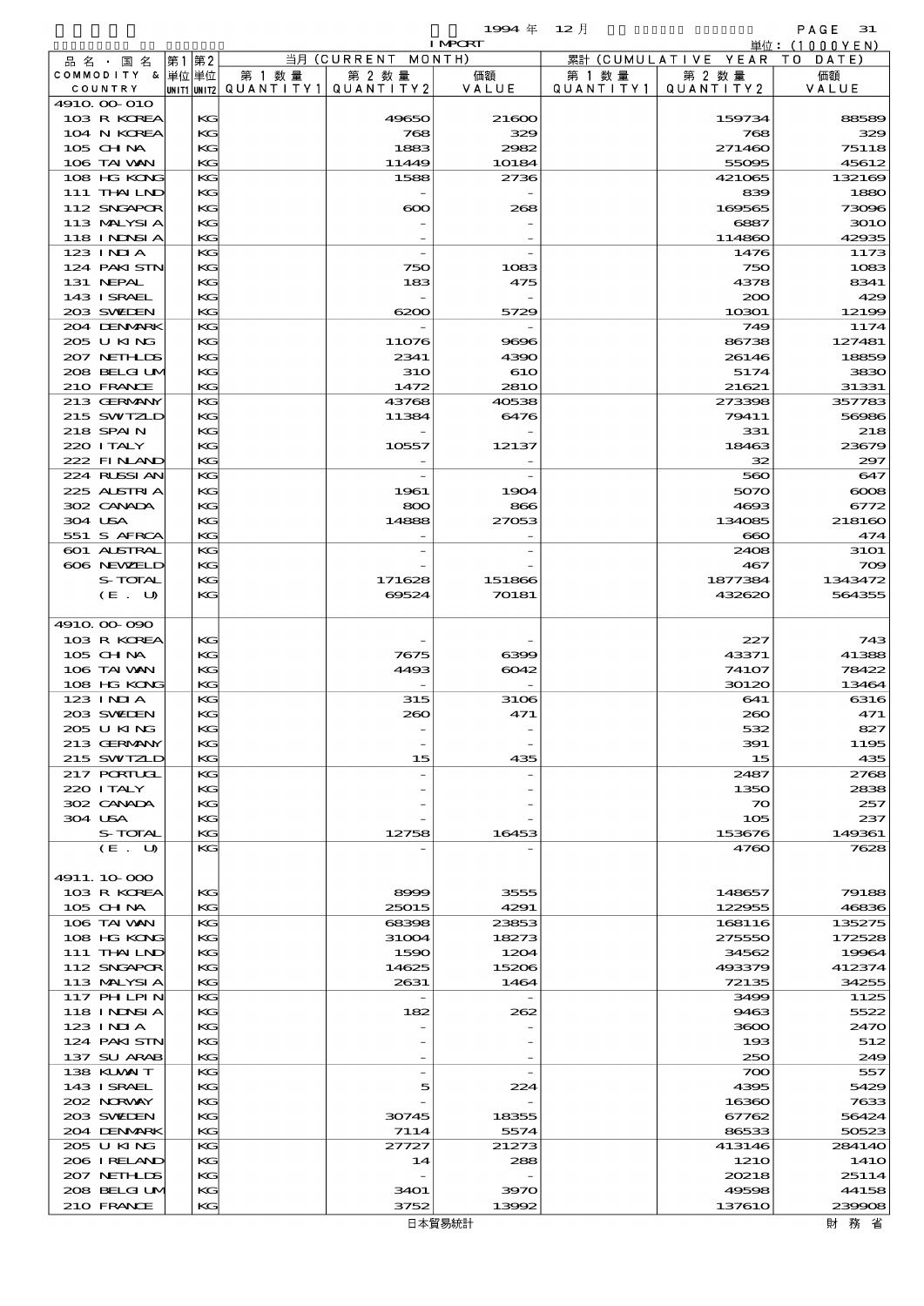$1994 \quad \oplus \quad 12 \quad \uparrow$  PAGE 31

|                               |    |          |                                                  |                    | <b>I MPORT</b>  |                      |                        | 単位: (1000YEN)     |
|-------------------------------|----|----------|--------------------------------------------------|--------------------|-----------------|----------------------|------------------------|-------------------|
| 品名・国名                         | 第1 | 第2       |                                                  | 当月 (CURRENT MONTH) |                 |                      | 累計 (CUMULATIVE YEAR TO | DATE)             |
| COMMODITY & 単位単位<br>COUNTRY   |    |          | 第 1 数量<br> unit1 unit2  QUANT   TY1  QUANT   TY2 | 第 2 数量             | 価額<br>VALUE     | 第 1 数 量<br>QUANTITY1 | 第 2 数量<br>QUANTITY 2   | 価額<br>VALUE       |
| 4910 00 010                   |    |          |                                                  |                    |                 |                      |                        |                   |
| 103 R KOREA                   |    | KG       |                                                  | 49650              | 21600           |                      | 159734                 | 88589             |
| 104 N KOREA                   |    | KG       |                                                  | 768                | 329             |                      | 768                    | 329               |
| 105 CH NA                     |    | KG       |                                                  | 1883               | 2982            |                      | 271460                 | 75118             |
| 106 TAI VAN<br>108 HG KONG    |    | KG<br>KG |                                                  | 11449<br>1588      | 10184<br>2736   |                      | 55095<br>421065        | 45612<br>132169   |
| 111 THAILND                   |    | KG       |                                                  |                    |                 |                      | 839                    | 1880              |
| 112 SNGAPOR                   |    | KG       |                                                  | $\infty$           | 268             |                      | 169565                 | 73096             |
| 113 MALYSIA                   |    | KG       |                                                  |                    |                 |                      | 6887                   | 3010              |
| 118 I NJNSI A<br>123 INIA     |    | KG<br>KG |                                                  |                    |                 |                      | 114860<br>1476         | 42935<br>1173     |
| 124 PAKISTN                   |    | KG       |                                                  | 750                | 1083            |                      | 750                    | 1083              |
| 131 NEPAL                     |    | KG       |                                                  | 183                | 475             |                      | 4378                   | 8341              |
| 143 ISRAEL                    |    | KG       |                                                  |                    |                 |                      | 200                    | 429               |
| 203 SWIEN                     |    | KG       |                                                  | 6200               | 5729            |                      | 10301                  | 12199             |
| 204 DENMARK<br>205 U KING     |    | KG<br>KG |                                                  | 11076              | 9696            |                      | 749<br>86738           | 1174<br>127481    |
| 207 NETHLIS                   |    | KG       |                                                  | 2341               | 4390            |                      | 26146                  | 18859             |
| 208 BELGI UM                  |    | KG       |                                                  | <b>31O</b>         | 610             |                      | 5174                   | 3830              |
| 210 FRANCE                    |    | KG       |                                                  | 1472               | 281O            |                      | 21621                  | 31331             |
| 213 GERMANY                   |    | KG<br>KG |                                                  | 43768              | 40538           |                      | 273398                 | 357783            |
| 215 SWIZLD<br>218 SPAIN       |    | KG       |                                                  | 11384              | 6476            |                      | 79411<br>331           | 56986<br>218      |
| 220 I TALY                    |    | KG       |                                                  | 10557              | 12137           |                      | 18463                  | 23679             |
| 222 FINAND                    |    | KG       |                                                  |                    |                 |                      | 32                     | 297               |
| 224 RUSSI AN                  |    | KG       |                                                  |                    |                 |                      | 560                    | 647               |
| 225 ALSTRIA<br>302 CANADA     |    | KG<br>KG |                                                  | 1961               | 1904            |                      | 5070                   | $\infty$          |
| 304 USA                       |    | KG       |                                                  | 800<br>14888       | 866<br>27053    |                      | 4693<br>134085         | 6772<br>218160    |
| 551 S AFRCA                   |    | KG       |                                                  |                    |                 |                      | $\infty$               | 474               |
| 601 ALSTRAL                   |    | KG       |                                                  |                    |                 |                      | 2408                   | <b>31O1</b>       |
| 606 NEWELD                    |    | KG       |                                                  |                    |                 |                      | 467                    | 709               |
| S-TOTAL<br>(E. U)             |    | KG<br>KG |                                                  | 171628<br>69524    | 151866<br>70181 |                      | 1877384<br>432620      | 1343472<br>564355 |
|                               |    |          |                                                  |                    |                 |                      |                        |                   |
| 4910, 00-090                  |    |          |                                                  |                    |                 |                      |                        |                   |
| 103 R KOREA                   |    | KG       |                                                  |                    |                 |                      | 227                    | 743               |
| 105 CHNA                      |    | KG       |                                                  | 7675               | 6399            |                      | 43371                  | 41388             |
| 106 TAI VAN<br>108 HG KONG    |    | KG<br>KG |                                                  | 4493               | 6042            |                      | 74107<br>30120         | 78422<br>13464    |
| 123 INIA                      |    | KG       |                                                  | 315                | 3106            |                      | 641                    | 6316              |
| 203 SWIDEN                    |    | KG       |                                                  | 260                | 471             |                      | 260                    | 471               |
| 205 U KING                    |    | KС       |                                                  |                    |                 |                      | 532                    | 827               |
| 213 GERMANY<br>215 SWIZLD     |    | KG<br>КG |                                                  | 15                 | 435             |                      | 391                    | 1195<br>435       |
| 217 PORTUGL                   |    | KG       |                                                  |                    |                 |                      | 15<br>2487             | 2768              |
| 220 I TALY                    |    | KG       |                                                  |                    |                 |                      | 1350                   | 2838              |
| 302 CANADA                    |    | KG       |                                                  |                    |                 |                      | 70                     | 257               |
| 304 USA                       |    | KG       |                                                  |                    |                 |                      | 105                    | 237               |
| S-TOTAL<br>(E. U)             |    | KG<br>KG |                                                  | 12758              | 16453           |                      | 153676<br>4760         | 149361<br>7628    |
|                               |    |          |                                                  |                    |                 |                      |                        |                   |
| 4911.10-000                   |    |          |                                                  |                    |                 |                      |                        |                   |
| 103 R KOREA                   |    | KG       |                                                  | 8999               | 3555            |                      | 148657                 | 79188             |
| 105 CH NA                     |    | KG<br>KG |                                                  | 25015              | 4291            |                      | 122955<br>168116       | 46836<br>135275   |
| 106 TAI VAN<br>108 HG KONG    |    | KG       |                                                  | 68398<br>31004     | 23853<br>18273  |                      | 275550                 | 172528            |
| 111 THAILND                   |    | KG       |                                                  | 1590               | 1204            |                      | 34562                  | 19964             |
| 112 SNGAPOR                   |    | KG       |                                                  | 14625              | 15206           |                      | 493379                 | 412374            |
| 113 MALYSIA                   |    | KG       |                                                  | 2631               | 1464            |                      | 72135                  | 34255             |
| 117 PHLPIN                    |    | KG       |                                                  |                    |                 |                      | 3499                   | 1125              |
| <b>118 INNSIA</b><br>123 INIA |    | KG<br>KG |                                                  | 182                | 262             |                      | 9463<br>3600           | 5522<br>2470      |
| 124 PAKISTN                   |    | KG       |                                                  |                    |                 |                      | 193                    | 512               |
| 137 SU ARAB                   |    | KG       |                                                  |                    |                 |                      | 250                    | 249               |
| 138 KUWAIT                    |    | KG       |                                                  |                    |                 |                      | 700                    | 557               |
| 143 I SRAEL<br>202 N.RWAY     |    | KG<br>KG |                                                  | 5                  | 224             |                      | 4395<br>16360          | 5429<br>7633      |
| 203 SWIDEN                    |    | KG       |                                                  | 30745              | 18355           |                      | 67762                  | 56424             |
| 204 DENMARK                   |    | KG       |                                                  | 7114               | 5574            |                      | 86533                  | 50523             |
| 205 U KING                    |    | KG       |                                                  | 27727              | 21273           |                      | 413146                 | 284140            |
| 206 IRELAND                   |    | KG       |                                                  | 14                 | 288             |                      | 121O                   | 141O              |
| 207 NETHLIS<br>208 BELGI UM   |    | KG<br>KG |                                                  | 3401               | 3970            |                      | 20218<br>49598         | 25114<br>44158    |
| 210 FRANCE                    |    | KG       |                                                  | 3752               | 13992           |                      | 137610                 | 239908            |
|                               |    |          |                                                  |                    |                 |                      |                        |                   |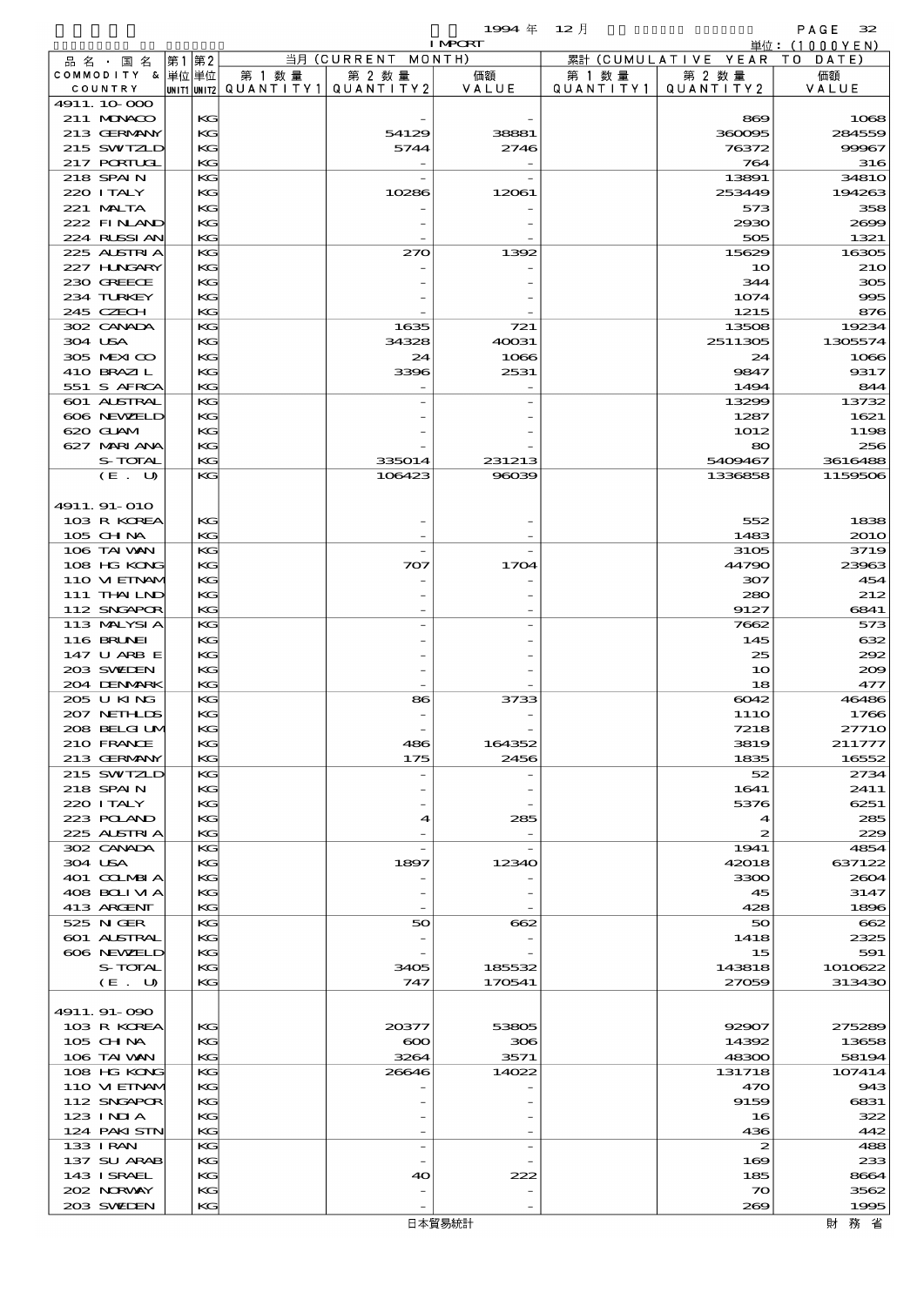$1994 \nleftrightarrow 12 \nparallel$  PAGE 32

|                            |          |        |                                       | <b>I MPORT</b> |                   |                              | 単位: (1000YEN)       |
|----------------------------|----------|--------|---------------------------------------|----------------|-------------------|------------------------------|---------------------|
| 品 名 ・ 国 名                  | 第1 第2    |        | 当月 (CURRENT MONTH)                    |                |                   | 累計 (CUMULATIVE YEAR TO DATE) |                     |
| COMMODITY & 単位単位           |          | 第 1 数量 | 第 2 数量                                | 価額             | 第 1 数 量           | 第 2 数量                       | 価額                  |
| COUNTRY                    |          |        | UNIT1 UNIT2  QUANT I TY1  QUANT I TY2 | VALUE          | Q U A N T I T Y 1 | QUANTITY 2                   | VALUE               |
| 4911.10.000<br>211 MUNACO  | KG       |        |                                       |                |                   | 869                          | 1068                |
| 213 GERMANY                | KG       |        | 54129                                 | 38881          |                   | 360095                       | 284559              |
| 215 SWIZLD                 | KG       |        | 5744                                  | 2746           |                   | 76372                        | 99967               |
| 217 PORTUGL                | KG       |        |                                       |                |                   | 764                          | 316                 |
| 218 SPAIN                  | KG       |        |                                       |                |                   | 13891                        | 3481O               |
| 220 I TALY                 | KG       |        | 10286                                 | 12061          |                   | 253449                       | 194263              |
| 221 MALTA                  | KG       |        |                                       |                |                   | 573                          | 358                 |
| 222 FINAND                 | КC       |        |                                       |                |                   | 2930                         | 2000                |
| 224 RUSSIAN<br>225 ALSTRIA | KG<br>KG |        | 270                                   |                |                   | 505<br>15629                 | 1321<br>16305       |
| 227 H.NGARY                | KG       |        |                                       | 1392           |                   | 10                           | <b>210</b>          |
| 230 GREECE                 | KG       |        |                                       |                |                   | 344                          | 305                 |
| 234 TURKEY                 | КC       |        |                                       |                |                   | 1074                         | 995                 |
| 245 CZECH                  | KG       |        |                                       |                |                   | 1215                         | 876                 |
| 302 CANADA                 | KG       |        | 1635                                  | 721            |                   | 13508                        | 19234               |
| 304 USA                    | KG       |        | 34328                                 | 40031          |                   | 2511305                      | 1305574             |
| 305 MEXICO                 | KG       |        | 24                                    | 1066           |                   | 24                           | 1066                |
| 410 BRAZIL<br>551 S AFRCA  | КC<br>KG |        | 3396                                  | 2531           |                   | 9847                         | 9317<br>844         |
| 601 ALSTRAL                | KG       |        |                                       |                |                   | 1494<br>13299                | 13732               |
| 606 NEWELD                 | KG       |        |                                       |                |                   | 1287                         | 1621                |
| 620 GLAM                   | KG       |        |                                       |                |                   | 1012                         | 1198                |
| 627 MARIANA                | КC       |        |                                       |                |                   | 80                           | 256                 |
| S-TOTAL                    | KG       |        | 335014                                | 231213         |                   | 5400467                      | 3616488             |
| (E. U)                     | KG       |        | 106423                                | 96039          |                   | 1336858                      | 1159506             |
|                            |          |        |                                       |                |                   |                              |                     |
| 4911.91-010                |          |        |                                       |                |                   |                              |                     |
| 103 R KOREA<br>$105$ CHNA  | KG<br>KG |        |                                       |                |                   | 552<br>1483                  | 1838<br><b>2010</b> |
| 106 TAI VAN                | KG       |        |                                       |                |                   | 3105                         | 3719                |
| 108 HG KONG                | KG       |        | 707                                   | 1704           |                   | 44790                        | 23963               |
| 110 VI EINAM               | KG       |        |                                       |                |                   | 307                          | 454                 |
| 111 THAILND                | КC       |        |                                       |                |                   | 280                          | 212                 |
| 112 SNGAPOR                | KG       |        |                                       |                |                   | 9127                         | 6841                |
| 113 MALYSIA                | KG       |        |                                       |                |                   | 7662                         | 573                 |
| 116 BRUNEI                 | KG       |        |                                       |                |                   | 145                          | 632                 |
| 147 U ARB E                | KG       |        |                                       |                |                   | 25                           | 292                 |
| 203 SWIDEN<br>204 DENMARK  | КC<br>KG |        |                                       |                |                   | 10<br>18                     | 200<br>477          |
| 205 U KING                 | KG       |        | 86                                    | 3733           |                   | 6042                         | 46486               |
| 207 NETHLIS                | KG       |        |                                       |                |                   | 111O                         | 1766                |
| 208 BELGI UN               | KG       |        |                                       |                |                   | 7218                         | 27710               |
| 210 FRANCE                 | KG       |        | 486                                   | 164352         |                   | 3819                         | 211777              |
| 213 GERMANY                | KG       |        | 175                                   | 2456           |                   | 1835                         | 16552               |
| 215 SWIZLD                 | KG       |        |                                       |                |                   | 52                           | 2734                |
| 218 SPAIN<br>220 I TALY    | KG<br>KG |        |                                       |                |                   | 1641<br>5376                 | 2411<br>6251        |
| 223 POLAND                 | КC       |        | 4                                     | 285            |                   | $\blacktriangleleft$         | 285                 |
| 225 ALSTRIA                | KG       |        |                                       |                |                   | $\boldsymbol{z}$             | 229                 |
| 302 CANADA                 | KG       |        |                                       |                |                   | 1941                         | 4854                |
| 304 USA                    | KG       |        | 1897                                  | 12340          |                   | 42018                        | 637122              |
| 401 COLMBIA                | KG       |        |                                       |                |                   | 3300                         | 2604                |
| 408 BOLIVIA                | КC       |        |                                       |                |                   | 45                           | 3147                |
| 413 ARCENT                 | KG       |        |                                       |                |                   | 428                          | 1896                |
| 525 N GER<br>601 ALSTRAL   | KG<br>KG |        | 50                                    | 662            |                   | 50<br>1418                   | 662<br>2325         |
| 606 NEWELD                 | KG       |        |                                       |                |                   | 15                           | 591                 |
| S-TOTAL                    | КC       |        | 3405                                  | 185532         |                   | 143818                       | 1010622             |
| (E. U)                     | KG       |        | 747                                   | 170541         |                   | 27059                        | 313430              |
|                            |          |        |                                       |                |                   |                              |                     |
| 4911.91-090                |          |        |                                       |                |                   |                              |                     |
| 103 R KOREA                | KG       |        | 20377                                 | 53805          |                   | 92907                        | 275289              |
| $105$ CHNA<br>106 TAI VAN  | КC<br>KG |        | $\infty$<br>3264                      | 306<br>3571    |                   | 14392<br>48300               | 13658<br>58194      |
| 108 HG KONG                | KG       |        | 26646                                 | 14022          |                   | 131718                       | 107414              |
| 110 VIEINAM                | KG       |        |                                       |                |                   | 470                          | 943                 |
| 112 SNGAPOR                | KG       |        |                                       |                |                   | 9159                         | 6831                |
| 123 INIA                   | КC       |        |                                       |                |                   | 16                           | 322                 |
| 124 PAKI STN               | KG       |        |                                       |                |                   | 436                          | 442                 |
| 133 I RAN                  | KG       |        | $\overline{\phantom{a}}$              |                |                   | 2                            | 488                 |
| 137 SU ARAB                | KG       |        |                                       |                |                   | 169                          | 233                 |
| 143 I SRAEL<br>202 NORVAY  | KG<br>KG |        | 40                                    | 222            |                   | 185<br>$\infty$              | 8664<br>3562        |
| 203 SWIDEN                 | KG       |        |                                       |                |                   | 269                          | 1995                |
|                            |          |        |                                       |                |                   |                              |                     |